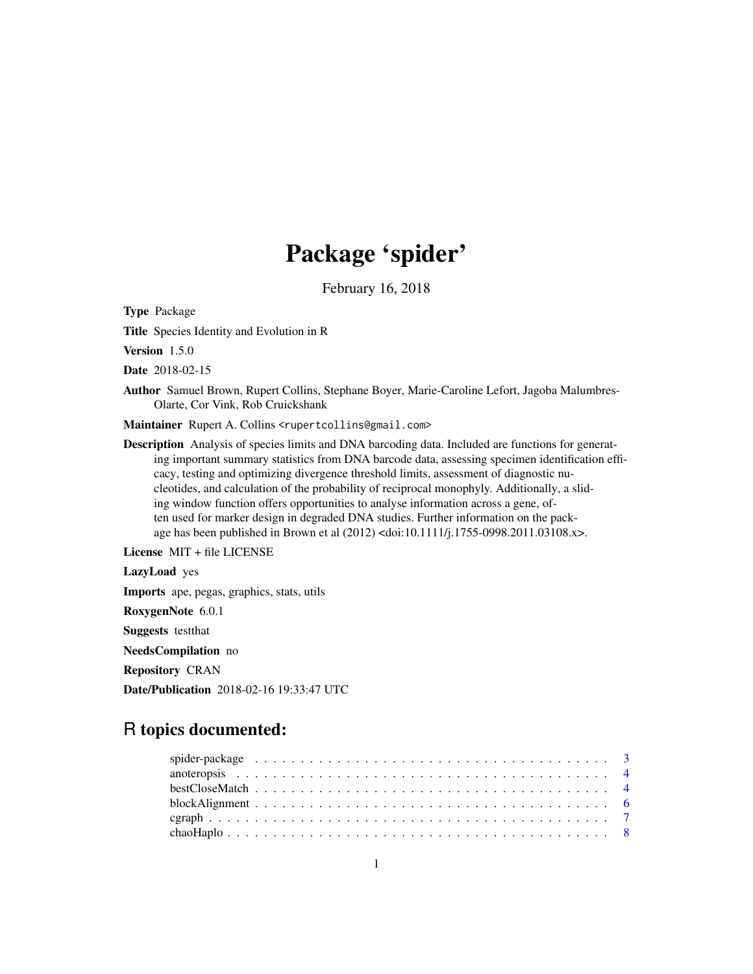# Package 'spider'

February 16, 2018

<span id="page-0-0"></span>Type Package

Title Species Identity and Evolution in R

Version 1.5.0

Date 2018-02-15

Author Samuel Brown, Rupert Collins, Stephane Boyer, Marie-Caroline Lefort, Jagoba Malumbres-Olarte, Cor Vink, Rob Cruickshank

Maintainer Rupert A. Collins <rupertcollins@gmail.com>

Description Analysis of species limits and DNA barcoding data. Included are functions for generating important summary statistics from DNA barcode data, assessing specimen identification efficacy, testing and optimizing divergence threshold limits, assessment of diagnostic nucleotides, and calculation of the probability of reciprocal monophyly. Additionally, a sliding window function offers opportunities to analyse information across a gene, often used for marker design in degraded DNA studies. Further information on the package has been published in Brown et al (2012) <doi:10.1111/j.1755-0998.2011.03108.x>.

License MIT + file LICENSE

LazyLoad yes

Imports ape, pegas, graphics, stats, utils

RoxygenNote 6.0.1

Suggests testthat

NeedsCompilation no

Repository CRAN

Date/Publication 2018-02-16 19:33:47 UTC

# R topics documented: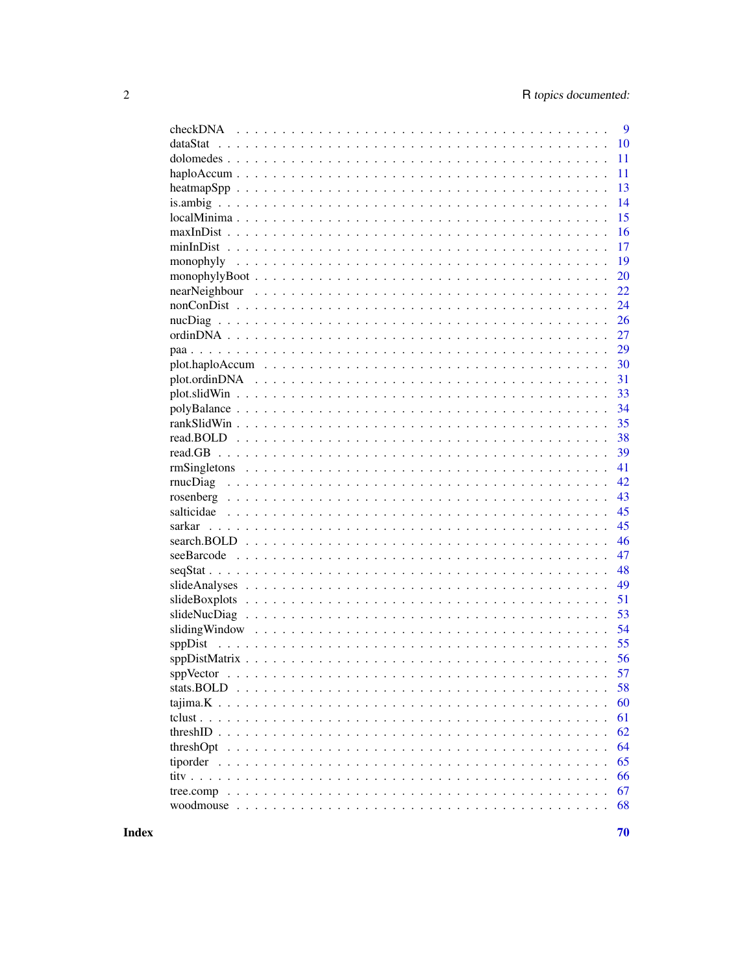|           | 9  |
|-----------|----|
|           | 10 |
|           | 11 |
|           | 11 |
|           | 13 |
|           | 14 |
|           | 15 |
|           | 16 |
|           | 17 |
|           | 19 |
|           | 20 |
|           | 22 |
|           | 24 |
|           | 26 |
|           | 27 |
|           | 29 |
|           | 30 |
|           | 31 |
|           | 33 |
|           | 34 |
|           | 35 |
|           | 38 |
|           | 39 |
|           | 41 |
|           | 42 |
|           | 43 |
|           | 45 |
|           | 45 |
|           | 46 |
|           | 47 |
|           | 48 |
|           | 49 |
|           | 51 |
|           | 53 |
|           | 54 |
|           | 55 |
|           | 56 |
| sppVector | 57 |
|           | 58 |
|           | 60 |
|           | 61 |
|           | 62 |
|           | 64 |
|           | 65 |
|           | 66 |
|           | 67 |
|           | 68 |
|           |    |

**Index**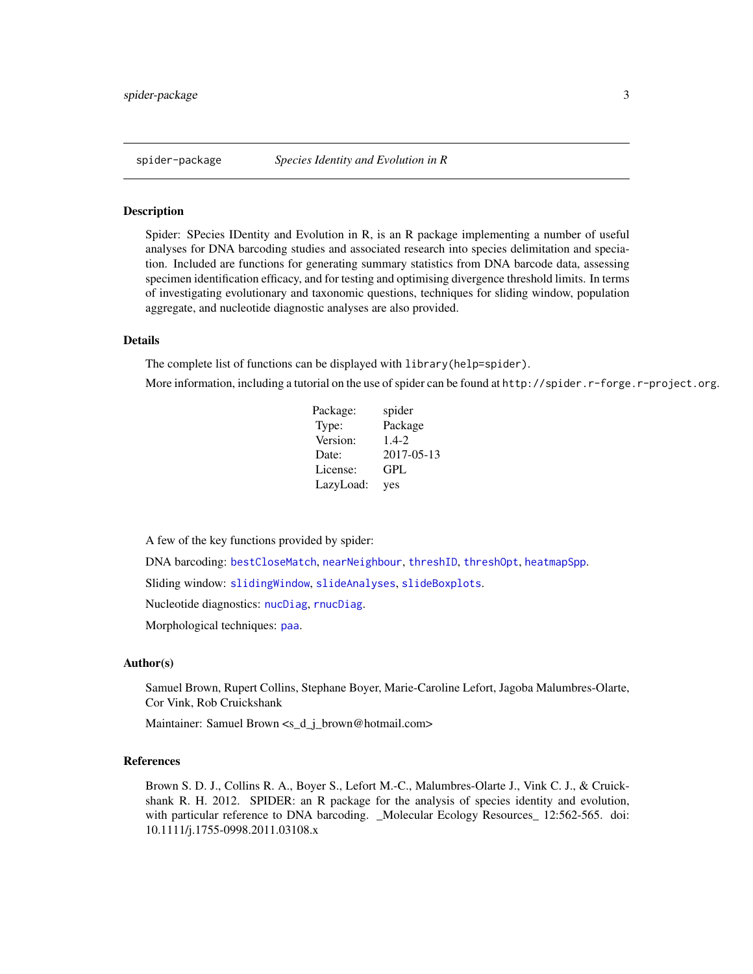<span id="page-2-0"></span>Spider: SPecies IDentity and Evolution in R, is an R package implementing a number of useful analyses for DNA barcoding studies and associated research into species delimitation and speciation. Included are functions for generating summary statistics from DNA barcode data, assessing specimen identification efficacy, and for testing and optimising divergence threshold limits. In terms of investigating evolutionary and taxonomic questions, techniques for sliding window, population aggregate, and nucleotide diagnostic analyses are also provided.

#### Details

The complete list of functions can be displayed with library(help=spider).

More information, including a tutorial on the use of spider can be found at http://spider.r-forge.r-project.org.

| Package:  | spider     |
|-----------|------------|
| Type:     | Package    |
| Version:  | $1.4 - 2.$ |
| Date:     | 2017-05-13 |
| License:  | GPL        |
| LazyLoad: | yes        |

A few of the key functions provided by spider:

DNA barcoding: [bestCloseMatch](#page-3-1), [nearNeighbour](#page-21-1), [threshID](#page-61-1), [threshOpt](#page-63-1), [heatmapSpp](#page-12-1).

Sliding window: [slidingWindow](#page-53-1), [slideAnalyses](#page-48-1), [slideBoxplots](#page-50-1).

Nucleotide diagnostics: [nucDiag](#page-25-1), [rnucDiag](#page-41-1).

Morphological techniques: [paa](#page-28-1).

#### Author(s)

Samuel Brown, Rupert Collins, Stephane Boyer, Marie-Caroline Lefort, Jagoba Malumbres-Olarte, Cor Vink, Rob Cruickshank

Maintainer: Samuel Brown <s\_d\_j\_brown@hotmail.com>

#### References

Brown S. D. J., Collins R. A., Boyer S., Lefort M.-C., Malumbres-Olarte J., Vink C. J., & Cruickshank R. H. 2012. SPIDER: an R package for the analysis of species identity and evolution, with particular reference to DNA barcoding. \_Molecular Ecology Resources\_ 12:562-565. doi: 10.1111/j.1755-0998.2011.03108.x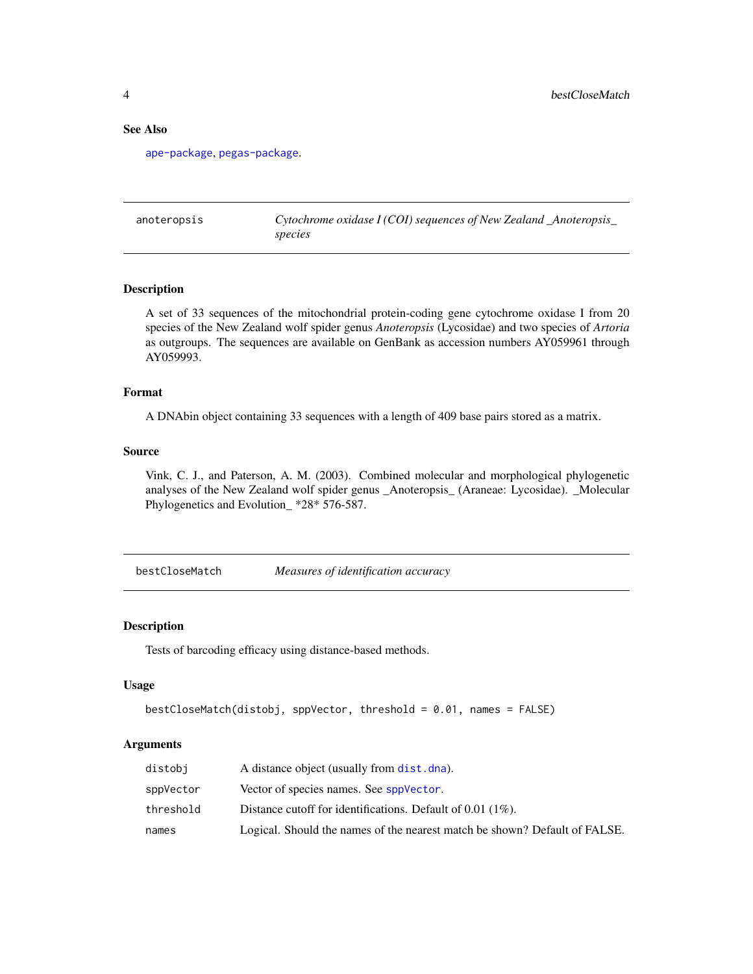# See Also

[ape-package](#page-0-0), [pegas-package](#page-0-0).

anoteropsis *Cytochrome oxidase I (COI) sequences of New Zealand \_Anoteropsis\_ species*

#### Description

A set of 33 sequences of the mitochondrial protein-coding gene cytochrome oxidase I from 20 species of the New Zealand wolf spider genus *Anoteropsis* (Lycosidae) and two species of *Artoria* as outgroups. The sequences are available on GenBank as accession numbers AY059961 through AY059993.

# Format

A DNAbin object containing 33 sequences with a length of 409 base pairs stored as a matrix.

#### Source

Vink, C. J., and Paterson, A. M. (2003). Combined molecular and morphological phylogenetic analyses of the New Zealand wolf spider genus \_Anoteropsis\_ (Araneae: Lycosidae). \_Molecular Phylogenetics and Evolution\_ \*28\* 576-587.

<span id="page-3-1"></span>bestCloseMatch *Measures of identification accuracy*

#### Description

Tests of barcoding efficacy using distance-based methods.

#### Usage

```
bestCloseMatch(distobj, sppVector, threshold = 0.01, names = FALSE)
```
# Arguments

| distobi   | A distance object (usually from dist. dna).                                |
|-----------|----------------------------------------------------------------------------|
| sppVector | Vector of species names. See sppVector.                                    |
| threshold | Distance cutoff for identifications. Default of $0.01$ (1%).               |
| names     | Logical. Should the names of the nearest match be shown? Default of FALSE. |

<span id="page-3-0"></span>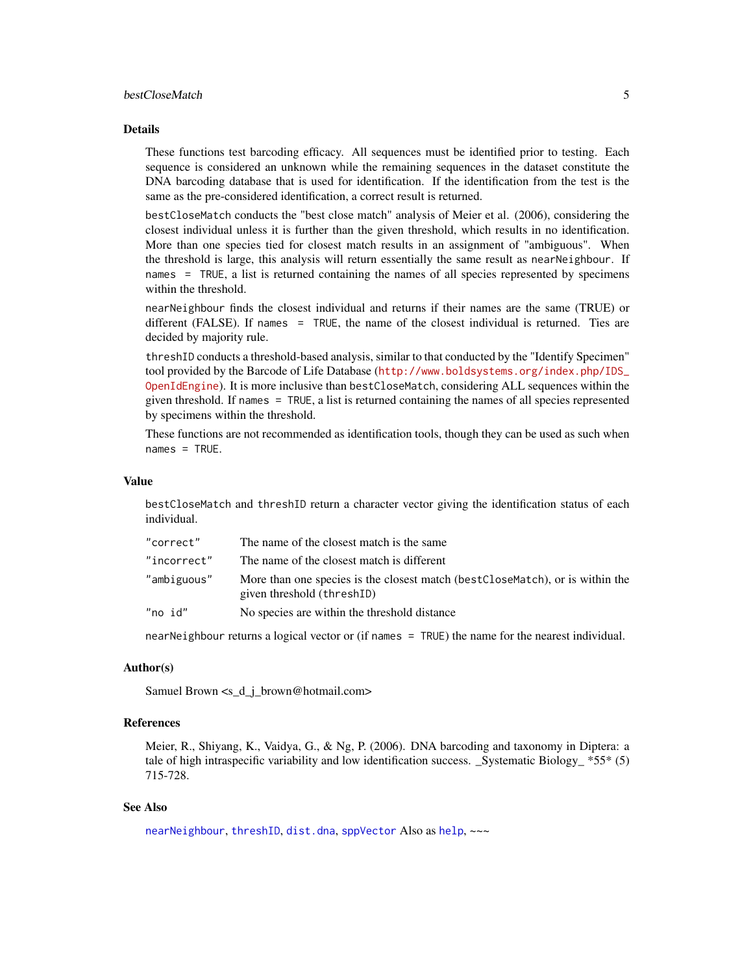# <span id="page-4-0"></span>bestCloseMatch 5

#### Details

These functions test barcoding efficacy. All sequences must be identified prior to testing. Each sequence is considered an unknown while the remaining sequences in the dataset constitute the DNA barcoding database that is used for identification. If the identification from the test is the same as the pre-considered identification, a correct result is returned.

bestCloseMatch conducts the "best close match" analysis of Meier et al. (2006), considering the closest individual unless it is further than the given threshold, which results in no identification. More than one species tied for closest match results in an assignment of "ambiguous". When the threshold is large, this analysis will return essentially the same result as nearNeighbour. If names = TRUE, a list is returned containing the names of all species represented by specimens within the threshold.

nearNeighbour finds the closest individual and returns if their names are the same (TRUE) or different (FALSE). If names = TRUE, the name of the closest individual is returned. Ties are decided by majority rule.

threshID conducts a threshold-based analysis, similar to that conducted by the "Identify Specimen" tool provided by the Barcode of Life Database ([http://www.boldsystems.org/index.php/IDS\\_](http://www.boldsystems.org/index.php/IDS_OpenIdEngine) [OpenIdEngine](http://www.boldsystems.org/index.php/IDS_OpenIdEngine)). It is more inclusive than bestCloseMatch, considering ALL sequences within the given threshold. If names = TRUE, a list is returned containing the names of all species represented by specimens within the threshold.

These functions are not recommended as identification tools, though they can be used as such when  $names = TRUE.$ 

#### Value

bestCloseMatch and threshID return a character vector giving the identification status of each individual.

| "correct"   | The name of the closest match is the same                                                                     |
|-------------|---------------------------------------------------------------------------------------------------------------|
| "incorrect" | The name of the closest match is different                                                                    |
| "ambiguous" | More than one species is the closest match (best Close Match), or is within the<br>given threshold (threshID) |
| "no id"     | No species are within the threshold distance                                                                  |

nearNeighbour returns a logical vector or (if names = TRUE) the name for the nearest individual.

#### Author(s)

Samuel Brown <s\_d\_j\_brown@hotmail.com>

#### References

Meier, R., Shiyang, K., Vaidya, G., & Ng, P. (2006). DNA barcoding and taxonomy in Diptera: a tale of high intraspecific variability and low identification success. \_Systematic Biology\_  $*55*$  (5) 715-728.

#### See Also

[nearNeighbour](#page-21-1), [threshID](#page-61-1), [dist.dna](#page-0-0), [sppVector](#page-56-1) Also as [help](#page-0-0), ~~~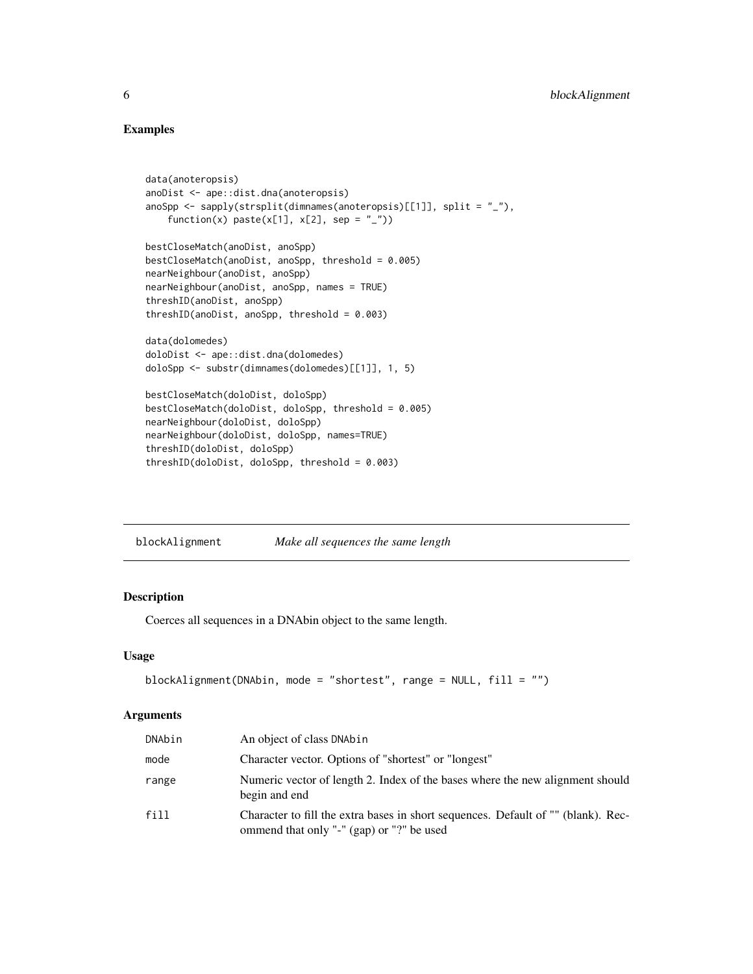# Examples

```
data(anoteropsis)
anoDist <- ape::dist.dna(anoteropsis)
anoSpp <- sapply(strsplit(dimnames(anoteropsis)[[1]], split = "_"),
    function(x) paste(x[1], x[2], sep = "_"))
bestCloseMatch(anoDist, anoSpp)
bestCloseMatch(anoDist, anoSpp, threshold = 0.005)
nearNeighbour(anoDist, anoSpp)
nearNeighbour(anoDist, anoSpp, names = TRUE)
threshID(anoDist, anoSpp)
threshID(anoDist, anoSpp, threshold = 0.003)
data(dolomedes)
doloDist <- ape::dist.dna(dolomedes)
doloSpp <- substr(dimnames(dolomedes)[[1]], 1, 5)
bestCloseMatch(doloDist, doloSpp)
bestCloseMatch(doloDist, doloSpp, threshold = 0.005)
nearNeighbour(doloDist, doloSpp)
nearNeighbour(doloDist, doloSpp, names=TRUE)
threshID(doloDist, doloSpp)
threshID(doloDist, doloSpp, threshold = 0.003)
```
blockAlignment *Make all sequences the same length*

# Description

Coerces all sequences in a DNAbin object to the same length.

# Usage

```
blockAlignment(DNAbin, mode = "shortest", range = NULL, fill = "")
```
#### Arguments

| DNAbin | An object of class DNAbin                                                                                                      |
|--------|--------------------------------------------------------------------------------------------------------------------------------|
| mode   | Character vector. Options of "shortest" or "longest"                                                                           |
| range  | Numeric vector of length 2. Index of the bases where the new alignment should<br>begin and end                                 |
| fill   | Character to fill the extra bases in short sequences. Default of "" (blank). Rec-<br>ommend that only "-" (gap) or "?" be used |

<span id="page-5-0"></span>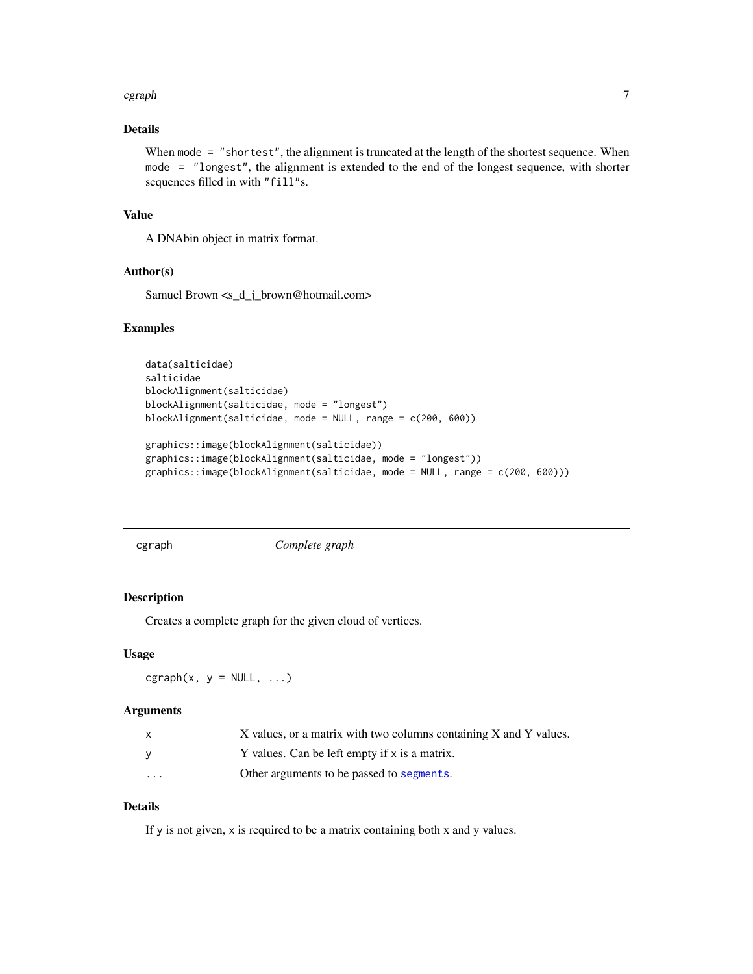#### <span id="page-6-0"></span>cgraph 7 and 2012 12:00 the contract of the contract of the contract of the contract of the contract of the contract of the contract of the contract of the contract of the contract of the contract of the contract of the co

# Details

When mode = "shortest", the alignment is truncated at the length of the shortest sequence. When mode = "longest", the alignment is extended to the end of the longest sequence, with shorter sequences filled in with "fill"s.

# Value

A DNAbin object in matrix format.

# Author(s)

Samuel Brown <s\_d\_j\_brown@hotmail.com>

#### Examples

```
data(salticidae)
salticidae
blockAlignment(salticidae)
blockAlignment(salticidae, mode = "longest")
blockAlignment(salticidae, mode = NULL, range = c(200, 600))
graphics::image(blockAlignment(salticidae))
graphics::image(blockAlignment(salticidae, mode = "longest"))
graphics::image(blockAlignment(salticidae, mode = NULL, range = c(200, 600)))
```
<span id="page-6-1"></span>

cgraph *Complete graph*

# Description

Creates a complete graph for the given cloud of vertices.

#### Usage

 $cgraph(x, y = NULL, ...)$ 

# Arguments

|                   | X values, or a matrix with two columns containing X and Y values. |
|-------------------|-------------------------------------------------------------------|
| v                 | Y values. Can be left empty if x is a matrix.                     |
| $\cdot\cdot\cdot$ | Other arguments to be passed to segments.                         |

# Details

If y is not given, x is required to be a matrix containing both x and y values.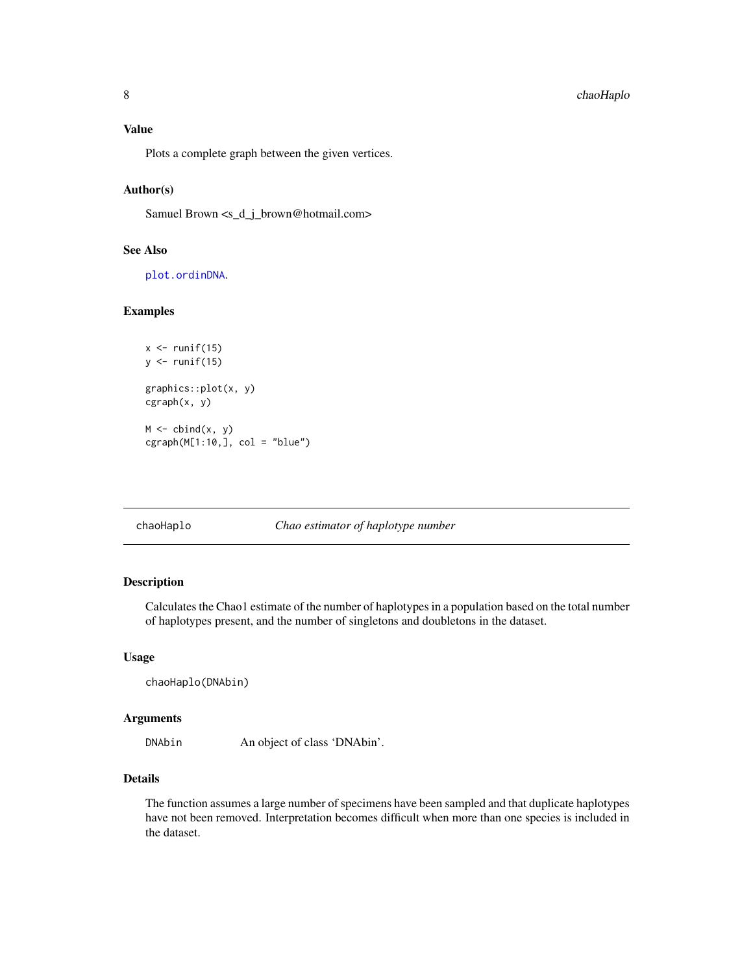<span id="page-7-0"></span>Plots a complete graph between the given vertices.

# Author(s)

Samuel Brown <s\_d\_j\_brown@hotmail.com>

# See Also

[plot.ordinDNA](#page-30-1).

# Examples

```
x \leftarrow runif(15)y \leftarrow runif(15)graphics::plot(x, y)
cgraph(x, y)
M \leftarrow \text{cbind}(x, y)cgraph(M[1:10,], col = "blue")
```
chaoHaplo *Chao estimator of haplotype number*

# Description

Calculates the Chao1 estimate of the number of haplotypes in a population based on the total number of haplotypes present, and the number of singletons and doubletons in the dataset.

# Usage

```
chaoHaplo(DNAbin)
```
# Arguments

DNAbin An object of class 'DNAbin'.

# Details

The function assumes a large number of specimens have been sampled and that duplicate haplotypes have not been removed. Interpretation becomes difficult when more than one species is included in the dataset.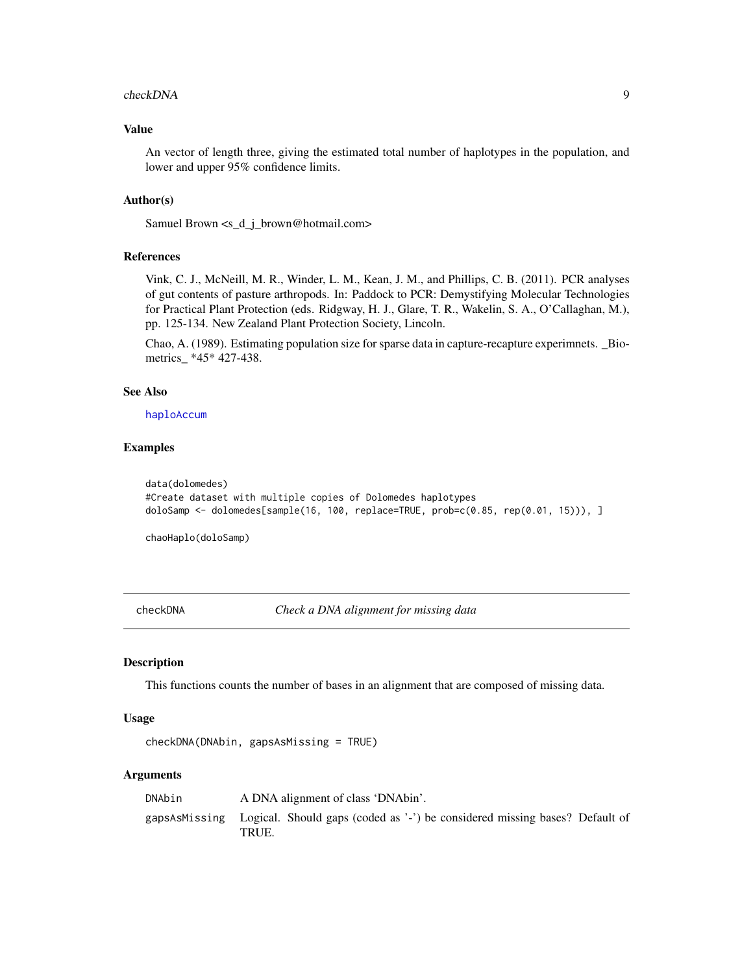#### <span id="page-8-0"></span>checkDNA 9

# Value

An vector of length three, giving the estimated total number of haplotypes in the population, and lower and upper 95% confidence limits.

# Author(s)

Samuel Brown <s\_d\_j\_brown@hotmail.com>

#### References

Vink, C. J., McNeill, M. R., Winder, L. M., Kean, J. M., and Phillips, C. B. (2011). PCR analyses of gut contents of pasture arthropods. In: Paddock to PCR: Demystifying Molecular Technologies for Practical Plant Protection (eds. Ridgway, H. J., Glare, T. R., Wakelin, S. A., O'Callaghan, M.), pp. 125-134. New Zealand Plant Protection Society, Lincoln.

Chao, A. (1989). Estimating population size for sparse data in capture-recapture experimnets. \_Biometrics\_ \*45\* 427-438.

#### See Also

[haploAccum](#page-10-1)

# Examples

```
data(dolomedes)
#Create dataset with multiple copies of Dolomedes haplotypes
doloSamp <- dolomedes[sample(16, 100, replace=TRUE, prob=c(0.85, rep(0.01, 15))), ]
```
chaoHaplo(doloSamp)

<span id="page-8-1"></span>checkDNA *Check a DNA alignment for missing data*

#### Description

This functions counts the number of bases in an alignment that are composed of missing data.

#### Usage

```
checkDNA(DNAbin, gapsAsMissing = TRUE)
```
#### Arguments

| DNAbin | A DNA alignment of class 'DNAbin'.                                                                 |
|--------|----------------------------------------------------------------------------------------------------|
|        | gapsAsMissing Logical. Should gaps (coded as '-') be considered missing bases? Default of<br>TRUE. |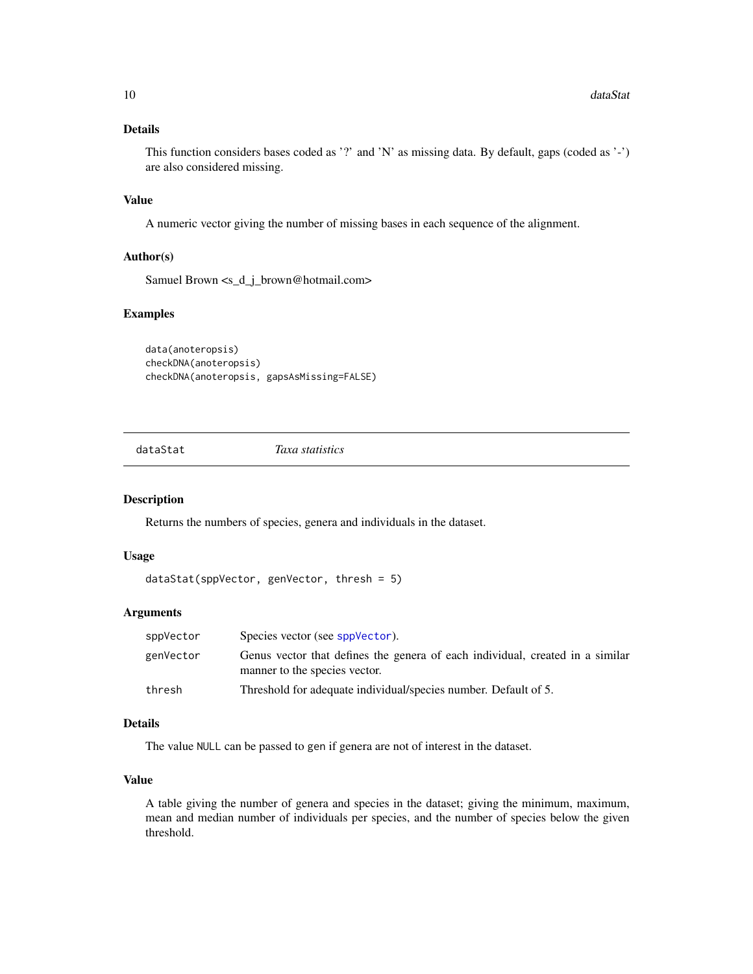# <span id="page-9-0"></span>Details

This function considers bases coded as '?' and 'N' as missing data. By default, gaps (coded as '-') are also considered missing.

#### Value

A numeric vector giving the number of missing bases in each sequence of the alignment.

# Author(s)

Samuel Brown <s\_d\_j\_brown@hotmail.com>

#### Examples

```
data(anoteropsis)
checkDNA(anoteropsis)
checkDNA(anoteropsis, gapsAsMissing=FALSE)
```
dataStat *Taxa statistics*

# Description

Returns the numbers of species, genera and individuals in the dataset.

# Usage

```
dataStat(sppVector, genVector, thresh = 5)
```
#### Arguments

| sppVector | Species vector (see sppVector).                                                                                |
|-----------|----------------------------------------------------------------------------------------------------------------|
| genVector | Genus vector that defines the genera of each individual, created in a similar<br>manner to the species vector. |
| thresh    | Threshold for adequate individual/species number. Default of 5.                                                |

# Details

The value NULL can be passed to gen if genera are not of interest in the dataset.

# Value

A table giving the number of genera and species in the dataset; giving the minimum, maximum, mean and median number of individuals per species, and the number of species below the given threshold.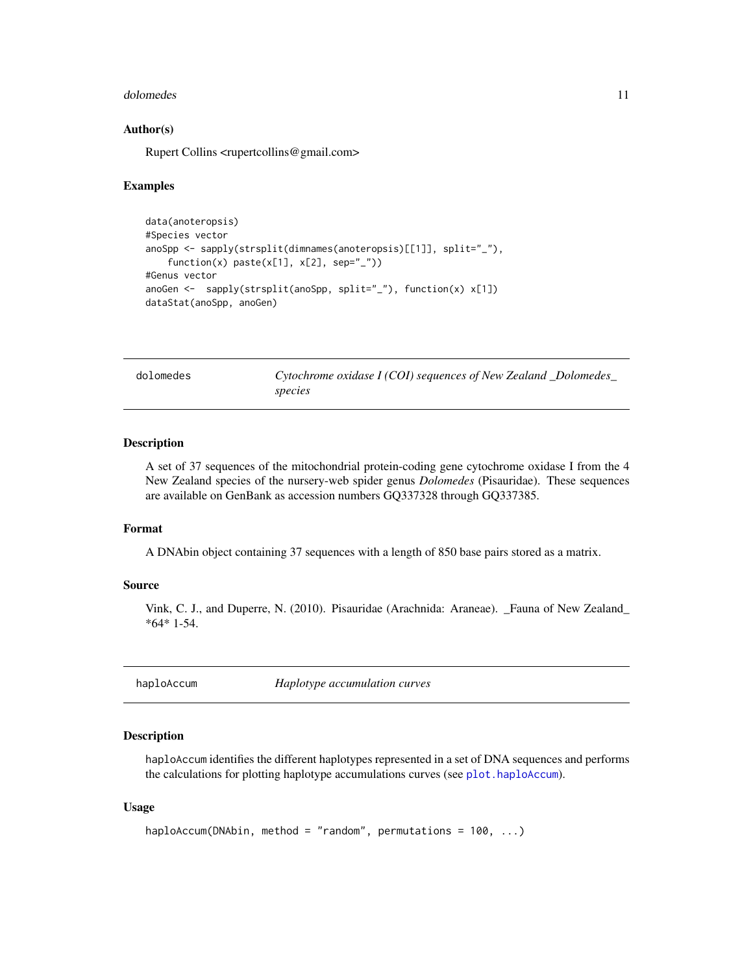#### <span id="page-10-0"></span>dolomedes and the set of the set of the set of the set of the set of the set of the set of the set of the set of the set of the set of the set of the set of the set of the set of the set of the set of the set of the set of

# Author(s)

Rupert Collins <rupertcollins@gmail.com>

#### Examples

```
data(anoteropsis)
#Species vector
anoSpp <- sapply(strsplit(dimnames(anoteropsis)[[1]], split="_"),
   function(x) paste(x[1], x[2], sep="_"))
#Genus vector
anoGen \leq sapply(strsplit(anoSpp, split="_"), function(x) x[1])
dataStat(anoSpp, anoGen)
```
dolomedes *Cytochrome oxidase I (COI) sequences of New Zealand \_Dolomedes\_ species*

#### Description

A set of 37 sequences of the mitochondrial protein-coding gene cytochrome oxidase I from the 4 New Zealand species of the nursery-web spider genus *Dolomedes* (Pisauridae). These sequences are available on GenBank as accession numbers GQ337328 through GQ337385.

#### Format

A DNAbin object containing 37 sequences with a length of 850 base pairs stored as a matrix.

# Source

Vink, C. J., and Duperre, N. (2010). Pisauridae (Arachnida: Araneae). \_Fauna of New Zealand\_ \*64\* 1-54.

<span id="page-10-1"></span>haploAccum *Haplotype accumulation curves*

# Description

haploAccum identifies the different haplotypes represented in a set of DNA sequences and performs the calculations for plotting haplotype accumulations curves (see [plot.haploAccum](#page-29-1)).

#### Usage

```
haploAccum(DNAbin, method = "random", permutations = 100, ...)
```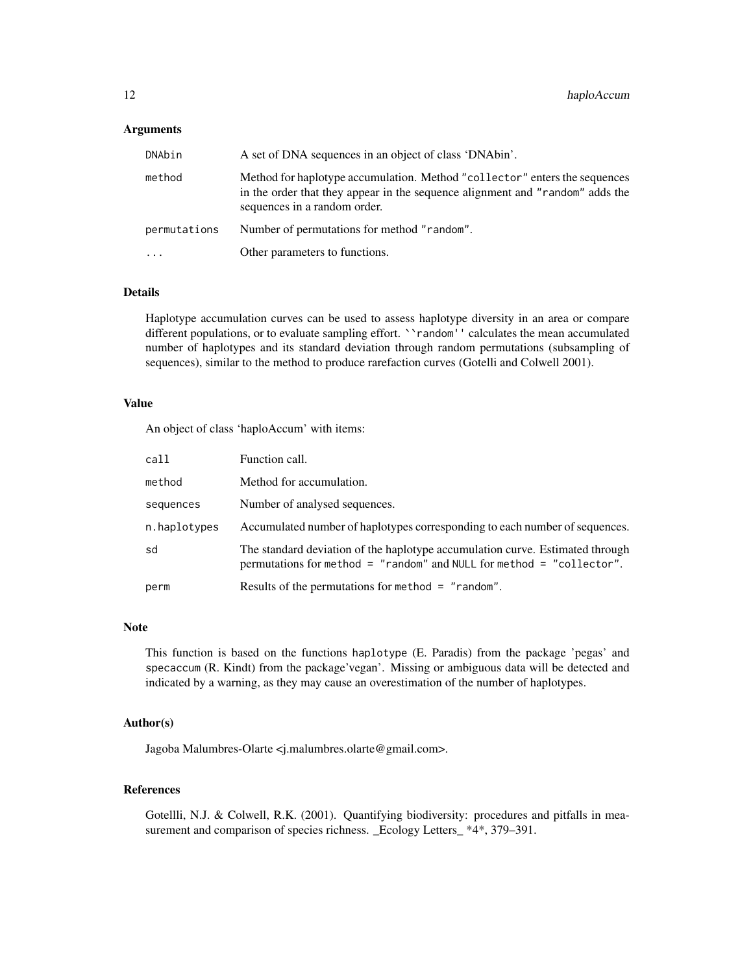# **Arguments**

| DNAbin       | A set of DNA sequences in an object of class 'DNAbin'.                                                                                                                                      |
|--------------|---------------------------------------------------------------------------------------------------------------------------------------------------------------------------------------------|
| method       | Method for haplotype accumulation. Method "collector" enters the sequences<br>in the order that they appear in the sequence alignment and "random" adds the<br>sequences in a random order. |
| permutations | Number of permutations for method "random".                                                                                                                                                 |
|              | Other parameters to functions.                                                                                                                                                              |

# Details

Haplotype accumulation curves can be used to assess haplotype diversity in an area or compare different populations, or to evaluate sampling effort. ``random'' calculates the mean accumulated number of haplotypes and its standard deviation through random permutations (subsampling of sequences), similar to the method to produce rarefaction curves (Gotelli and Colwell 2001).

#### Value

An object of class 'haploAccum' with items:

| call         | Function call.                                                                                                                                         |
|--------------|--------------------------------------------------------------------------------------------------------------------------------------------------------|
| method       | Method for accumulation.                                                                                                                               |
| sequences    | Number of analysed sequences.                                                                                                                          |
| n.haplotypes | Accumulated number of haplotypes corresponding to each number of sequences.                                                                            |
| sd           | The standard deviation of the haplotype accumulation curve. Estimated through<br>permutations for method = "random" and NULL for method = "collector". |
| perm         | Results of the permutations for method $=$ "random".                                                                                                   |

#### **Note**

This function is based on the functions haplotype (E. Paradis) from the package 'pegas' and specaccum (R. Kindt) from the package'vegan'. Missing or ambiguous data will be detected and indicated by a warning, as they may cause an overestimation of the number of haplotypes.

# Author(s)

Jagoba Malumbres-Olarte <j.malumbres.olarte@gmail.com>.

# References

Gotellli, N.J. & Colwell, R.K. (2001). Quantifying biodiversity: procedures and pitfalls in measurement and comparison of species richness. \_Ecology Letters\_ \*4\*, 379–391.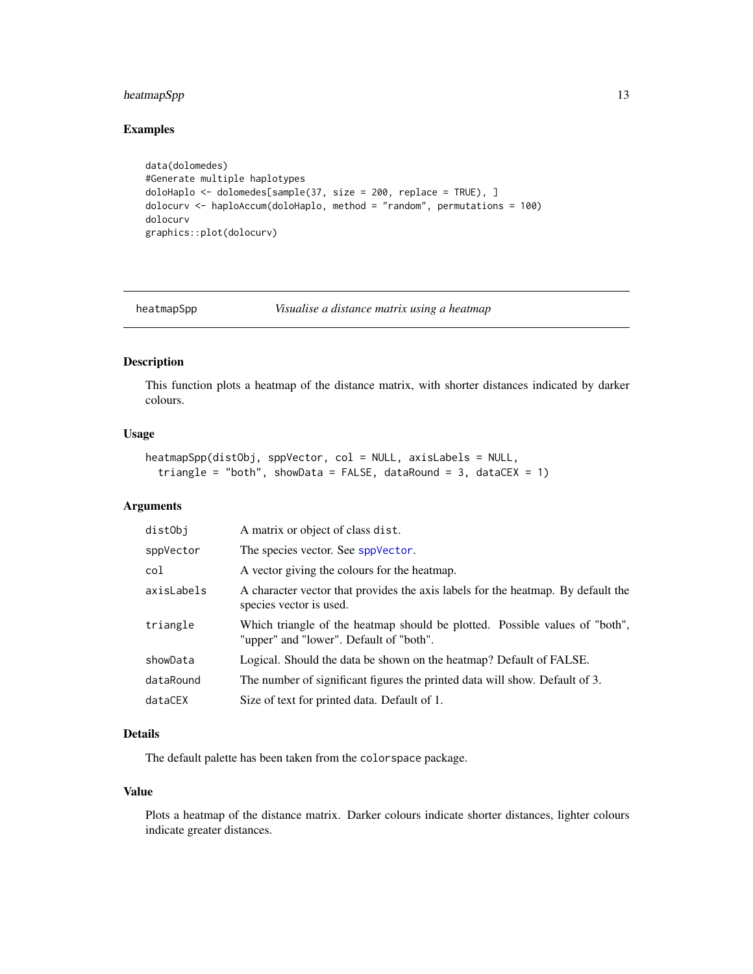# <span id="page-12-0"></span>heatmapSpp 13

# Examples

```
data(dolomedes)
#Generate multiple haplotypes
doloHaplo <- dolomedes[sample(37, size = 200, replace = TRUE), ]
dolocurv <- haploAccum(doloHaplo, method = "random", permutations = 100)
dolocurv
graphics::plot(dolocurv)
```
<span id="page-12-1"></span>

heatmapSpp *Visualise a distance matrix using a heatmap*

# Description

This function plots a heatmap of the distance matrix, with shorter distances indicated by darker colours.

#### Usage

```
heatmapSpp(distObj, sppVector, col = NULL, axisLabels = NULL,
  triangle = "both", showData = FALSE, dataRound = 3, dataCEX = 1)
```
# Arguments

| distObj    | A matrix or object of class dist.                                                                                      |
|------------|------------------------------------------------------------------------------------------------------------------------|
| sppVector  | The species vector. See sppVector.                                                                                     |
| col        | A vector giving the colours for the heatmap.                                                                           |
| axisLabels | A character vector that provides the axis labels for the heatmap. By default the<br>species vector is used.            |
| triangle   | Which triangle of the heatmap should be plotted. Possible values of "both",<br>"upper" and "lower". Default of "both". |
| showData   | Logical. Should the data be shown on the heatmap? Default of FALSE.                                                    |
| dataRound  | The number of significant figures the printed data will show. Default of 3.                                            |
| dataCEX    | Size of text for printed data. Default of 1.                                                                           |

# Details

The default palette has been taken from the colorspace package.

# Value

Plots a heatmap of the distance matrix. Darker colours indicate shorter distances, lighter colours indicate greater distances.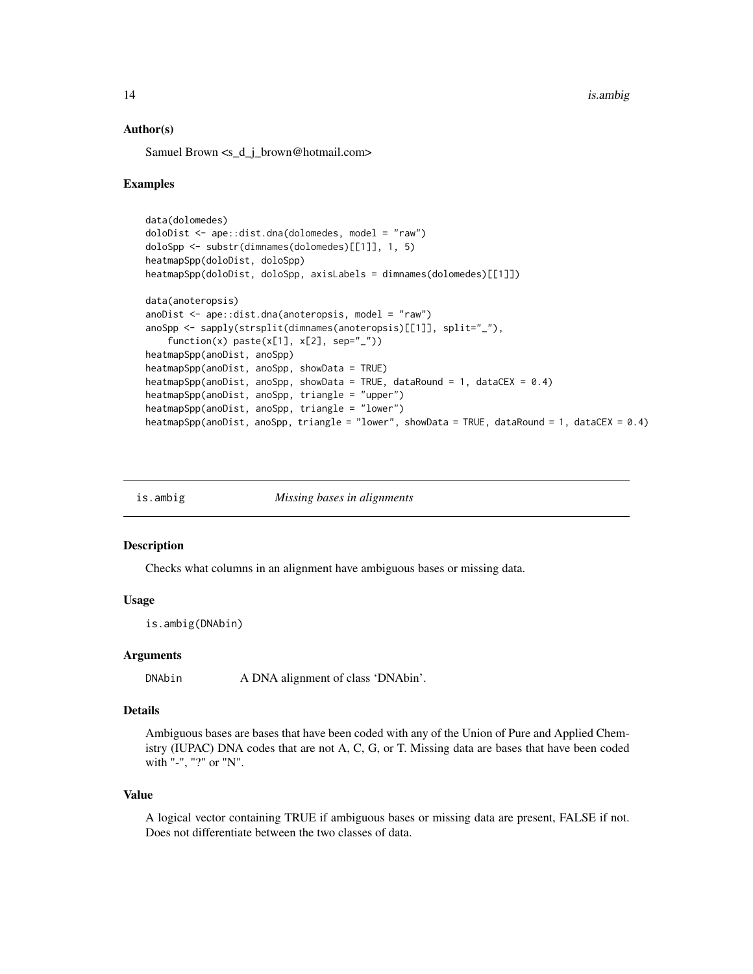<span id="page-13-0"></span>14 is.ambig

# Author(s)

Samuel Brown <s\_d\_j\_brown@hotmail.com>

# Examples

```
data(dolomedes)
doloDist <- ape::dist.dna(dolomedes, model = "raw")
doloSpp <- substr(dimnames(dolomedes)[[1]], 1, 5)
heatmapSpp(doloDist, doloSpp)
heatmapSpp(doloDist, doloSpp, axisLabels = dimnames(dolomedes)[[1]])
data(anoteropsis)
anoDist \leq ape::dist.dna(anoteropsis, model = "raw")
anoSpp <- sapply(strsplit(dimnames(anoteropsis)[[1]], split="_"),
    function(x) paste(x[1], x[2], sep="_"))
heatmapSpp(anoDist, anoSpp)
heatmapSpp(anoDist, anoSpp, showData = TRUE)
heatmapSpp(anoDist, anoSpp, showData = TRUE, dataRound = 1, dataCEX = 0.4)
heatmapSpp(anoDist, anoSpp, triangle = "upper")
heatmapSpp(anoDist, anoSpp, triangle = "lower")
heatmapSpp(anoDist, anoSpp, triangle = "lower", showData = TRUE, dataRound = 1, dataCEX = 0.4)
```

| is.ambig | Missing bases in alignments |
|----------|-----------------------------|
|          |                             |

# Description

Checks what columns in an alignment have ambiguous bases or missing data.

# Usage

is.ambig(DNAbin)

#### Arguments

DNAbin A DNA alignment of class 'DNAbin'.

#### Details

Ambiguous bases are bases that have been coded with any of the Union of Pure and Applied Chemistry (IUPAC) DNA codes that are not A, C, G, or T. Missing data are bases that have been coded with "-", "?" or "N".

#### Value

A logical vector containing TRUE if ambiguous bases or missing data are present, FALSE if not. Does not differentiate between the two classes of data.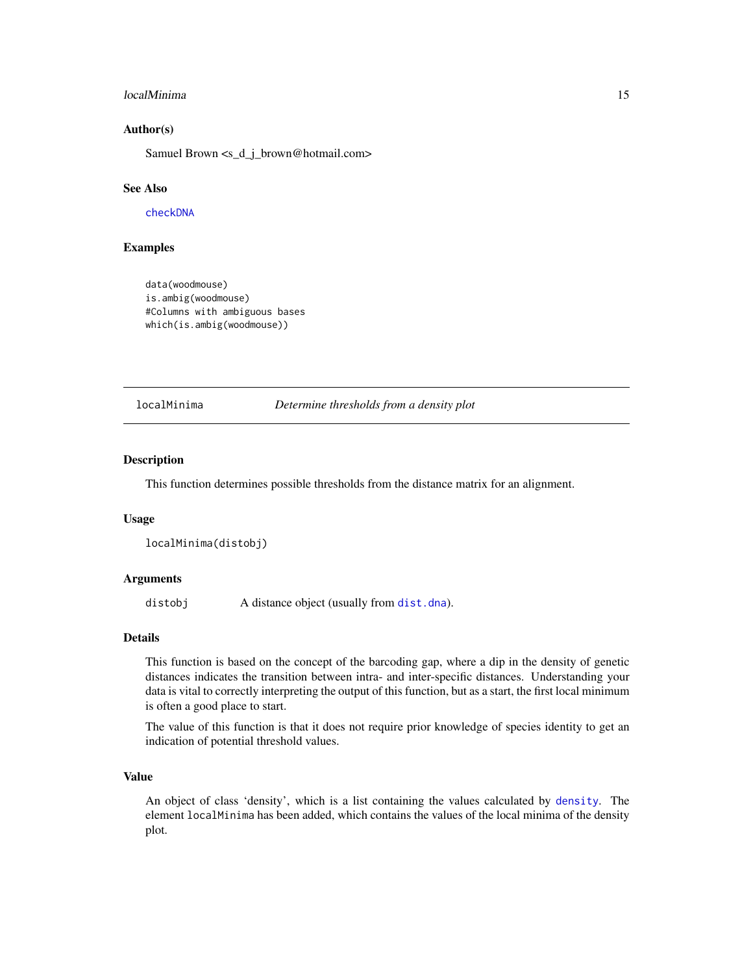#### <span id="page-14-0"></span>localMinima 15

# Author(s)

Samuel Brown <s\_d\_j\_brown@hotmail.com>

# See Also

[checkDNA](#page-8-1)

# Examples

```
data(woodmouse)
is.ambig(woodmouse)
#Columns with ambiguous bases
which(is.ambig(woodmouse))
```
<span id="page-14-1"></span>localMinima *Determine thresholds from a density plot*

# Description

This function determines possible thresholds from the distance matrix for an alignment.

#### Usage

```
localMinima(distobj)
```
#### Arguments

distobj A distance object (usually from [dist.dna](#page-0-0)).

# Details

This function is based on the concept of the barcoding gap, where a dip in the density of genetic distances indicates the transition between intra- and inter-specific distances. Understanding your data is vital to correctly interpreting the output of this function, but as a start, the first local minimum is often a good place to start.

The value of this function is that it does not require prior knowledge of species identity to get an indication of potential threshold values.

#### Value

An object of class 'density', which is a list containing the values calculated by [density](#page-0-0). The element localMinima has been added, which contains the values of the local minima of the density plot.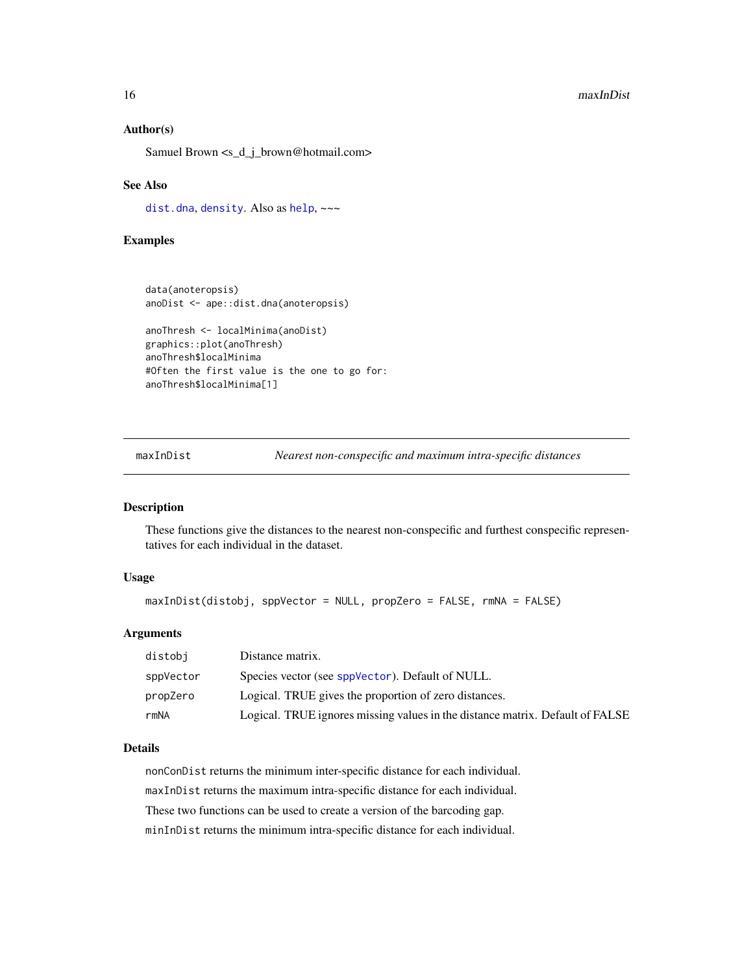#### Author(s)

Samuel Brown <s\_d\_j\_brown@hotmail.com>

#### See Also

[dist.dna](#page-0-0), [density](#page-0-0). Also as [help](#page-0-0),  $\sim\sim$ 

# Examples

```
data(anoteropsis)
anoDist <- ape::dist.dna(anoteropsis)
```

```
anoThresh <- localMinima(anoDist)
graphics::plot(anoThresh)
anoThresh$localMinima
#Often the first value is the one to go for:
anoThresh$localMinima[1]
```
maxInDist *Nearest non-conspecific and maximum intra-specific distances*

# Description

These functions give the distances to the nearest non-conspecific and furthest conspecific representatives for each individual in the dataset.

#### Usage

```
maxInDist(distobj, sppVector = NULL, propZero = FALSE, rmNA = FALSE)
```
#### Arguments

| distobi   | Distance matrix.                                                              |
|-----------|-------------------------------------------------------------------------------|
| sppVector | Species vector (see sppVector). Default of NULL.                              |
| propZero  | Logical. TRUE gives the proportion of zero distances.                         |
| rmNA      | Logical. TRUE ignores missing values in the distance matrix. Default of FALSE |

#### Details

nonConDist returns the minimum inter-specific distance for each individual. maxInDist returns the maximum intra-specific distance for each individual. These two functions can be used to create a version of the barcoding gap. minInDist returns the minimum intra-specific distance for each individual.

<span id="page-15-0"></span>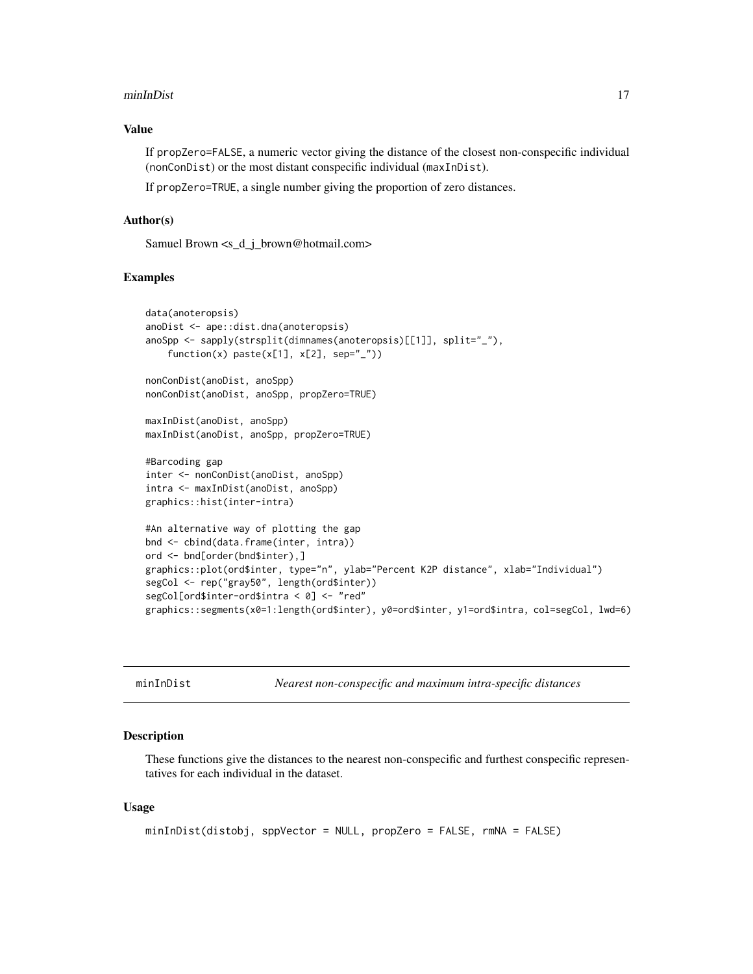#### <span id="page-16-0"></span>minInDist 2008 and 2008 and 2008 and 2008 and 2008 and 2008 and 2008 and 2008 and 2008 and 2008 and 2008 and 2008 and 2008 and 2008 and 2008 and 2008 and 2008 and 2008 and 2008 and 2008 and 2008 and 2008 and 2008 and 2008

# Value

If propZero=FALSE, a numeric vector giving the distance of the closest non-conspecific individual (nonConDist) or the most distant conspecific individual (maxInDist).

If propZero=TRUE, a single number giving the proportion of zero distances.

#### Author(s)

Samuel Brown <s\_d\_j\_brown@hotmail.com>

# Examples

```
data(anoteropsis)
anoDist <- ape::dist.dna(anoteropsis)
anoSpp <- sapply(strsplit(dimnames(anoteropsis)[[1]], split="_"),
    function(x) paste(x[1], x[2], sep="_"))
nonConDist(anoDist, anoSpp)
nonConDist(anoDist, anoSpp, propZero=TRUE)
maxInDist(anoDist, anoSpp)
maxInDist(anoDist, anoSpp, propZero=TRUE)
#Barcoding gap
inter <- nonConDist(anoDist, anoSpp)
intra <- maxInDist(anoDist, anoSpp)
graphics::hist(inter-intra)
#An alternative way of plotting the gap
bnd <- cbind(data.frame(inter, intra))
ord <- bnd[order(bnd$inter),]
graphics::plot(ord$inter, type="n", ylab="Percent K2P distance", xlab="Individual")
segCol <- rep("gray50", length(ord$inter))
segCol[ord$inter-ord$intra < 0] <- "red"
graphics::segments(x0=1:length(ord$inter), y0=ord$inter, y1=ord$intra, col=segCol, lwd=6)
```
minInDist *Nearest non-conspecific and maximum intra-specific distances*

#### Description

These functions give the distances to the nearest non-conspecific and furthest conspecific representatives for each individual in the dataset.

#### Usage

```
minInDist(distobj, sppVector = NULL, propZero = FALSE, rmNA = FALSE)
```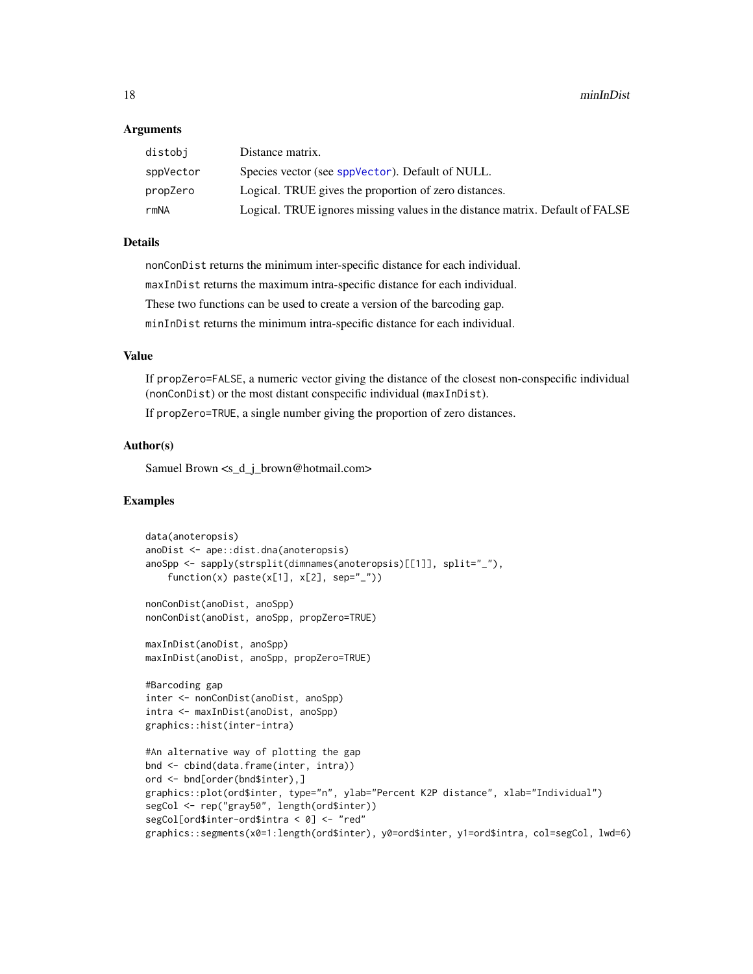# <span id="page-17-0"></span>Arguments

| distobi   | Distance matrix.                                                              |
|-----------|-------------------------------------------------------------------------------|
| sppVector | Species vector (see sppVector). Default of NULL.                              |
| propZero  | Logical. TRUE gives the proportion of zero distances.                         |
| rmNA      | Logical. TRUE ignores missing values in the distance matrix. Default of FALSE |

# Details

nonConDist returns the minimum inter-specific distance for each individual. maxInDist returns the maximum intra-specific distance for each individual. These two functions can be used to create a version of the barcoding gap. minInDist returns the minimum intra-specific distance for each individual.

# Value

If propZero=FALSE, a numeric vector giving the distance of the closest non-conspecific individual (nonConDist) or the most distant conspecific individual (maxInDist).

If propZero=TRUE, a single number giving the proportion of zero distances.

# Author(s)

Samuel Brown <s\_d\_j\_brown@hotmail.com>

# Examples

```
data(anoteropsis)
anoDist <- ape::dist.dna(anoteropsis)
anoSpp <- sapply(strsplit(dimnames(anoteropsis)[[1]], split="_"),
    function(x) paste(x[1], x[2], sep="_"))
nonConDist(anoDist, anoSpp)
nonConDist(anoDist, anoSpp, propZero=TRUE)
maxInDist(anoDist, anoSpp)
maxInDist(anoDist, anoSpp, propZero=TRUE)
#Barcoding gap
inter <- nonConDist(anoDist, anoSpp)
intra <- maxInDist(anoDist, anoSpp)
graphics::hist(inter-intra)
#An alternative way of plotting the gap
bnd <- cbind(data.frame(inter, intra))
ord <- bnd[order(bnd$inter),]
graphics::plot(ord$inter, type="n", ylab="Percent K2P distance", xlab="Individual")
segCol <- rep("gray50", length(ord$inter))
segCol[ord$inter-ord$intra < 0] <- "red"
graphics::segments(x0=1:length(ord$inter), y0=ord$inter, y1=ord$intra, col=segCol, lwd=6)
```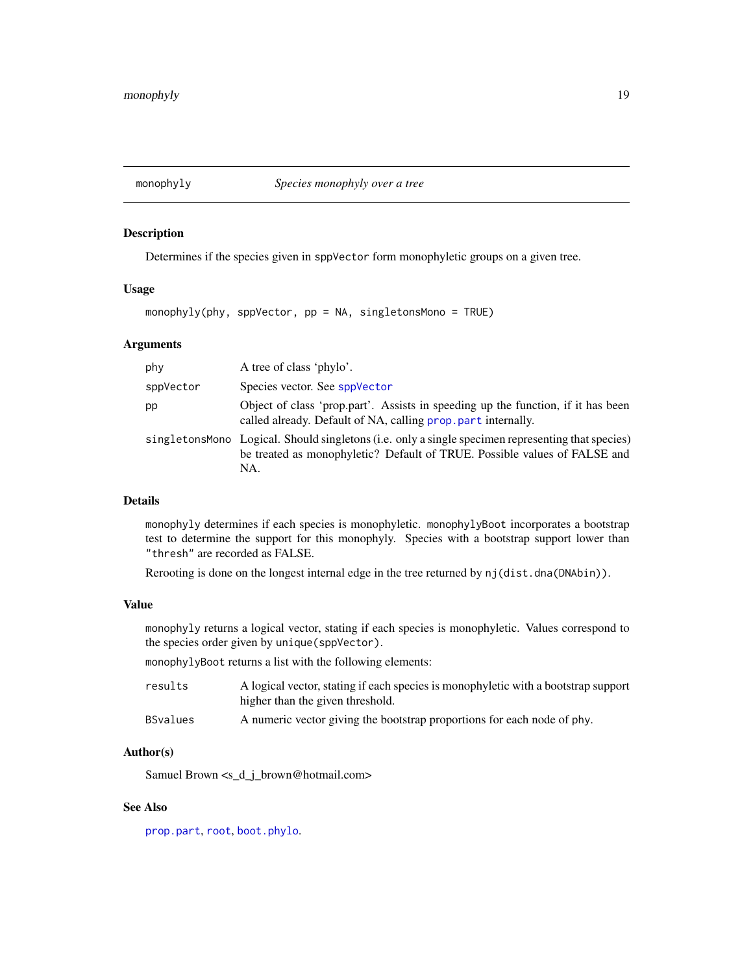<span id="page-18-1"></span><span id="page-18-0"></span>

Determines if the species given in sppVector form monophyletic groups on a given tree.

# Usage

```
monophyly(phy, sppVector, pp = NA, singletonsMono = TRUE)
```
# Arguments

| phy       | A tree of class 'phylo'.                                                                                                                                                               |
|-----------|----------------------------------------------------------------------------------------------------------------------------------------------------------------------------------------|
| sppVector | Species vector. See sppVector                                                                                                                                                          |
| pp        | Object of class 'prop.part'. Assists in speeding up the function, if it has been<br>called already. Default of NA, calling prop. part internally.                                      |
|           | singletons Mono Logical. Should singletons (i.e. only a single specimen representing that species)<br>be treated as monophyletic? Default of TRUE. Possible values of FALSE and<br>NA. |

# Details

monophyly determines if each species is monophyletic. monophylyBoot incorporates a bootstrap test to determine the support for this monophyly. Species with a bootstrap support lower than "thresh" are recorded as FALSE.

Rerooting is done on the longest internal edge in the tree returned by nj(dist.dna(DNAbin)).

# Value

monophyly returns a logical vector, stating if each species is monophyletic. Values correspond to the species order given by unique(sppVector).

monophylyBoot returns a list with the following elements:

| results  | A logical vector, stating if each species is monophyletic with a bootstrap support<br>higher than the given threshold. |
|----------|------------------------------------------------------------------------------------------------------------------------|
| BSvalues | A numeric vector giving the bootstrap proportions for each node of phy.                                                |

# Author(s)

Samuel Brown <s\_d\_j\_brown@hotmail.com>

#### See Also

[prop.part](#page-0-0), [root](#page-0-0), [boot.phylo](#page-0-0).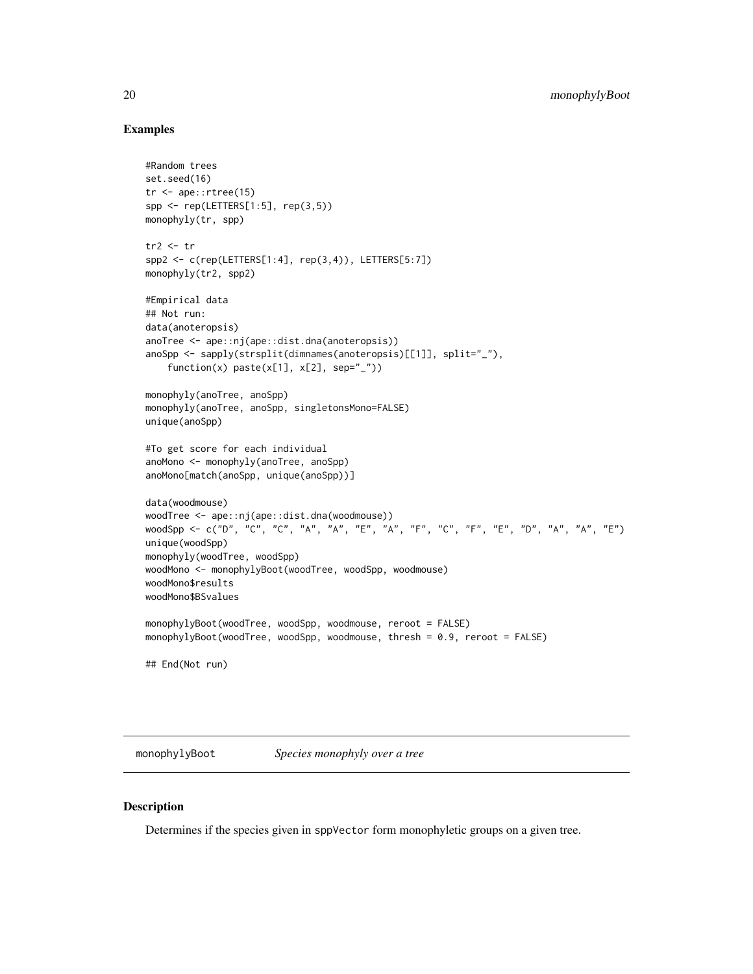# Examples

```
#Random trees
set.seed(16)
tr <- ape::rtree(15)
spp <- rep(LETTERS[1:5], rep(3,5))
monophyly(tr, spp)
tr2 < - trspp2 \leq c (rep(LETTERS[1:4], rep(3,4)), LETTERS[5:7])
monophyly(tr2, spp2)
#Empirical data
## Not run:
data(anoteropsis)
anoTree <- ape::nj(ape::dist.dna(anoteropsis))
anoSpp <- sapply(strsplit(dimnames(anoteropsis)[[1]], split="_"),
    function(x) paste(x[1], x[2], sep="_"))
monophyly(anoTree, anoSpp)
monophyly(anoTree, anoSpp, singletonsMono=FALSE)
unique(anoSpp)
#To get score for each individual
anoMono <- monophyly(anoTree, anoSpp)
anoMono[match(anoSpp, unique(anoSpp))]
data(woodmouse)
woodTree <- ape::nj(ape::dist.dna(woodmouse))
woodSpp <- c("D", "C", "C", "A", "A", "E", "A", "F", "C", "F", "E", "D", "A", "A", "E")
unique(woodSpp)
monophyly(woodTree, woodSpp)
woodMono <- monophylyBoot(woodTree, woodSpp, woodmouse)
woodMono$results
woodMono$BSvalues
monophylyBoot(woodTree, woodSpp, woodmouse, reroot = FALSE)
monophylyBoot(woodTree, woodSpp, woodmouse, thresh = 0.9, reroot = FALSE)
## End(Not run)
```
monophylyBoot *Species monophyly over a tree*

#### Description

Determines if the species given in sppVector form monophyletic groups on a given tree.

<span id="page-19-0"></span>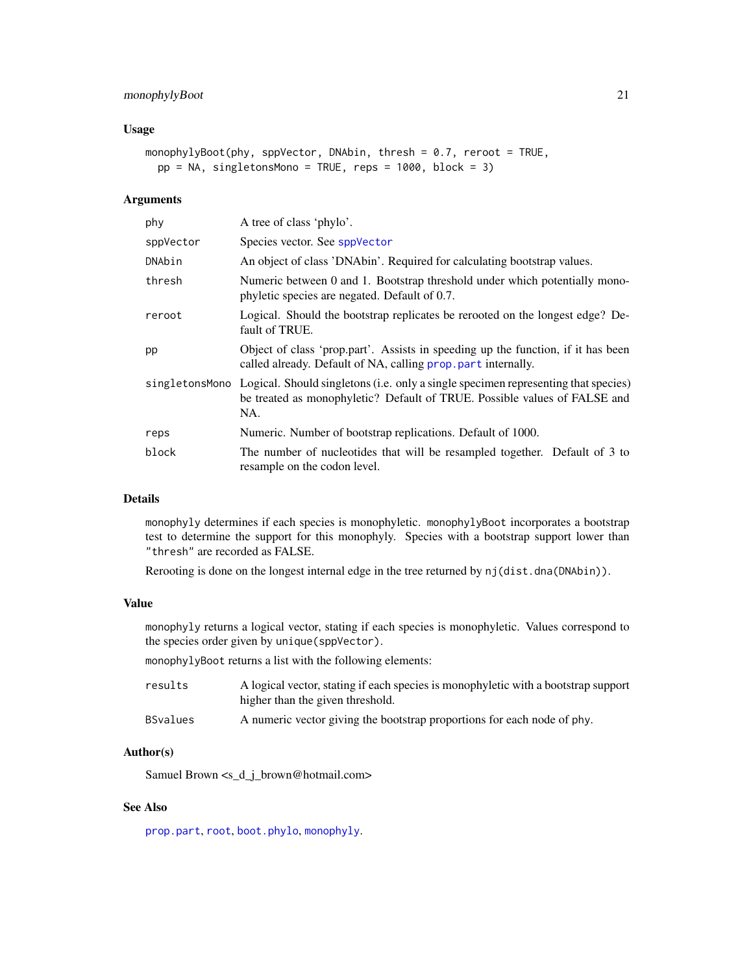#### <span id="page-20-0"></span>Usage

```
monophylyBoot(phy, sppVector, DNAbin, thresh = 0.7, reroot = TRUE,
 pp = NA, singletonsMono = TRUE, reps = 1000, block = 3)
```
# Arguments

| phy       | A tree of class 'phylo'.                                                                                                                                                              |
|-----------|---------------------------------------------------------------------------------------------------------------------------------------------------------------------------------------|
| sppVector | Species vector. See sppVector                                                                                                                                                         |
| DNAbin    | An object of class 'DNAbin'. Required for calculating bootstrap values.                                                                                                               |
| thresh    | Numeric between 0 and 1. Bootstrap threshold under which potentially mono-<br>phyletic species are negated. Default of 0.7.                                                           |
| reroot    | Logical. Should the bootstrap replicates be rerooted on the longest edge? De-<br>fault of TRUE.                                                                                       |
| pp        | Object of class 'prop.part'. Assists in speeding up the function, if it has been<br>called already. Default of NA, calling prop. part internally.                                     |
|           | singletonsMono Logical. Should singletons (i.e. only a single specimen representing that species)<br>be treated as monophyletic? Default of TRUE. Possible values of FALSE and<br>NA. |
| reps      | Numeric. Number of bootstrap replications. Default of 1000.                                                                                                                           |
| block     | The number of nucleotides that will be resampled together. Default of 3 to<br>resample on the codon level.                                                                            |

# Details

monophyly determines if each species is monophyletic. monophylyBoot incorporates a bootstrap test to determine the support for this monophyly. Species with a bootstrap support lower than "thresh" are recorded as FALSE.

Rerooting is done on the longest internal edge in the tree returned by nj(dist.dna(DNAbin)).

# Value

monophyly returns a logical vector, stating if each species is monophyletic. Values correspond to the species order given by unique(sppVector).

monophylyBoot returns a list with the following elements:

| results         | A logical vector, stating if each species is monophyletic with a bootstrap support<br>higher than the given threshold. |
|-----------------|------------------------------------------------------------------------------------------------------------------------|
| <b>BSvalues</b> | A numeric vector giving the bootstrap proportions for each node of phy.                                                |

# Author(s)

Samuel Brown <s\_d\_j\_brown@hotmail.com>

#### See Also

[prop.part](#page-0-0), [root](#page-0-0), [boot.phylo](#page-0-0), [monophyly](#page-18-1).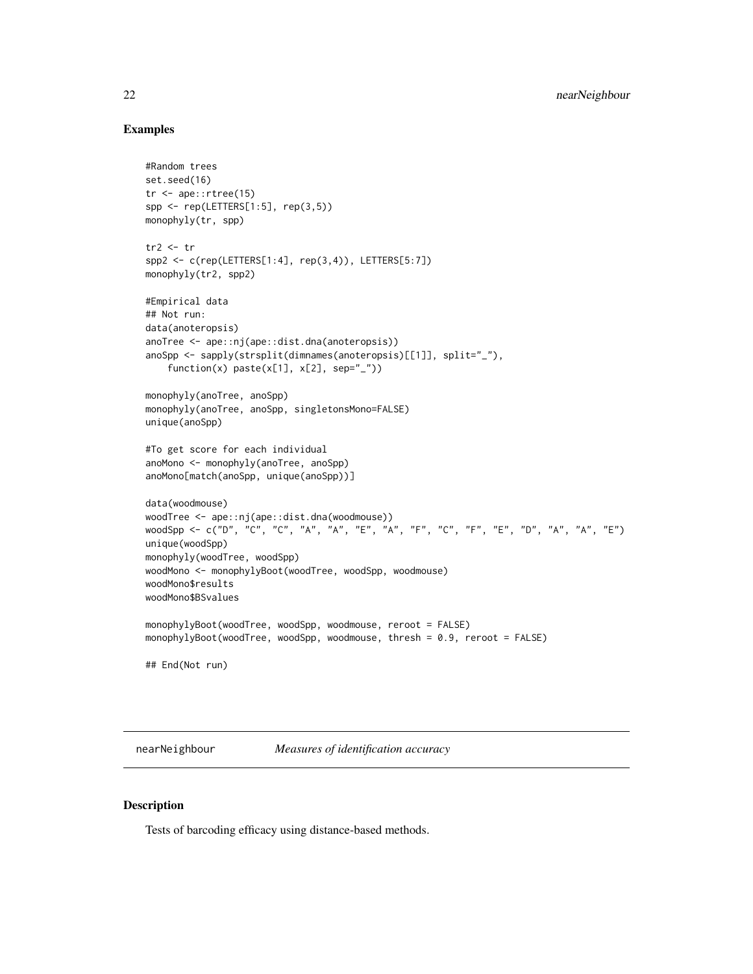# Examples

```
#Random trees
set.seed(16)
tr <- ape::rtree(15)
spp <- rep(LETTERS[1:5], rep(3,5))
monophyly(tr, spp)
tr2 < - trspp2 <- c(rep(LETTERS[1:4], rep(3,4)), LETTERS[5:7])
monophyly(tr2, spp2)
#Empirical data
## Not run:
data(anoteropsis)
anoTree <- ape::nj(ape::dist.dna(anoteropsis))
anoSpp <- sapply(strsplit(dimnames(anoteropsis)[[1]], split="_"),
    function(x) paste(x[1], x[2], sep="_"))
monophyly(anoTree, anoSpp)
monophyly(anoTree, anoSpp, singletonsMono=FALSE)
unique(anoSpp)
#To get score for each individual
anoMono <- monophyly(anoTree, anoSpp)
anoMono[match(anoSpp, unique(anoSpp))]
data(woodmouse)
woodTree <- ape::nj(ape::dist.dna(woodmouse))
woodSpp <- c("D", "C", "C", "A", "A", "E", "A", "F", "C", "F", "E", "D", "A", "A", "E")
unique(woodSpp)
monophyly(woodTree, woodSpp)
woodMono <- monophylyBoot(woodTree, woodSpp, woodmouse)
woodMono$results
woodMono$BSvalues
monophylyBoot(woodTree, woodSpp, woodmouse, reroot = FALSE)
monophylyBoot(woodTree, woodSpp, woodmouse, thresh = 0.9, reroot = FALSE)
## End(Not run)
```
<span id="page-21-1"></span>nearNeighbour *Measures of identification accuracy*

# Description

Tests of barcoding efficacy using distance-based methods.

<span id="page-21-0"></span>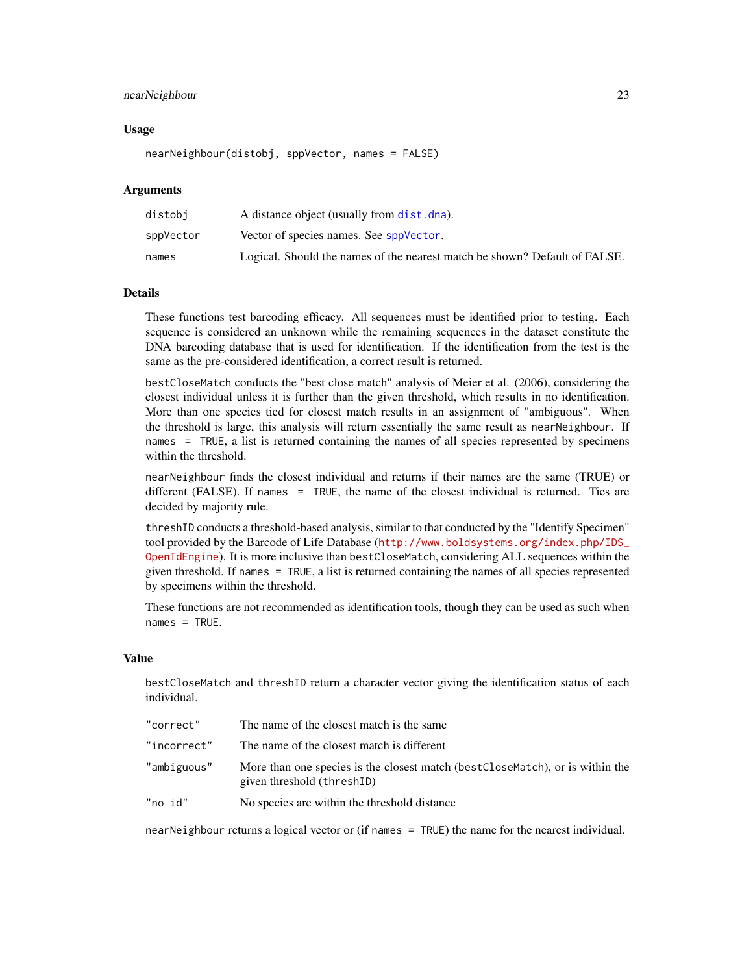# <span id="page-22-0"></span>nearNeighbour 23

# Usage

nearNeighbour(distobj, sppVector, names = FALSE)

#### **Arguments**

| distobi   | A distance object (usually from dist. dna).                                |
|-----------|----------------------------------------------------------------------------|
| sppVector | Vector of species names. See sppVector.                                    |
| names     | Logical. Should the names of the nearest match be shown? Default of FALSE. |

# Details

These functions test barcoding efficacy. All sequences must be identified prior to testing. Each sequence is considered an unknown while the remaining sequences in the dataset constitute the DNA barcoding database that is used for identification. If the identification from the test is the same as the pre-considered identification, a correct result is returned.

bestCloseMatch conducts the "best close match" analysis of Meier et al. (2006), considering the closest individual unless it is further than the given threshold, which results in no identification. More than one species tied for closest match results in an assignment of "ambiguous". When the threshold is large, this analysis will return essentially the same result as nearNeighbour. If names = TRUE, a list is returned containing the names of all species represented by specimens within the threshold.

nearNeighbour finds the closest individual and returns if their names are the same (TRUE) or different (FALSE). If names = TRUE, the name of the closest individual is returned. Ties are decided by majority rule.

threshID conducts a threshold-based analysis, similar to that conducted by the "Identify Specimen" tool provided by the Barcode of Life Database ([http://www.boldsystems.org/index.php/IDS\\_](http://www.boldsystems.org/index.php/IDS_OpenIdEngine) [OpenIdEngine](http://www.boldsystems.org/index.php/IDS_OpenIdEngine)). It is more inclusive than bestCloseMatch, considering ALL sequences within the given threshold. If names = TRUE, a list is returned containing the names of all species represented by specimens within the threshold.

These functions are not recommended as identification tools, though they can be used as such when names = TRUE.

# Value

bestCloseMatch and threshID return a character vector giving the identification status of each individual.

| The name of the closest match is the same                                                                    |
|--------------------------------------------------------------------------------------------------------------|
| The name of the closest match is different                                                                   |
| More than one species is the closest match (best CloseMatch), or is within the<br>given threshold (threshID) |
| No species are within the threshold distance                                                                 |
|                                                                                                              |

nearNeighbour returns a logical vector or (if names = TRUE) the name for the nearest individual.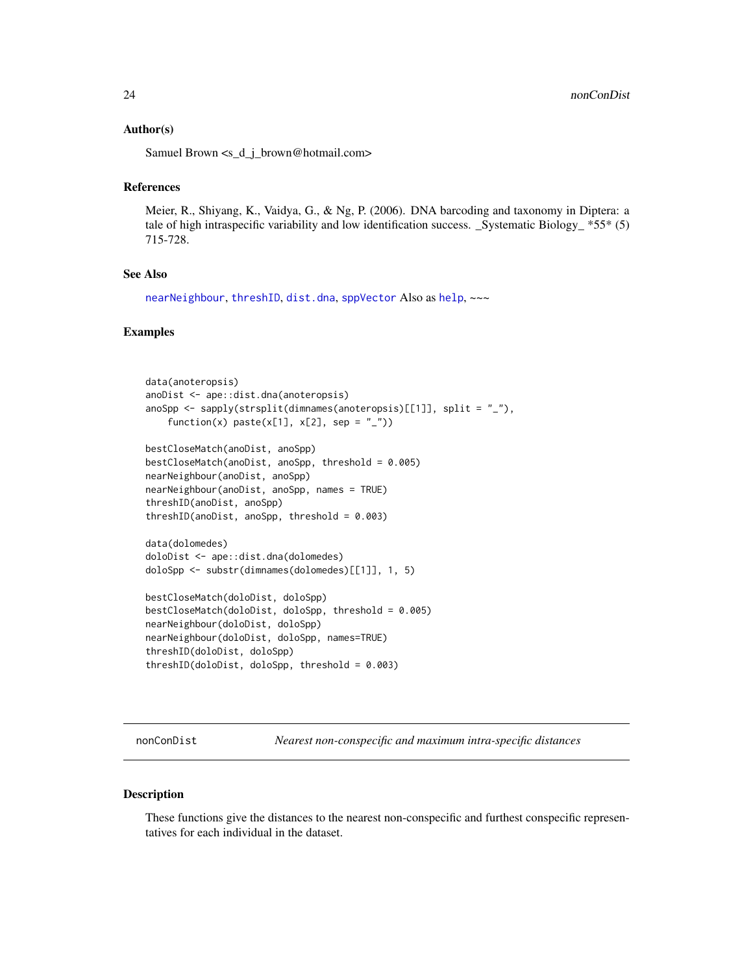# <span id="page-23-0"></span>Author(s)

Samuel Brown <s\_d\_j\_brown@hotmail.com>

#### References

Meier, R., Shiyang, K., Vaidya, G., & Ng, P. (2006). DNA barcoding and taxonomy in Diptera: a tale of high intraspecific variability and low identification success. \_Systematic Biology\_  $*55*(5)$ 715-728.

# See Also

[nearNeighbour](#page-21-1), [threshID](#page-61-1), [dist.dna](#page-0-0), [sppVector](#page-56-1) Also as [help](#page-0-0), ~~~

# Examples

```
data(anoteropsis)
anoDist <- ape::dist.dna(anoteropsis)
anoSpp \leq sapply(strsplit(dimnames(anoteropsis)[[1]], split = "_"),
    function(x) paste(x[1], x[2], sep = "_"))
bestCloseMatch(anoDist, anoSpp)
bestCloseMatch(anoDist, anoSpp, threshold = 0.005)
nearNeighbour(anoDist, anoSpp)
nearNeighbour(anoDist, anoSpp, names = TRUE)
threshID(anoDist, anoSpp)
threshID(anoDist, anoSpp, threshold = 0.003)
data(dolomedes)
doloDist <- ape::dist.dna(dolomedes)
doloSpp <- substr(dimnames(dolomedes)[[1]], 1, 5)
bestCloseMatch(doloDist, doloSpp)
bestCloseMatch(doloDist, doloSpp, threshold = 0.005)
nearNeighbour(doloDist, doloSpp)
nearNeighbour(doloDist, doloSpp, names=TRUE)
threshID(doloDist, doloSpp)
threshID(doloDist, doloSpp, threshold = 0.003)
```
<span id="page-23-1"></span>nonConDist *Nearest non-conspecific and maximum intra-specific distances*

# Description

These functions give the distances to the nearest non-conspecific and furthest conspecific representatives for each individual in the dataset.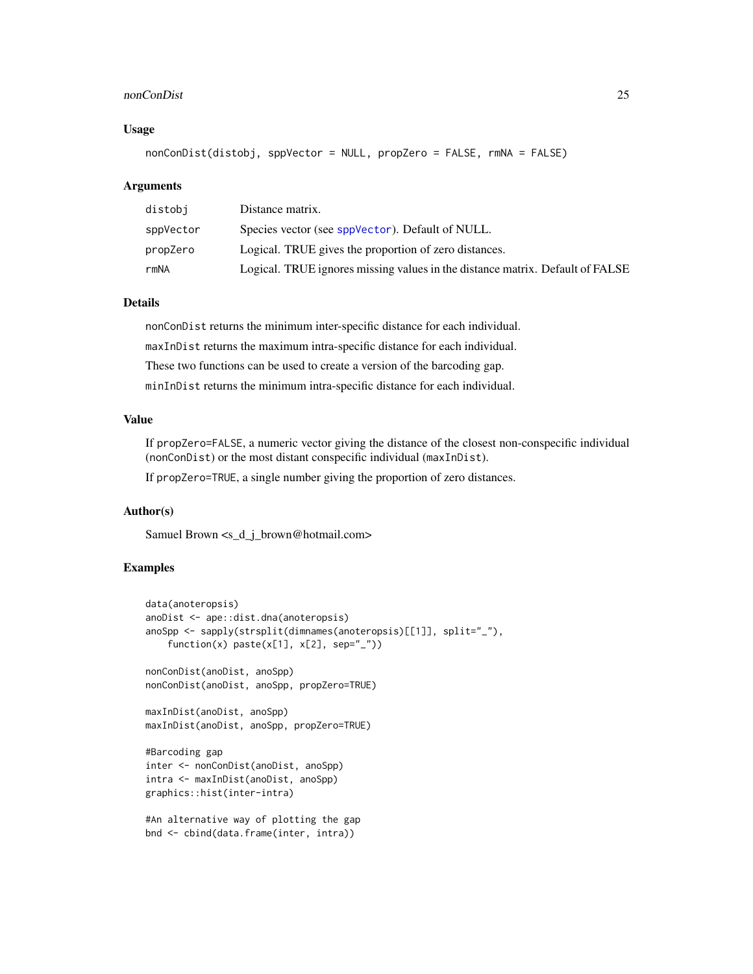#### nonConDist 25

# Usage

nonConDist(distobj, sppVector = NULL, propZero = FALSE, rmNA = FALSE)

# Arguments

| distobi   | Distance matrix.                                                              |
|-----------|-------------------------------------------------------------------------------|
| sppVector | Species vector (see sppVector). Default of NULL.                              |
| propZero  | Logical. TRUE gives the proportion of zero distances.                         |
| rmNA      | Logical. TRUE ignores missing values in the distance matrix. Default of FALSE |

# Details

nonConDist returns the minimum inter-specific distance for each individual. maxInDist returns the maximum intra-specific distance for each individual. These two functions can be used to create a version of the barcoding gap. minInDist returns the minimum intra-specific distance for each individual.

# Value

If propZero=FALSE, a numeric vector giving the distance of the closest non-conspecific individual (nonConDist) or the most distant conspecific individual (maxInDist).

If propZero=TRUE, a single number giving the proportion of zero distances.

# Author(s)

Samuel Brown <s\_d\_j\_brown@hotmail.com>

# Examples

```
data(anoteropsis)
anoDist <- ape::dist.dna(anoteropsis)
anoSpp <- sapply(strsplit(dimnames(anoteropsis)[[1]], split="_"),
    function(x) past(x[1], x[2], sep='}'')nonConDist(anoDist, anoSpp)
nonConDist(anoDist, anoSpp, propZero=TRUE)
maxInDist(anoDist, anoSpp)
maxInDist(anoDist, anoSpp, propZero=TRUE)
#Barcoding gap
inter <- nonConDist(anoDist, anoSpp)
intra <- maxInDist(anoDist, anoSpp)
graphics::hist(inter-intra)
#An alternative way of plotting the gap
bnd <- cbind(data.frame(inter, intra))
```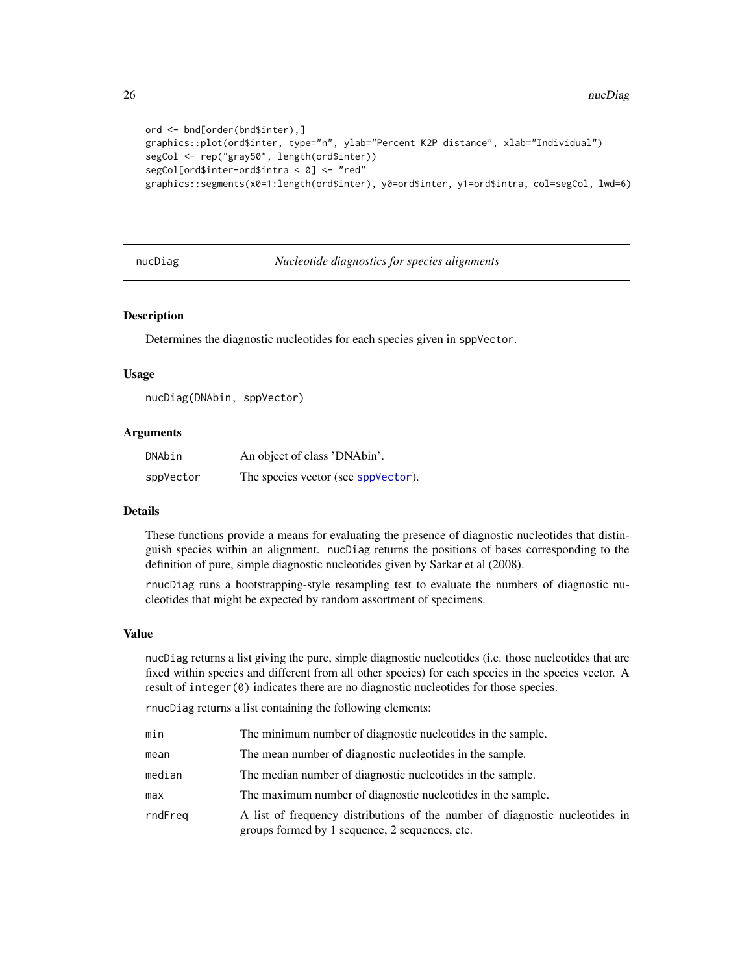```
ord <- bnd[order(bnd$inter),]
graphics::plot(ord$inter, type="n", ylab="Percent K2P distance", xlab="Individual")
segCol <- rep("gray50", length(ord$inter))
segCol[ord$inter-ord$intra < 0] <- "red"
graphics::segments(x0=1:length(ord$inter), y0=ord$inter, y1=ord$intra, col=segCol, lwd=6)
```
<span id="page-25-1"></span>nucDiag *Nucleotide diagnostics for species alignments*

#### Description

Determines the diagnostic nucleotides for each species given in sppVector.

#### Usage

```
nucDiag(DNAbin, sppVector)
```
# Arguments

| DNAbin    | An object of class 'DNAbin'.        |
|-----------|-------------------------------------|
| sppVector | The species vector (see sppVector). |

#### Details

These functions provide a means for evaluating the presence of diagnostic nucleotides that distinguish species within an alignment. nucDiag returns the positions of bases corresponding to the definition of pure, simple diagnostic nucleotides given by Sarkar et al (2008).

rnucDiag runs a bootstrapping-style resampling test to evaluate the numbers of diagnostic nucleotides that might be expected by random assortment of specimens.

# Value

nucDiag returns a list giving the pure, simple diagnostic nucleotides (i.e. those nucleotides that are fixed within species and different from all other species) for each species in the species vector. A result of integer(0) indicates there are no diagnostic nucleotides for those species.

rnucDiag returns a list containing the following elements:

| min     | The minimum number of diagnostic nucleotides in the sample.                  |
|---------|------------------------------------------------------------------------------|
| mean    | The mean number of diagnostic nucleotides in the sample.                     |
| median  | The median number of diagnostic nucleotides in the sample.                   |
| max     | The maximum number of diagnostic nucleotides in the sample.                  |
| rndFreq | A list of frequency distributions of the number of diagnostic nucleotides in |

groups formed by 1 sequence, 2 sequences, etc.

<span id="page-25-0"></span>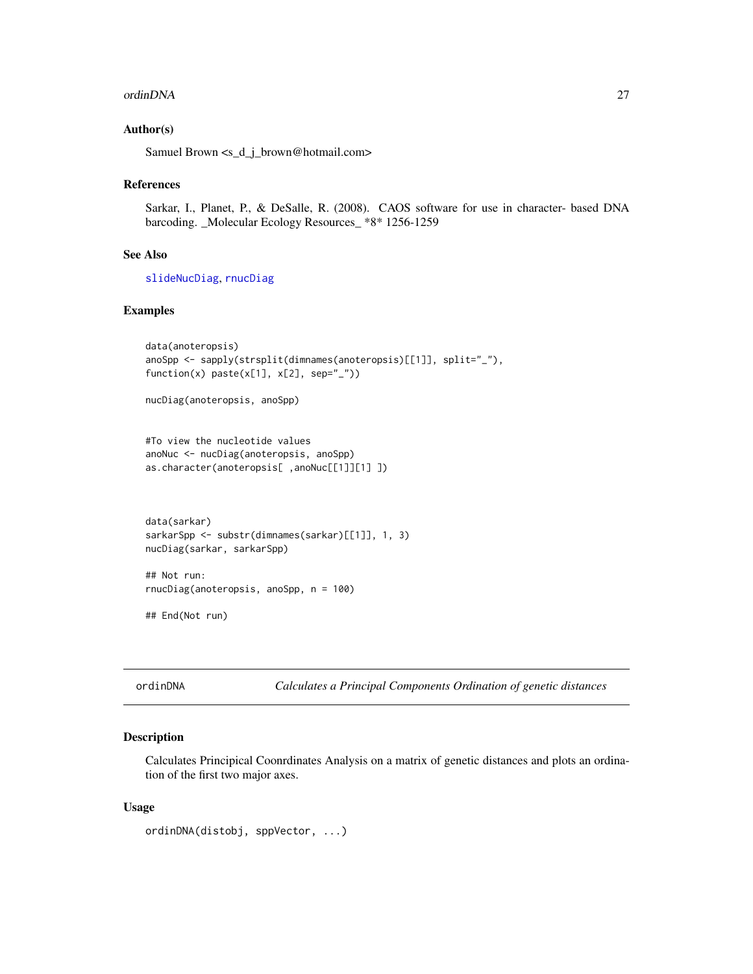#### <span id="page-26-0"></span>ordinDNA 27

# Author(s)

Samuel Brown <s\_d\_j\_brown@hotmail.com>

#### References

Sarkar, I., Planet, P., & DeSalle, R. (2008). CAOS software for use in character- based DNA barcoding. \_Molecular Ecology Resources\_ \*8\* 1256-1259

#### See Also

[slideNucDiag](#page-52-1), [rnucDiag](#page-41-1)

# Examples

```
data(anoteropsis)
anoSpp <- sapply(strsplit(dimnames(anoteropsis)[[1]], split="_"),
function(x) paste(x[1], x[2], sep="_"))
```
nucDiag(anoteropsis, anoSpp)

#To view the nucleotide values anoNuc <- nucDiag(anoteropsis, anoSpp) as.character(anoteropsis[ ,anoNuc[[1]][1] ])

```
data(sarkar)
sarkarSpp <- substr(dimnames(sarkar)[[1]], 1, 3)
nucDiag(sarkar, sarkarSpp)
```
## Not run: rnucDiag(anoteropsis, anoSpp, n = 100)

## End(Not run)

<span id="page-26-1"></span>ordinDNA *Calculates a Principal Components Ordination of genetic distances*

# Description

Calculates Principical Coonrdinates Analysis on a matrix of genetic distances and plots an ordination of the first two major axes.

#### Usage

```
ordinDNA(distobj, sppVector, ...)
```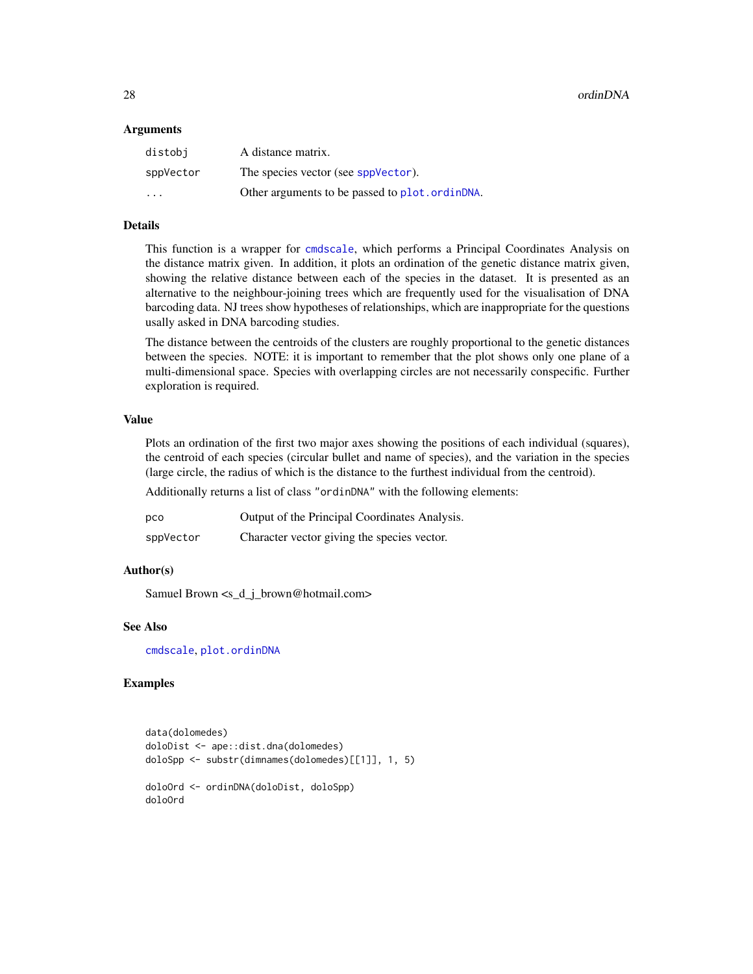#### <span id="page-27-0"></span>**Arguments**

| distobi                 | A distance matrix.                              |
|-------------------------|-------------------------------------------------|
| sppVector               | The species vector (see sppVector).             |
| $\cdot$ $\cdot$ $\cdot$ | Other arguments to be passed to plot. ordinDNA. |

# Details

This function is a wrapper for [cmdscale](#page-0-0), which performs a Principal Coordinates Analysis on the distance matrix given. In addition, it plots an ordination of the genetic distance matrix given, showing the relative distance between each of the species in the dataset. It is presented as an alternative to the neighbour-joining trees which are frequently used for the visualisation of DNA barcoding data. NJ trees show hypotheses of relationships, which are inappropriate for the questions usally asked in DNA barcoding studies.

The distance between the centroids of the clusters are roughly proportional to the genetic distances between the species. NOTE: it is important to remember that the plot shows only one plane of a multi-dimensional space. Species with overlapping circles are not necessarily conspecific. Further exploration is required.

# Value

Plots an ordination of the first two major axes showing the positions of each individual (squares), the centroid of each species (circular bullet and name of species), and the variation in the species (large circle, the radius of which is the distance to the furthest individual from the centroid).

Additionally returns a list of class "ordinDNA" with the following elements:

| pco       | Output of the Principal Coordinates Analysis. |
|-----------|-----------------------------------------------|
| sppVector | Character vector giving the species vector.   |

#### Author(s)

Samuel Brown <s\_d\_j\_brown@hotmail.com>

# See Also

[cmdscale](#page-0-0), [plot.ordinDNA](#page-30-1)

# Examples

```
data(dolomedes)
doloDist <- ape::dist.dna(dolomedes)
doloSpp <- substr(dimnames(dolomedes)[[1]], 1, 5)
doloOrd <- ordinDNA(doloDist, doloSpp)
doloOrd
```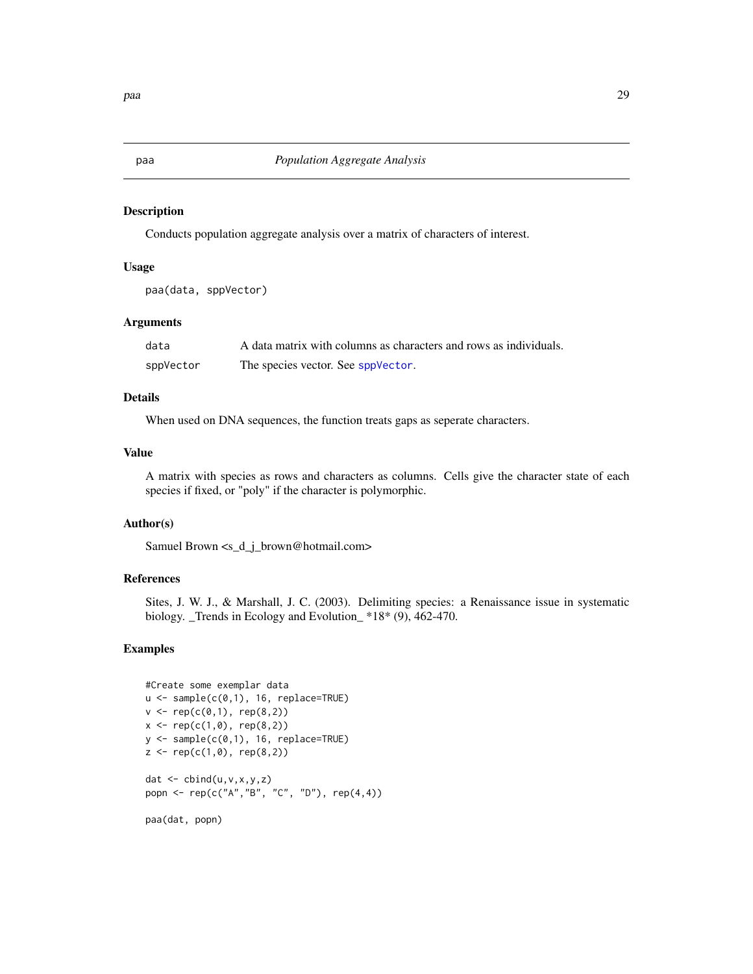<span id="page-28-1"></span><span id="page-28-0"></span>Conducts population aggregate analysis over a matrix of characters of interest.

#### Usage

```
paa(data, sppVector)
```
# Arguments

| data      | A data matrix with columns as characters and rows as individuals. |
|-----------|-------------------------------------------------------------------|
| sppVector | The species vector. See sppVector.                                |

# Details

When used on DNA sequences, the function treats gaps as seperate characters.

# Value

A matrix with species as rows and characters as columns. Cells give the character state of each species if fixed, or "poly" if the character is polymorphic.

# Author(s)

Samuel Brown <s\_d\_j\_brown@hotmail.com>

# References

Sites, J. W. J., & Marshall, J. C. (2003). Delimiting species: a Renaissance issue in systematic biology. \_Trends in Ecology and Evolution\_ \*18\* (9), 462-470.

# Examples

```
#Create some exemplar data
u \leftarrow sample(c(\emptyset, 1), 16, replace=TRUE)
v \leq rep(c(\emptyset,1), rep(8,2))x \leq -\text{rep}(c(1, 0), \text{rep}(8, 2))y \le - sample(c(0,1), 16, replace=TRUE)
z \leq -\text{rep}(c(1,0), \text{rep}(8,2))dat <- cbind(u,v,x,y,z)
popn <- rep(c("A","B", "C", "D"), rep(4,4))
paa(dat, popn)
```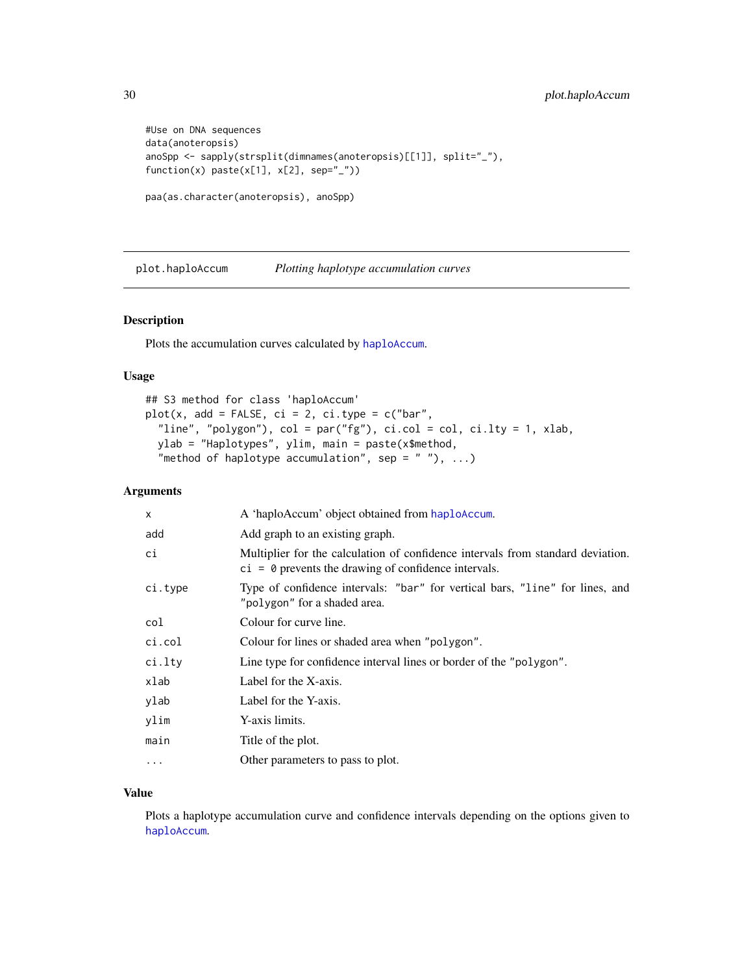```
#Use on DNA sequences
data(anoteropsis)
anoSpp <- sapply(strsplit(dimnames(anoteropsis)[[1]], split="_"),
function(x) past(x[1], x[2], sep=''_')paa(as.character(anoteropsis), anoSpp)
```
<span id="page-29-1"></span>plot.haploAccum *Plotting haplotype accumulation curves*

#### Description

Plots the accumulation curves calculated by [haploAccum](#page-10-1).

#### Usage

```
## S3 method for class 'haploAccum'
plot(x, add = FALSE, ci = 2, ci_type = c("bar","line", "polygon"), col = par("fg"), ci.col = col, ci.lty = 1, xlab,
 ylab = "Haplotypes", ylim, main = paste(x$method,
  "method of haplotype accumulation", sep = " "), \ldots)
```
# Arguments

| X        | A 'haploAccum' object obtained from haploAccum.                                                                                           |
|----------|-------------------------------------------------------------------------------------------------------------------------------------------|
| add      | Add graph to an existing graph.                                                                                                           |
| сi       | Multiplier for the calculation of confidence intervals from standard deviation.<br>$ci = 0$ prevents the drawing of confidence intervals. |
| ci.type  | Type of confidence intervals: "bar" for vertical bars, "line" for lines, and<br>"polygon" for a shaded area.                              |
| col      | Colour for curve line.                                                                                                                    |
| ci.col   | Colour for lines or shaded area when "polygon".                                                                                           |
| ci.lty   | Line type for confidence interval lines or border of the "polygon".                                                                       |
| xlab     | Label for the X-axis.                                                                                                                     |
| ylab     | Label for the Y-axis.                                                                                                                     |
| ylim     | Y-axis limits.                                                                                                                            |
| main     | Title of the plot.                                                                                                                        |
| $\cdots$ | Other parameters to pass to plot.                                                                                                         |

# Value

Plots a haplotype accumulation curve and confidence intervals depending on the options given to [haploAccum](#page-10-1).

<span id="page-29-0"></span>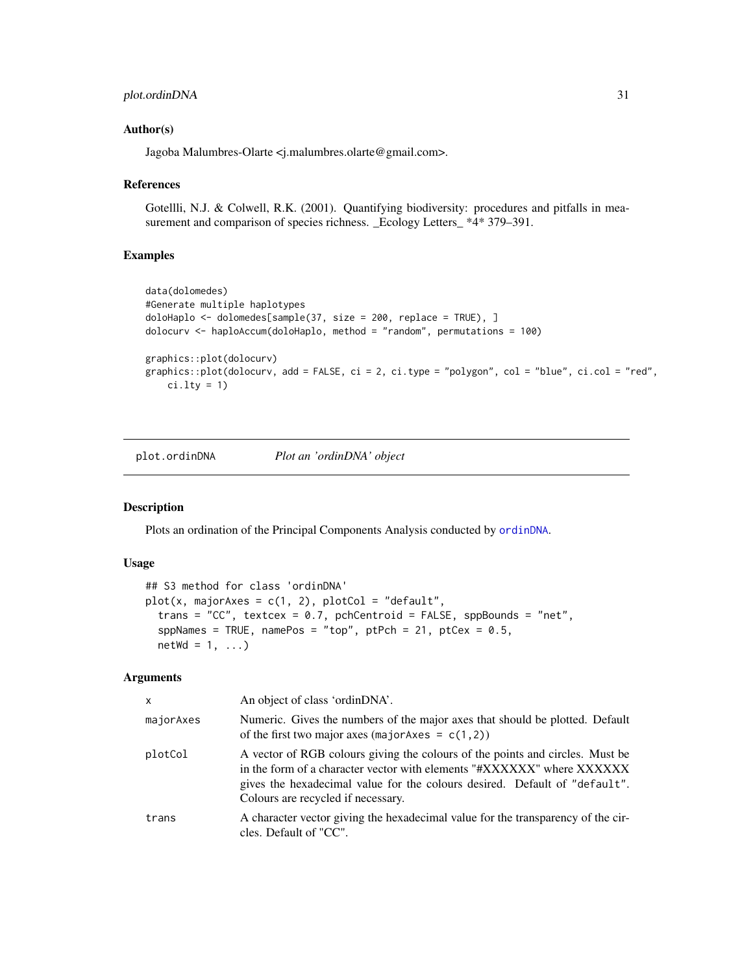# <span id="page-30-0"></span>plot.ordinDNA 31

# Author(s)

Jagoba Malumbres-Olarte <j.malumbres.olarte@gmail.com>.

#### References

Gotellli, N.J. & Colwell, R.K. (2001). Quantifying biodiversity: procedures and pitfalls in measurement and comparison of species richness. \_Ecology Letters\_ \*4\* 379–391.

# Examples

```
data(dolomedes)
#Generate multiple haplotypes
doloHaplo <- dolomedes[sample(37, size = 200, replace = TRUE), ]
dolocurv <- haploAccum(doloHaplo, method = "random", permutations = 100)
graphics::plot(dolocurv)
graphics::plot(dolocurv, add = FALSE, ci = 2, ci.type = "polygon", col = "blue", ci.col = "red",
   ci.lty = 1)
```
<span id="page-30-1"></span>plot.ordinDNA *Plot an 'ordinDNA' object*

# Description

Plots an ordination of the Principal Components Analysis conducted by [ordinDNA](#page-26-1).

#### Usage

```
## S3 method for class 'ordinDNA'
plot(x, majorAxes = c(1, 2), plotCol = "default",trans = "CC", textcex = 0.7, pchCentroid = FALSE, sppBounds = "net",
  sppNames = TRUE, namePos = "top", ptPch = 21, ptCex = 0.5,
 netWd = 1, ...
```
#### Arguments

| $\mathsf{x}$ | An object of class 'ordinDNA'.                                                                                                                                                                                                                                              |
|--------------|-----------------------------------------------------------------------------------------------------------------------------------------------------------------------------------------------------------------------------------------------------------------------------|
| majorAxes    | Numeric. Gives the numbers of the major axes that should be plotted. Default<br>of the first two major axes (major Axes = $c(1,2)$ )                                                                                                                                        |
| plotCol      | A vector of RGB colours giving the colours of the points and circles. Must be<br>in the form of a character vector with elements "#XXXXXX" where XXXXXX<br>gives the hexadecimal value for the colours desired. Default of "default".<br>Colours are recycled if necessary. |
| trans        | A character vector giving the hexadecimal value for the transparency of the cir-<br>cles. Default of "CC".                                                                                                                                                                  |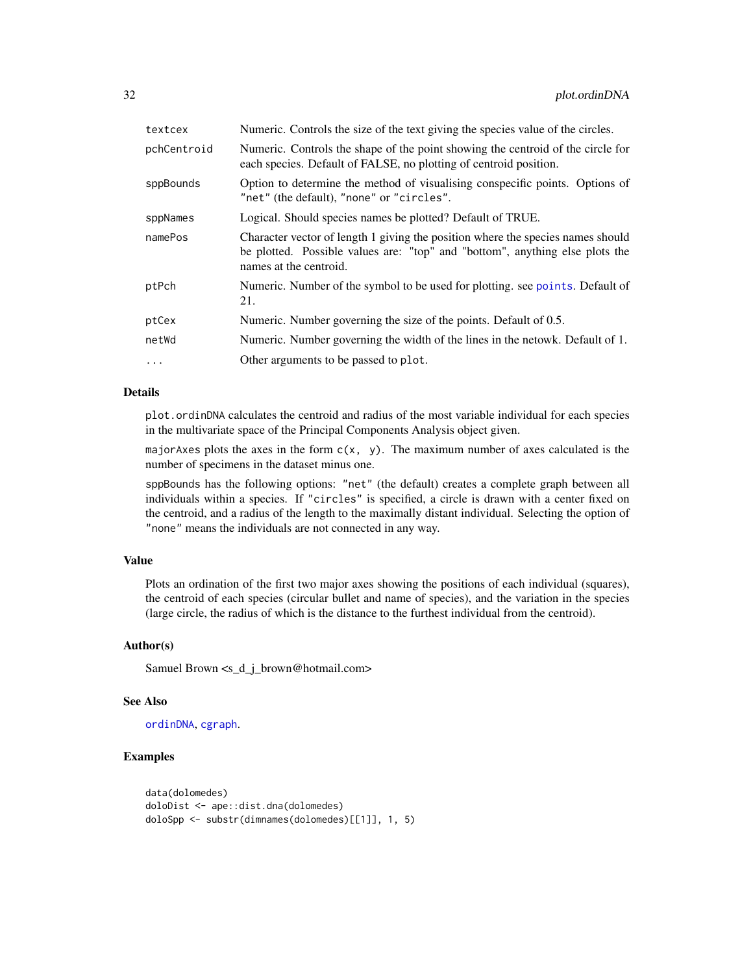<span id="page-31-0"></span>

| textcex     | Numeric. Controls the size of the text giving the species value of the circles.                                                                                                           |
|-------------|-------------------------------------------------------------------------------------------------------------------------------------------------------------------------------------------|
| pchCentroid | Numeric. Controls the shape of the point showing the centroid of the circle for<br>each species. Default of FALSE, no plotting of centroid position.                                      |
| sppBounds   | Option to determine the method of visualising conspecific points. Options of<br>"net" (the default), "none" or "circles".                                                                 |
| sppNames    | Logical. Should species names be plotted? Default of TRUE.                                                                                                                                |
| namePos     | Character vector of length 1 giving the position where the species names should<br>be plotted. Possible values are: "top" and "bottom", anything else plots the<br>names at the centroid. |
| ptPch       | Numeric. Number of the symbol to be used for plotting, see points. Default of<br>21.                                                                                                      |
| ptCex       | Numeric. Number governing the size of the points. Default of 0.5.                                                                                                                         |
| netWd       | Numeric. Number governing the width of the lines in the netowk. Default of 1.                                                                                                             |
| $\ddots$ .  | Other arguments to be passed to plot.                                                                                                                                                     |
|             |                                                                                                                                                                                           |

# Details

plot.ordinDNA calculates the centroid and radius of the most variable individual for each species in the multivariate space of the Principal Components Analysis object given.

majorAxes plots the axes in the form  $c(x, y)$ . The maximum number of axes calculated is the number of specimens in the dataset minus one.

sppBounds has the following options: "net" (the default) creates a complete graph between all individuals within a species. If "circles" is specified, a circle is drawn with a center fixed on the centroid, and a radius of the length to the maximally distant individual. Selecting the option of "none" means the individuals are not connected in any way.

# Value

Plots an ordination of the first two major axes showing the positions of each individual (squares), the centroid of each species (circular bullet and name of species), and the variation in the species (large circle, the radius of which is the distance to the furthest individual from the centroid).

# Author(s)

Samuel Brown <s\_d\_j\_brown@hotmail.com>

# See Also

[ordinDNA](#page-26-1), [cgraph](#page-6-1).

# Examples

```
data(dolomedes)
doloDist <- ape::dist.dna(dolomedes)
doloSpp <- substr(dimnames(dolomedes)[[1]], 1, 5)
```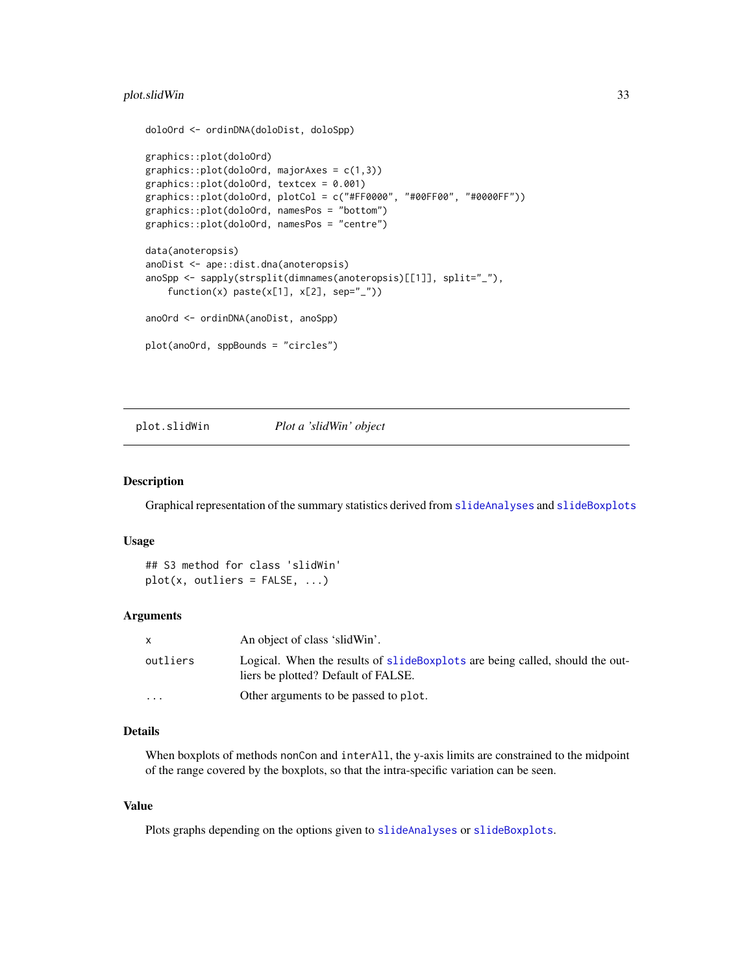# <span id="page-32-0"></span>plot.slidWin 33

```
doloOrd <- ordinDNA(doloDist, doloSpp)
graphics::plot(doloOrd)
graphics::plot(doloOrd, majorAxes = c(1,3))graphics::plot(doloOrd, textcex = 0.001)
graphics::plot(doloOrd, plotCol = c("#FF0000", "#00FF00", "#0000FF"))
graphics::plot(doloOrd, namesPos = "bottom")
graphics::plot(doloOrd, namesPos = "centre")
data(anoteropsis)
anoDist <- ape::dist.dna(anoteropsis)
anoSpp <- sapply(strsplit(dimnames(anoteropsis)[[1]], split="_"),
    function(x) paste(x[1], x[2], sep="_"))
anoOrd <- ordinDNA(anoDist, anoSpp)
plot(anoOrd, sppBounds = "circles")
```
<span id="page-32-1"></span>plot.slidWin *Plot a 'slidWin' object*

# Description

Graphical representation of the summary statistics derived from [slideAnalyses](#page-48-1) and [slideBoxplots](#page-50-1)

#### Usage

## S3 method for class 'slidWin'  $plot(x, outliers = FALSE, ...)$ 

# Arguments

| $\mathsf{x}$ | An object of class 'slidWin'.                                                                                       |
|--------------|---------------------------------------------------------------------------------------------------------------------|
| outliers     | Logical. When the results of slideBoxplots are being called, should the out-<br>liers be plotted? Default of FALSE. |
| .            | Other arguments to be passed to plot.                                                                               |

# Details

When boxplots of methods nonCon and interAll, the y-axis limits are constrained to the midpoint of the range covered by the boxplots, so that the intra-specific variation can be seen.

# Value

Plots graphs depending on the options given to [slideAnalyses](#page-48-1) or [slideBoxplots](#page-50-1).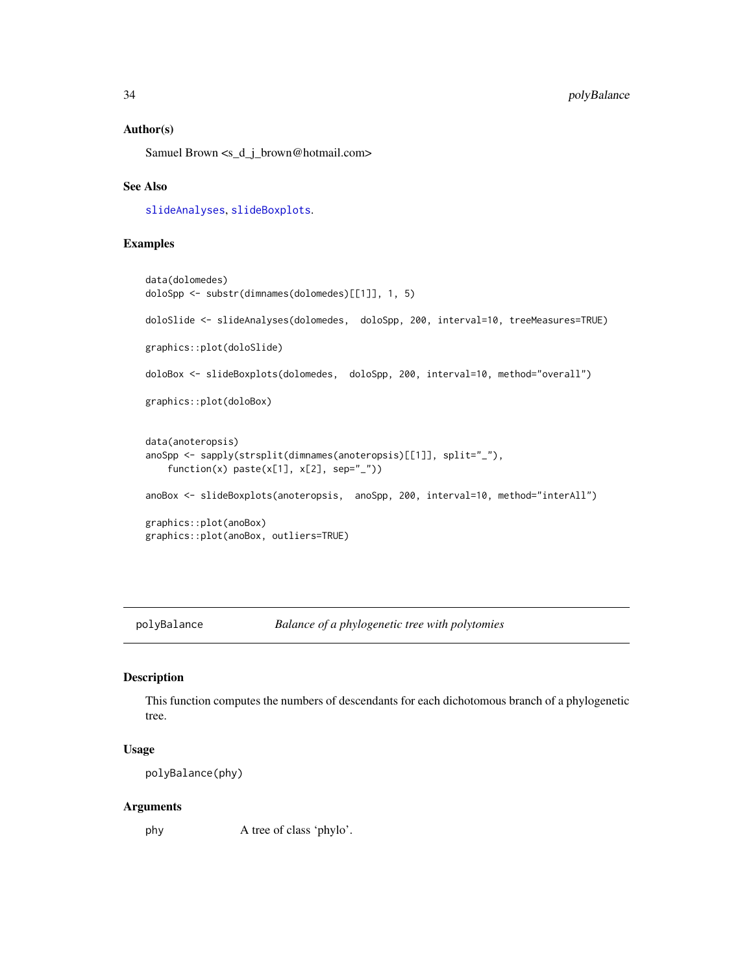# Author(s)

Samuel Brown <s\_d\_j\_brown@hotmail.com>

# See Also

[slideAnalyses](#page-48-1), [slideBoxplots](#page-50-1).

# Examples

```
data(dolomedes)
doloSpp <- substr(dimnames(dolomedes)[[1]], 1, 5)
doloSlide <- slideAnalyses(dolomedes, doloSpp, 200, interval=10, treeMeasures=TRUE)
graphics::plot(doloSlide)
doloBox <- slideBoxplots(dolomedes, doloSpp, 200, interval=10, method="overall")
graphics::plot(doloBox)
data(anoteropsis)
anoSpp <- sapply(strsplit(dimnames(anoteropsis)[[1]], split="_"),
    function(x) paste(x[1], x[2], sep="_"))
anoBox <- slideBoxplots(anoteropsis, anoSpp, 200, interval=10, method="interAll")
graphics::plot(anoBox)
graphics::plot(anoBox, outliers=TRUE)
```
polyBalance *Balance of a phylogenetic tree with polytomies*

# Description

This function computes the numbers of descendants for each dichotomous branch of a phylogenetic tree.

#### Usage

polyBalance(phy)

#### Arguments

phy A tree of class 'phylo'.

<span id="page-33-0"></span>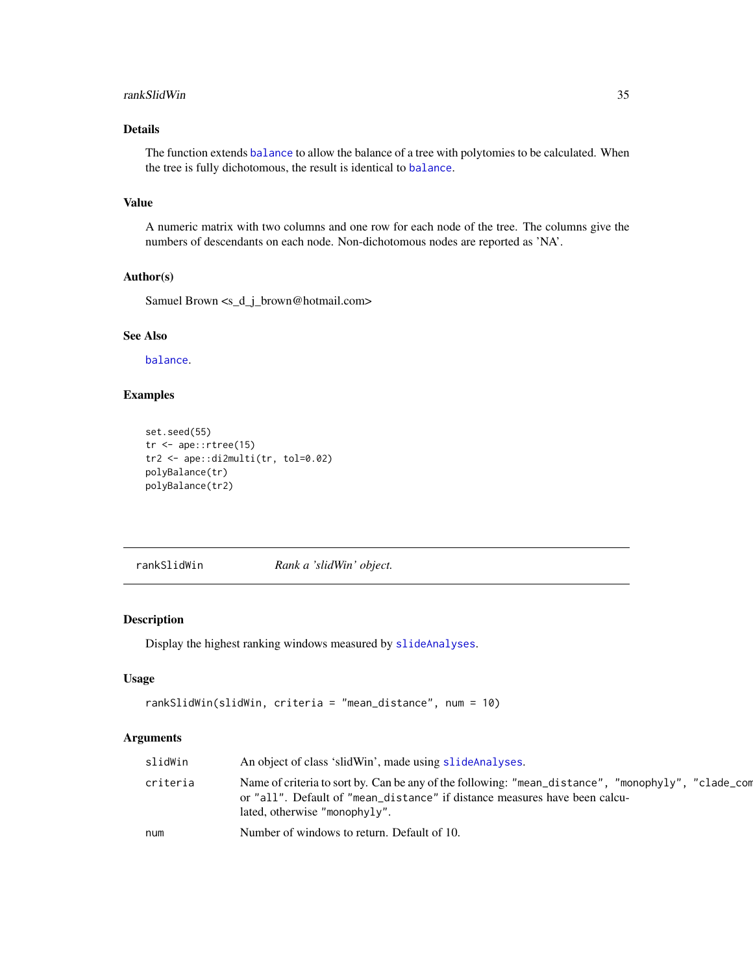#### <span id="page-34-0"></span>rankSlidWin 35

# Details

The function extends [balance](#page-0-0) to allow the balance of a tree with polytomies to be calculated. When the tree is fully dichotomous, the result is identical to [balance](#page-0-0).

# Value

A numeric matrix with two columns and one row for each node of the tree. The columns give the numbers of descendants on each node. Non-dichotomous nodes are reported as 'NA'.

# Author(s)

Samuel Brown <s\_d\_j\_brown@hotmail.com>

# See Also

[balance](#page-0-0).

# Examples

```
set.seed(55)
tr <- ape::rtree(15)
tr2 <- ape::di2multi(tr, tol=0.02)
polyBalance(tr)
polyBalance(tr2)
```
<span id="page-34-1"></span>rankSlidWin *Rank a 'slidWin' object.*

# Description

Display the highest ranking windows measured by [slideAnalyses](#page-48-1).

# Usage

```
rankSlidWin(slidWin, criteria = "mean_distance", num = 10)
```
# Arguments

| slidWin  | An object of class 'slidWin', made using slideAnalyses.                                                                                                                                                           |
|----------|-------------------------------------------------------------------------------------------------------------------------------------------------------------------------------------------------------------------|
| criteria | Name of criteria to sort by. Can be any of the following: "mean_distance", "monophyly", "clade_com<br>or "all". Default of "mean_distance" if distance measures have been calcu-<br>lated, otherwise "monophyly". |
| num      | Number of windows to return. Default of 10.                                                                                                                                                                       |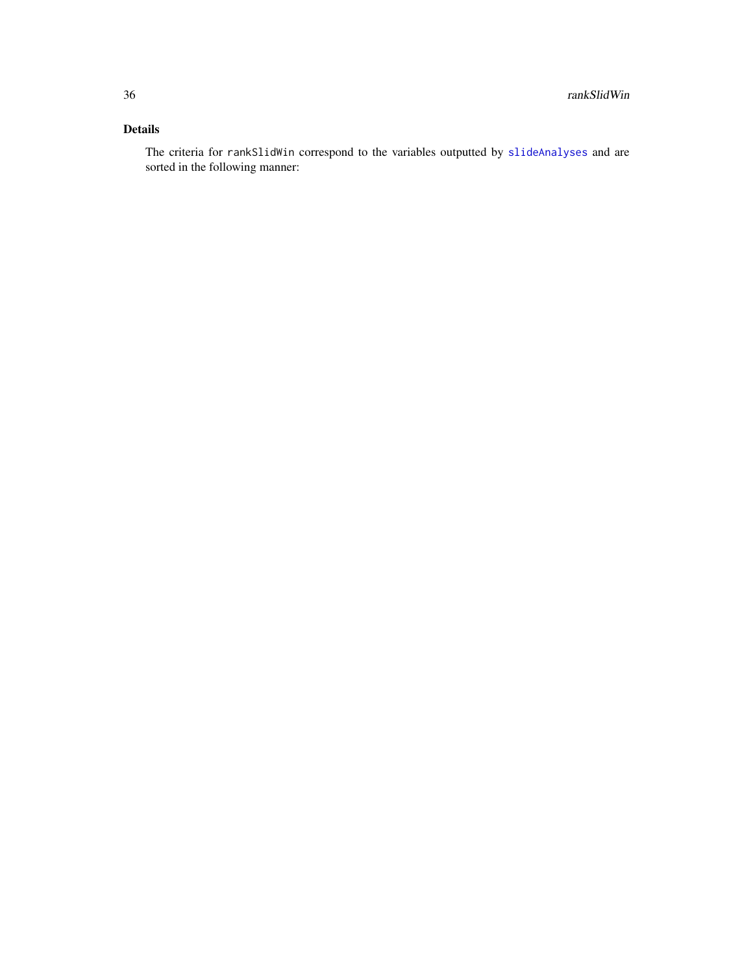# Details

The criteria for rankSlidWin correspond to the variables outputted by [slideAnalyses](#page-48-1) and are sorted in the following manner: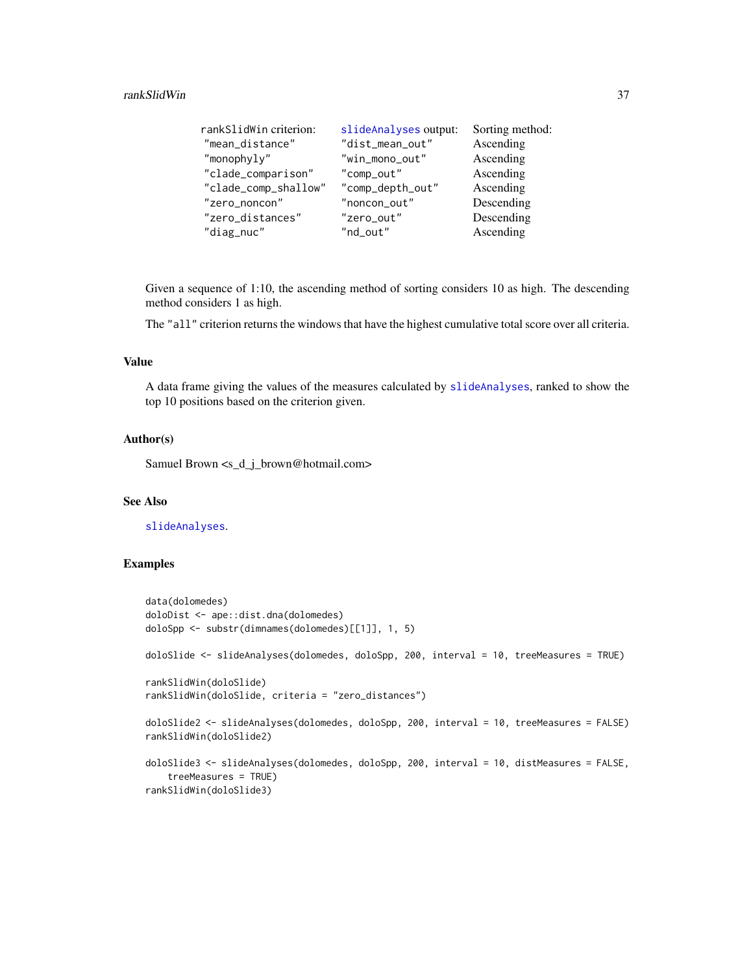#### <span id="page-36-0"></span>rankSlidWin 37

| rankSlidWin criterion: | slideAnalyses output: | Sorting method: |
|------------------------|-----------------------|-----------------|
| "mean_distance"        | "dist_mean_out"       | Ascending       |
| "monophyly"            | "win_mono_out"        | Ascending       |
| "clade_comparison"     | "comp_out"            | Ascending       |
| "clade_comp_shallow"   | "comp_depth_out"      | Ascending       |
| "zero_noncon"          | "noncon_out"          | Descending      |
| "zero_distances"       | "zero_out"            | Descending      |
| "diag_nuc"             | "nd_out"              | Ascending       |

Given a sequence of 1:10, the ascending method of sorting considers 10 as high. The descending method considers 1 as high.

The "all" criterion returns the windows that have the highest cumulative total score over all criteria.

#### Value

A data frame giving the values of the measures calculated by [slideAnalyses](#page-48-1), ranked to show the top 10 positions based on the criterion given.

# Author(s)

Samuel Brown <s\_d\_j\_brown@hotmail.com>

# See Also

[slideAnalyses](#page-48-1).

# Examples

```
data(dolomedes)
doloDist <- ape::dist.dna(dolomedes)
doloSpp <- substr(dimnames(dolomedes)[[1]], 1, 5)
doloSlide <- slideAnalyses(dolomedes, doloSpp, 200, interval = 10, treeMeasures = TRUE)
rankSlidWin(doloSlide)
rankSlidWin(doloSlide, criteria = "zero_distances")
doloSlide2 <- slideAnalyses(dolomedes, doloSpp, 200, interval = 10, treeMeasures = FALSE)
rankSlidWin(doloSlide2)
doloSlide3 <- slideAnalyses(dolomedes, doloSpp, 200, interval = 10, distMeasures = FALSE,
    treeMeasures = TRUE)
rankSlidWin(doloSlide3)
```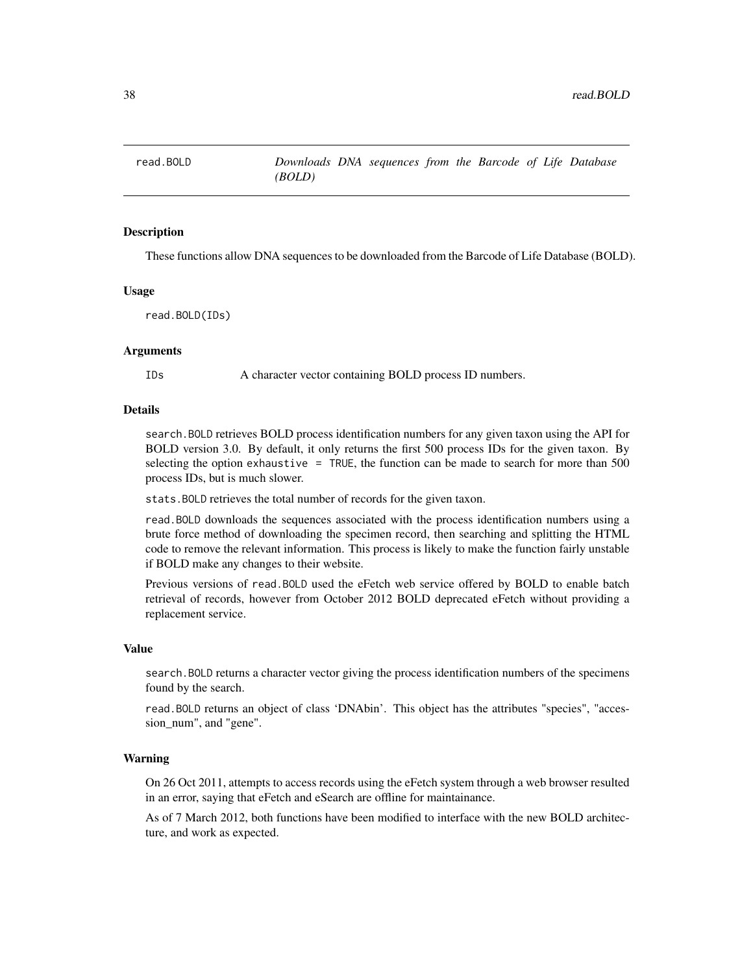<span id="page-37-0"></span>

These functions allow DNA sequences to be downloaded from the Barcode of Life Database (BOLD).

#### Usage

read.BOLD(IDs)

# Arguments

IDs A character vector containing BOLD process ID numbers.

# Details

search.BOLD retrieves BOLD process identification numbers for any given taxon using the API for BOLD version 3.0. By default, it only returns the first 500 process IDs for the given taxon. By selecting the option exhaustive = TRUE, the function can be made to search for more than  $500$ process IDs, but is much slower.

stats.BOLD retrieves the total number of records for the given taxon.

read.BOLD downloads the sequences associated with the process identification numbers using a brute force method of downloading the specimen record, then searching and splitting the HTML code to remove the relevant information. This process is likely to make the function fairly unstable if BOLD make any changes to their website.

Previous versions of read.BOLD used the eFetch web service offered by BOLD to enable batch retrieval of records, however from October 2012 BOLD deprecated eFetch without providing a replacement service.

#### Value

search.BOLD returns a character vector giving the process identification numbers of the specimens found by the search.

read.BOLD returns an object of class 'DNAbin'. This object has the attributes "species", "accession\_num", and "gene".

# Warning

On 26 Oct 2011, attempts to access records using the eFetch system through a web browser resulted in an error, saying that eFetch and eSearch are offline for maintainance.

As of 7 March 2012, both functions have been modified to interface with the new BOLD architecture, and work as expected.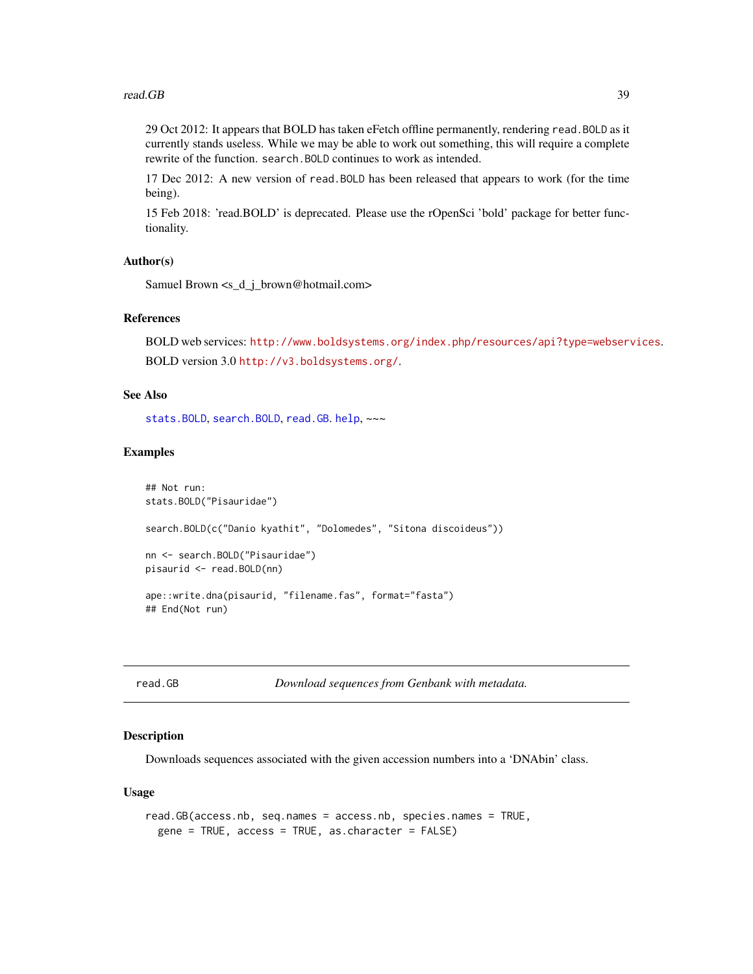<span id="page-38-0"></span>29 Oct 2012: It appears that BOLD has taken eFetch offline permanently, rendering read.BOLD as it currently stands useless. While we may be able to work out something, this will require a complete rewrite of the function. search.BOLD continues to work as intended.

17 Dec 2012: A new version of read.BOLD has been released that appears to work (for the time being).

15 Feb 2018: 'read.BOLD' is deprecated. Please use the rOpenSci 'bold' package for better functionality.

#### Author(s)

Samuel Brown <s\_d\_j\_brown@hotmail.com>

#### References

BOLD web services: <http://www.boldsystems.org/index.php/resources/api?type=webservices>. BOLD version 3.0 <http://v3.boldsystems.org/>.

# See Also

[stats.BOLD](#page-57-1), [search.BOLD](#page-45-1), [read.GB](#page-38-1). [help](#page-0-0), ~~~

## Examples

```
## Not run:
stats.BOLD("Pisauridae")
search.BOLD(c("Danio kyathit", "Dolomedes", "Sitona discoideus"))
nn <- search.BOLD("Pisauridae")
pisaurid <- read.BOLD(nn)
ape::write.dna(pisaurid, "filename.fas", format="fasta")
## End(Not run)
```
<span id="page-38-1"></span>read.GB *Download sequences from Genbank with metadata.*

# Description

Downloads sequences associated with the given accession numbers into a 'DNAbin' class.

#### Usage

```
read.GB(access.nb, seq.names = access.nb, species.names = TRUE,
  gene = TRUE, access = TRUE, as.character = FALSE)
```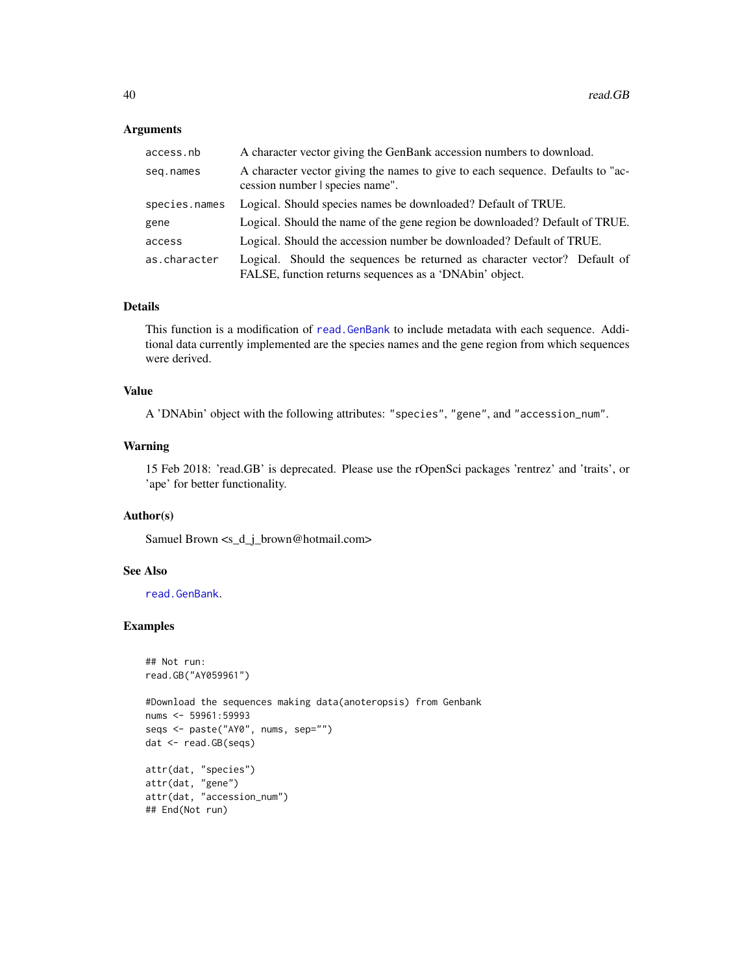# <span id="page-39-0"></span>Arguments

| access.nb     | A character vector giving the GenBank accession numbers to download.                                                                 |
|---------------|--------------------------------------------------------------------------------------------------------------------------------------|
| seg.names     | A character vector giving the names to give to each sequence. Defaults to "ac-<br>cession number I species name".                    |
| species.names | Logical. Should species names be downloaded? Default of TRUE.                                                                        |
| gene          | Logical. Should the name of the gene region be downloaded? Default of TRUE.                                                          |
| access        | Logical. Should the accession number be downloaded? Default of TRUE.                                                                 |
| as.character  | Logical. Should the sequences be returned as character vector? Default of<br>FALSE, function returns sequences as a 'DNAbin' object. |

# Details

This function is a modification of [read.GenBank](#page-0-0) to include metadata with each sequence. Additional data currently implemented are the species names and the gene region from which sequences were derived.

# Value

A 'DNAbin' object with the following attributes: "species", "gene", and "accession\_num".

# Warning

15 Feb 2018: 'read.GB' is deprecated. Please use the rOpenSci packages 'rentrez' and 'traits', or 'ape' for better functionality.

# Author(s)

Samuel Brown <s\_d\_j\_brown@hotmail.com>

#### See Also

[read.GenBank](#page-0-0).

#### Examples

```
## Not run:
read.GB("AY059961")
```

```
#Download the sequences making data(anoteropsis) from Genbank
nums <- 59961:59993
seqs <- paste("AY0", nums, sep="")
dat <- read.GB(seqs)
attr(dat, "species")
attr(dat, "gene")
```

```
attr(dat, "accession_num")
## End(Not run)
```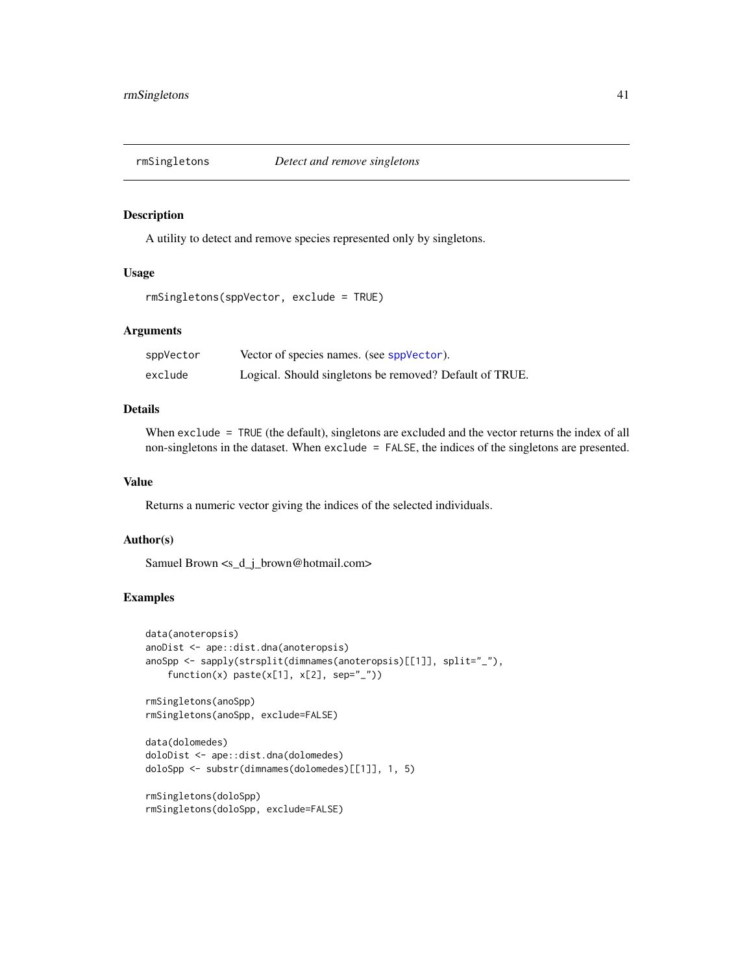<span id="page-40-1"></span><span id="page-40-0"></span>

A utility to detect and remove species represented only by singletons.

#### Usage

```
rmSingletons(sppVector, exclude = TRUE)
```
# Arguments

| sppVector | Vector of species names. (see sppVector).               |
|-----------|---------------------------------------------------------|
| exclude   | Logical. Should singletons be removed? Default of TRUE. |

# Details

When exclude = TRUE (the default), singletons are excluded and the vector returns the index of all non-singletons in the dataset. When exclude = FALSE, the indices of the singletons are presented.

# Value

Returns a numeric vector giving the indices of the selected individuals.

# Author(s)

Samuel Brown <s\_d\_j\_brown@hotmail.com>

# Examples

```
data(anoteropsis)
anoDist <- ape::dist.dna(anoteropsis)
anoSpp <- sapply(strsplit(dimnames(anoteropsis)[[1]], split="_"),
   function(x) paste(x[1], x[2], sep="_"))
```

```
rmSingletons(anoSpp)
rmSingletons(anoSpp, exclude=FALSE)
```

```
data(dolomedes)
doloDist <- ape::dist.dna(dolomedes)
doloSpp <- substr(dimnames(dolomedes)[[1]], 1, 5)
```

```
rmSingletons(doloSpp)
rmSingletons(doloSpp, exclude=FALSE)
```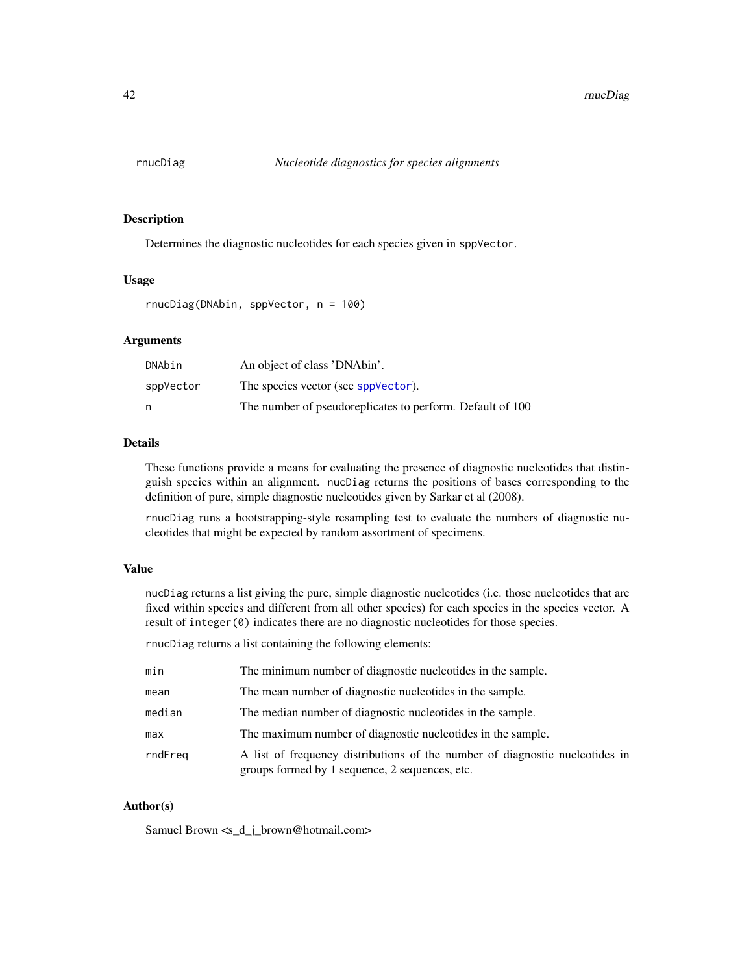<span id="page-41-1"></span><span id="page-41-0"></span>

Determines the diagnostic nucleotides for each species given in sppVector.

# Usage

rnucDiag(DNAbin, sppVector, n = 100)

# Arguments

| DNAbin    | An object of class 'DNAbin'.                              |
|-----------|-----------------------------------------------------------|
| sppVector | The species vector (see sppVector).                       |
| n         | The number of pseudoreplicates to perform. Default of 100 |

# Details

These functions provide a means for evaluating the presence of diagnostic nucleotides that distinguish species within an alignment. nucDiag returns the positions of bases corresponding to the definition of pure, simple diagnostic nucleotides given by Sarkar et al (2008).

rnucDiag runs a bootstrapping-style resampling test to evaluate the numbers of diagnostic nucleotides that might be expected by random assortment of specimens.

# Value

nucDiag returns a list giving the pure, simple diagnostic nucleotides (i.e. those nucleotides that are fixed within species and different from all other species) for each species in the species vector. A result of integer(0) indicates there are no diagnostic nucleotides for those species.

rnucDiag returns a list containing the following elements:

| min     | The minimum number of diagnostic nucleotides in the sample.                                                                    |
|---------|--------------------------------------------------------------------------------------------------------------------------------|
| mean    | The mean number of diagnostic nucleotides in the sample.                                                                       |
| median  | The median number of diagnostic nucleotides in the sample.                                                                     |
| max     | The maximum number of diagnostic nucleotides in the sample.                                                                    |
| rndFreg | A list of frequency distributions of the number of diagnostic nucleotides in<br>groups formed by 1 sequence, 2 sequences, etc. |

# Author(s)

Samuel Brown <s\_d\_j\_brown@hotmail.com>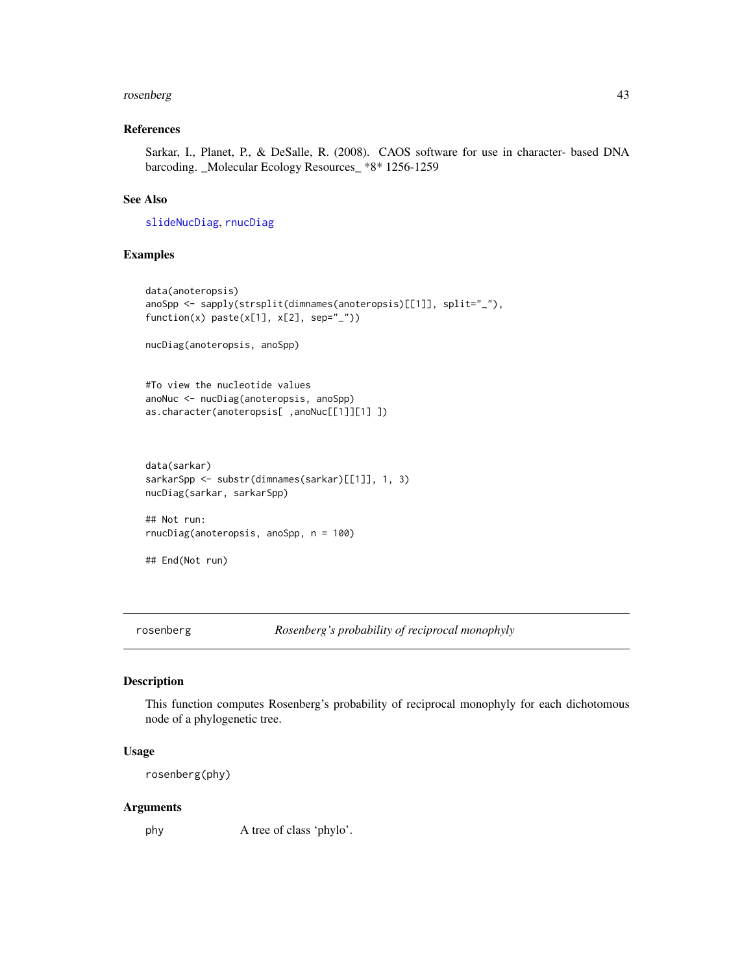#### <span id="page-42-0"></span>rosenberg 43

# References

Sarkar, I., Planet, P., & DeSalle, R. (2008). CAOS software for use in character- based DNA barcoding. \_Molecular Ecology Resources\_ \*8\* 1256-1259

# See Also

[slideNucDiag](#page-52-1), [rnucDiag](#page-41-1)

# Examples

```
data(anoteropsis)
anoSpp <- sapply(strsplit(dimnames(anoteropsis)[[1]], split="_"),
function(x) paste(x[1], x[2], sep="_"))
nucDiag(anoteropsis, anoSpp)
#To view the nucleotide values
anoNuc <- nucDiag(anoteropsis, anoSpp)
as.character(anoteropsis[ ,anoNuc[[1]][1] ])
data(sarkar)
sarkarSpp <- substr(dimnames(sarkar)[[1]], 1, 3)
nucDiag(sarkar, sarkarSpp)
## Not run:
rnucDiag(anoteropsis, anoSpp, n = 100)
## End(Not run)
```
rosenberg *Rosenberg's probability of reciprocal monophyly*

#### Description

This function computes Rosenberg's probability of reciprocal monophyly for each dichotomous node of a phylogenetic tree.

#### Usage

rosenberg(phy)

#### Arguments

phy A tree of class 'phylo'.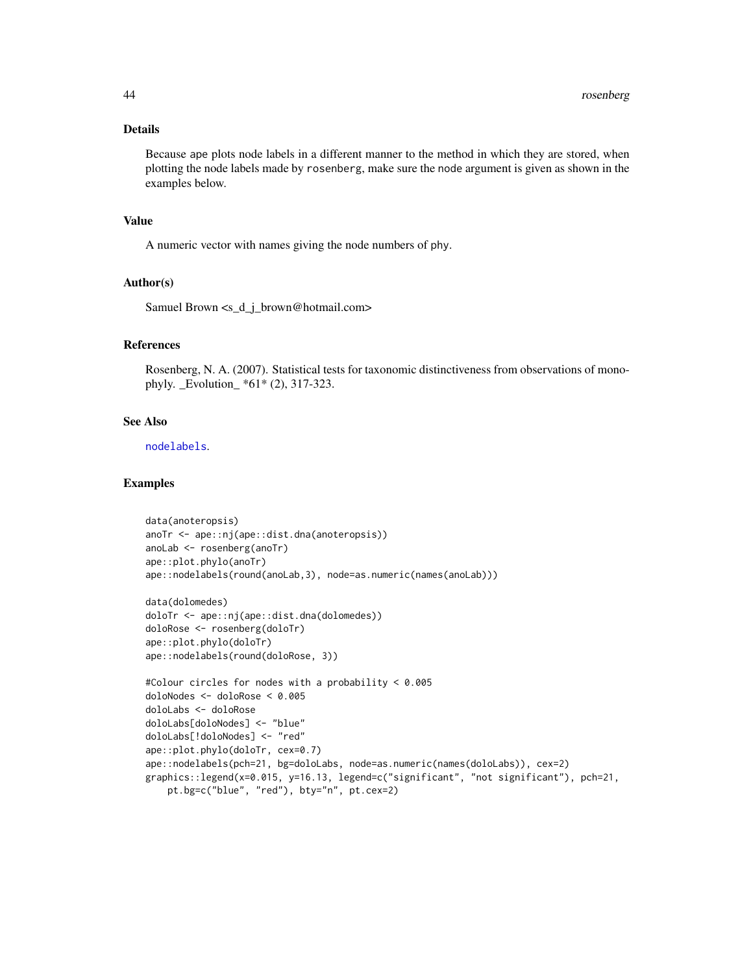# <span id="page-43-0"></span>Details

Because ape plots node labels in a different manner to the method in which they are stored, when plotting the node labels made by rosenberg, make sure the node argument is given as shown in the examples below.

#### Value

A numeric vector with names giving the node numbers of phy.

# Author(s)

Samuel Brown <s\_d\_j\_brown@hotmail.com>

# References

Rosenberg, N. A. (2007). Statistical tests for taxonomic distinctiveness from observations of monophyly. \_Evolution\_ \*61\* (2), 317-323.

# See Also

[nodelabels](#page-0-0).

#### Examples

```
data(anoteropsis)
anoTr <- ape::nj(ape::dist.dna(anoteropsis))
anoLab <- rosenberg(anoTr)
ape::plot.phylo(anoTr)
ape::nodelabels(round(anoLab,3), node=as.numeric(names(anoLab)))
data(dolomedes)
doloTr <- ape::nj(ape::dist.dna(dolomedes))
doloRose <- rosenberg(doloTr)
ape::plot.phylo(doloTr)
ape::nodelabels(round(doloRose, 3))
#Colour circles for nodes with a probability < 0.005
doloNodes <- doloRose < 0.005
doloLabs <- doloRose
doloLabs[doloNodes] <- "blue"
doloLabs[!doloNodes] <- "red"
ape::plot.phylo(doloTr, cex=0.7)
ape::nodelabels(pch=21, bg=doloLabs, node=as.numeric(names(doloLabs)), cex=2)
graphics::legend(x=0.015, y=16.13, legend=c("significant", "not significant"), pch=21,
    pt.bg=c("blue", "red"), bty="n", pt.cex=2)
```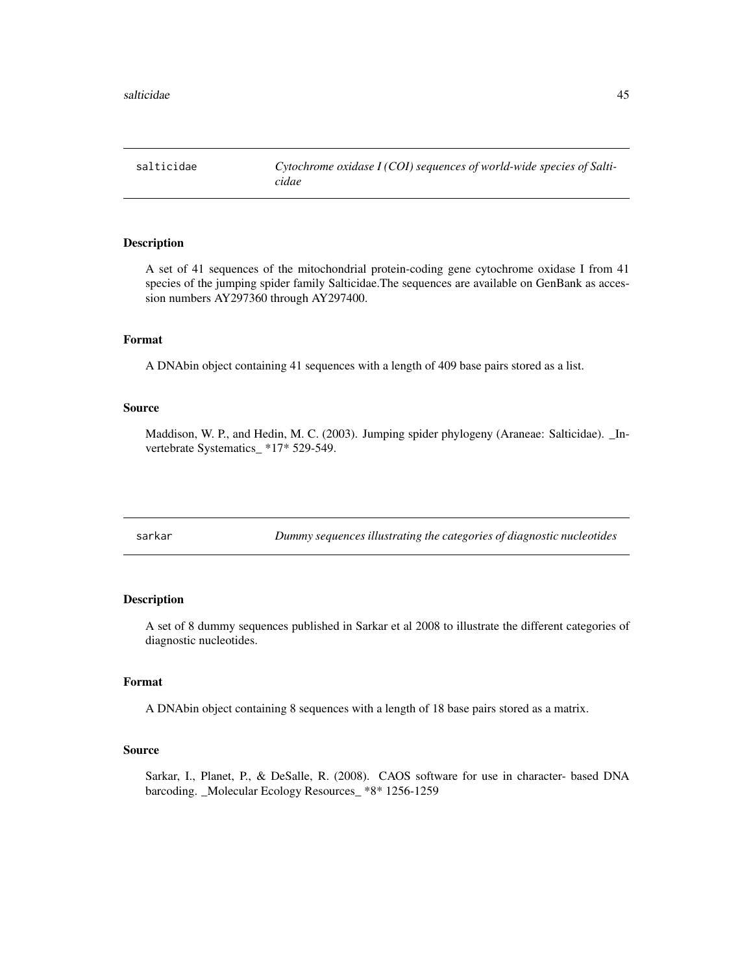<span id="page-44-0"></span>

A set of 41 sequences of the mitochondrial protein-coding gene cytochrome oxidase I from 41 species of the jumping spider family Salticidae.The sequences are available on GenBank as accession numbers AY297360 through AY297400.

#### Format

A DNAbin object containing 41 sequences with a length of 409 base pairs stored as a list.

# Source

Maddison, W. P., and Hedin, M. C. (2003). Jumping spider phylogeny (Araneae: Salticidae). \_Invertebrate Systematics\_ \*17\* 529-549.

sarkar *Dummy sequences illustrating the categories of diagnostic nucleotides*

# Description

A set of 8 dummy sequences published in Sarkar et al 2008 to illustrate the different categories of diagnostic nucleotides.

# Format

A DNAbin object containing 8 sequences with a length of 18 base pairs stored as a matrix.

# Source

Sarkar, I., Planet, P., & DeSalle, R. (2008). CAOS software for use in character- based DNA barcoding. \_Molecular Ecology Resources\_ \*8\* 1256-1259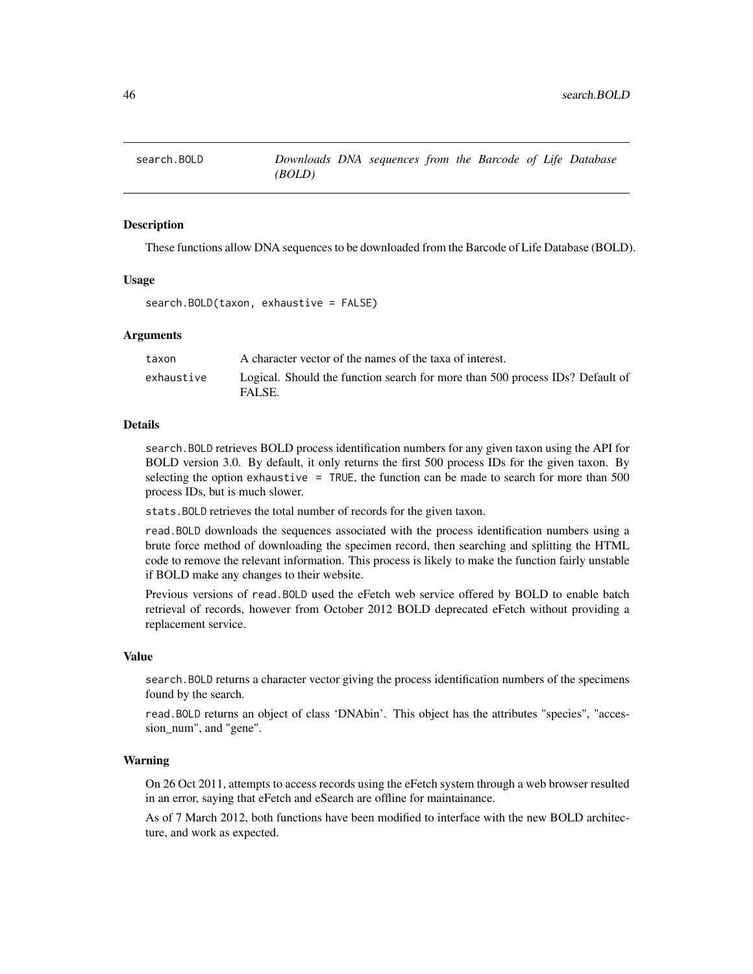<span id="page-45-1"></span><span id="page-45-0"></span>

These functions allow DNA sequences to be downloaded from the Barcode of Life Database (BOLD).

#### Usage

```
search.BOLD(taxon, exhaustive = FALSE)
```
# **Arguments**

| taxon      | A character vector of the names of the taxa of interest.                                |
|------------|-----------------------------------------------------------------------------------------|
| exhaustive | Logical. Should the function search for more than 500 process IDs? Default of<br>FALSE. |

#### Details

search.BOLD retrieves BOLD process identification numbers for any given taxon using the API for BOLD version 3.0. By default, it only returns the first 500 process IDs for the given taxon. By selecting the option exhaustive = TRUE, the function can be made to search for more than 500 process IDs, but is much slower.

stats.BOLD retrieves the total number of records for the given taxon.

read.BOLD downloads the sequences associated with the process identification numbers using a brute force method of downloading the specimen record, then searching and splitting the HTML code to remove the relevant information. This process is likely to make the function fairly unstable if BOLD make any changes to their website.

Previous versions of read.BOLD used the eFetch web service offered by BOLD to enable batch retrieval of records, however from October 2012 BOLD deprecated eFetch without providing a replacement service.

# Value

search.BOLD returns a character vector giving the process identification numbers of the specimens found by the search.

read.BOLD returns an object of class 'DNAbin'. This object has the attributes "species", "accession\_num", and "gene".

# Warning

On 26 Oct 2011, attempts to access records using the eFetch system through a web browser resulted in an error, saying that eFetch and eSearch are offline for maintainance.

As of 7 March 2012, both functions have been modified to interface with the new BOLD architecture, and work as expected.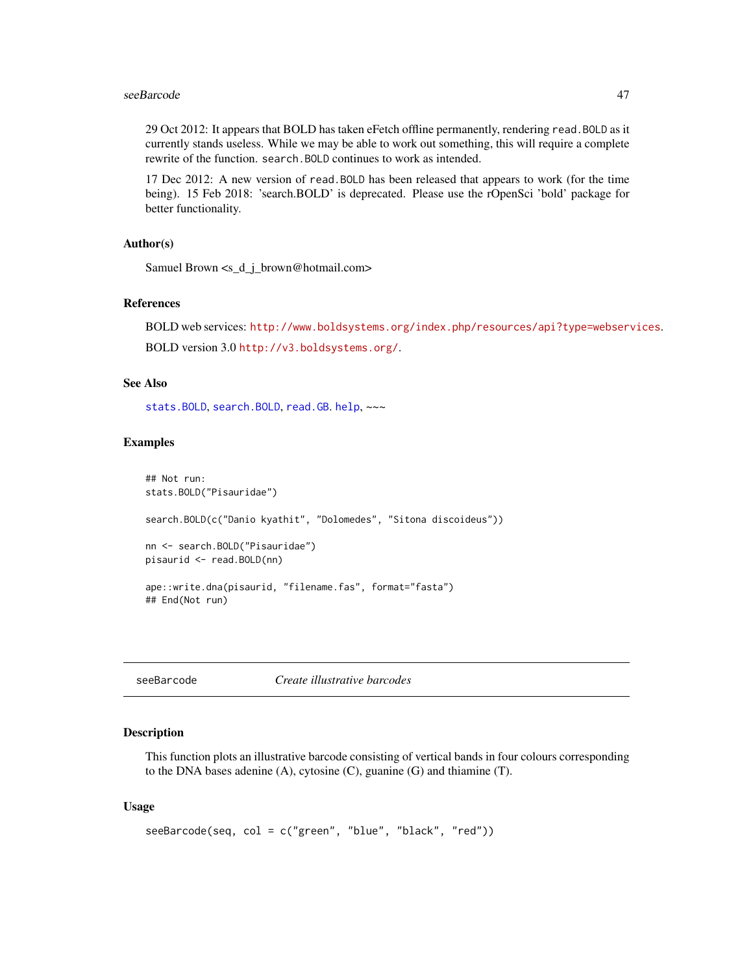#### <span id="page-46-0"></span>seeBarcode and the set of the set of the set of the set of the set of the set of the set of the set of the set of the set of the set of the set of the set of the set of the set of the set of the set of the set of the set o

29 Oct 2012: It appears that BOLD has taken eFetch offline permanently, rendering read.BOLD as it currently stands useless. While we may be able to work out something, this will require a complete rewrite of the function. search.BOLD continues to work as intended.

17 Dec 2012: A new version of read.BOLD has been released that appears to work (for the time being). 15 Feb 2018: 'search.BOLD' is deprecated. Please use the rOpenSci 'bold' package for better functionality.

# Author(s)

Samuel Brown <s\_d\_j\_brown@hotmail.com>

# References

```
BOLD web services: http://www.boldsystems.org/index.php/resources/api?type=webservices.
BOLD version 3.0 http://v3.boldsystems.org/.
```
# See Also

[stats.BOLD](#page-57-1), [search.BOLD](#page-45-1), [read.GB](#page-38-1). [help](#page-0-0), ~~~

#### Examples

```
## Not run:
stats.BOLD("Pisauridae")
search.BOLD(c("Danio kyathit", "Dolomedes", "Sitona discoideus"))
nn <- search.BOLD("Pisauridae")
pisaurid <- read.BOLD(nn)
ape::write.dna(pisaurid, "filename.fas", format="fasta")
## End(Not run)
```
seeBarcode *Create illustrative barcodes*

#### Description

This function plots an illustrative barcode consisting of vertical bands in four colours corresponding to the DNA bases adenine (A), cytosine (C), guanine (G) and thiamine (T).

#### Usage

```
seeBarcode(seq, col = c("green", "blue", "black", "red"))
```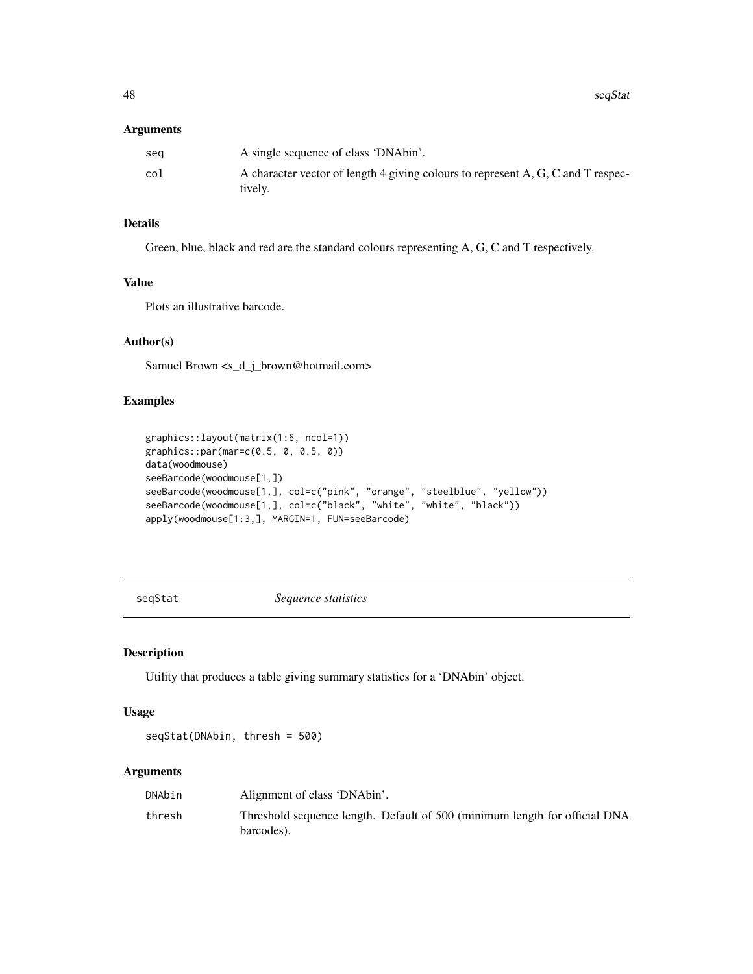#### <span id="page-47-0"></span>Arguments

| sea | A single sequence of class 'DNAbin'.                                                        |
|-----|---------------------------------------------------------------------------------------------|
| col | A character vector of length 4 giving colours to represent A, G, C and T respec-<br>tively. |

# Details

Green, blue, black and red are the standard colours representing A, G, C and T respectively.

# Value

Plots an illustrative barcode.

# Author(s)

Samuel Brown <s\_d\_j\_brown@hotmail.com>

# Examples

```
graphics::layout(matrix(1:6, ncol=1))
graphics::par(mar=c(0.5, 0, 0.5, 0))
data(woodmouse)
seeBarcode(woodmouse[1,])
seeBarcode(woodmouse[1,], col=c("pink", "orange", "steelblue", "yellow"))
seeBarcode(woodmouse[1,], col=c("black", "white", "white", "black"))
apply(woodmouse[1:3,], MARGIN=1, FUN=seeBarcode)
```
seqStat *Sequence statistics*

# Description

Utility that produces a table giving summary statistics for a 'DNAbin' object.

# Usage

seqStat(DNAbin, thresh = 500)

# Arguments

| DNAbin | Alignment of class 'DNAbin'.                                                             |
|--------|------------------------------------------------------------------------------------------|
| thresh | Threshold sequence length. Default of 500 (minimum length for official DNA<br>barcodes). |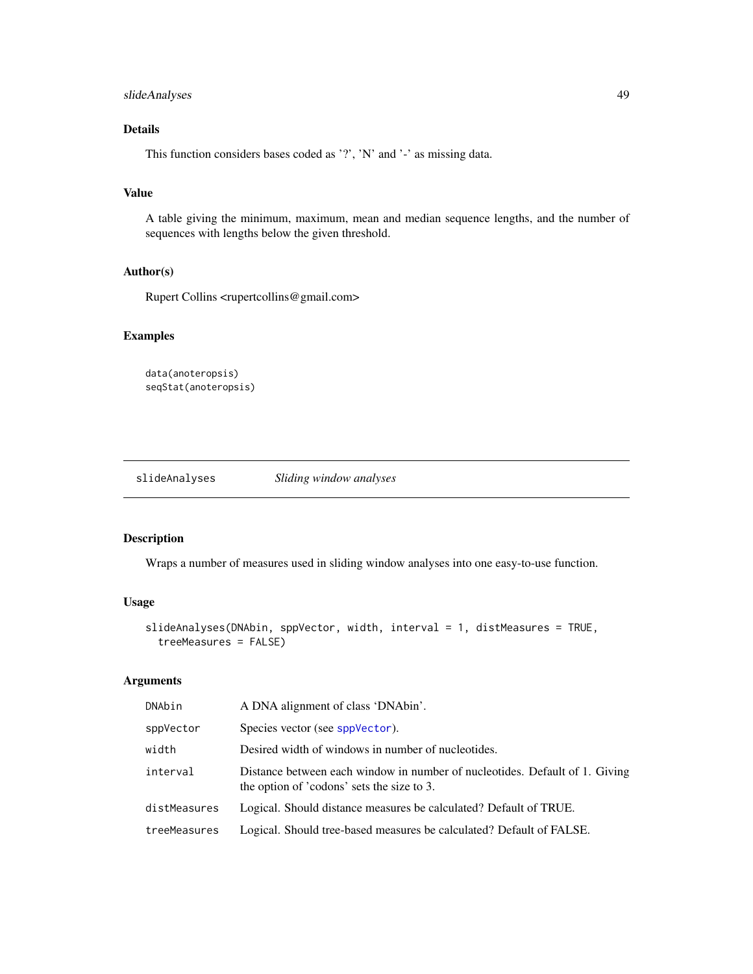# <span id="page-48-0"></span>slideAnalyses 49

# Details

This function considers bases coded as '?', 'N' and '-' as missing data.

# Value

A table giving the minimum, maximum, mean and median sequence lengths, and the number of sequences with lengths below the given threshold.

# Author(s)

Rupert Collins <rupertcollins@gmail.com>

# Examples

```
data(anoteropsis)
seqStat(anoteropsis)
```
<span id="page-48-1"></span>slideAnalyses *Sliding window analyses*

# Description

Wraps a number of measures used in sliding window analyses into one easy-to-use function.

# Usage

```
slideAnalyses(DNAbin, sppVector, width, interval = 1, distMeasures = TRUE,
  treeMeasures = FALSE)
```
#### Arguments

| DNAbin       | A DNA alignment of class 'DNAbin'.                                                                                        |
|--------------|---------------------------------------------------------------------------------------------------------------------------|
| sppVector    | Species vector (see sppVector).                                                                                           |
| width        | Desired width of windows in number of nucleotides.                                                                        |
| interval     | Distance between each window in number of nucleotides. Default of 1. Giving<br>the option of 'codons' sets the size to 3. |
| distMeasures | Logical. Should distance measures be calculated? Default of TRUE.                                                         |
| treeMeasures | Logical. Should tree-based measures be calculated? Default of FALSE.                                                      |
|              |                                                                                                                           |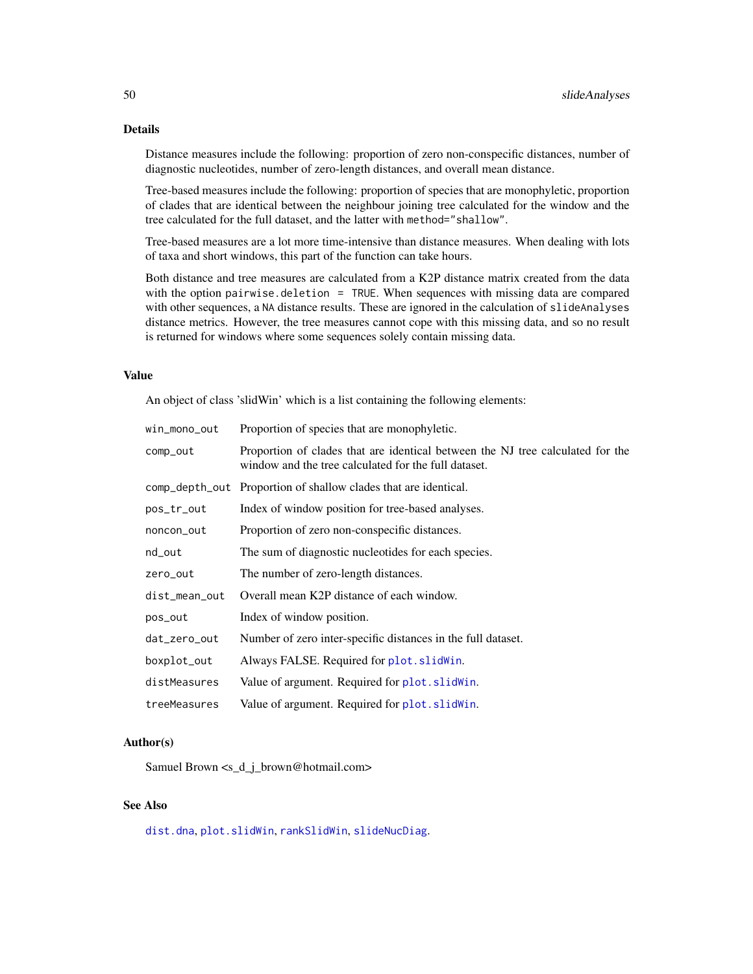# <span id="page-49-0"></span>Details

Distance measures include the following: proportion of zero non-conspecific distances, number of diagnostic nucleotides, number of zero-length distances, and overall mean distance.

Tree-based measures include the following: proportion of species that are monophyletic, proportion of clades that are identical between the neighbour joining tree calculated for the window and the tree calculated for the full dataset, and the latter with method="shallow".

Tree-based measures are a lot more time-intensive than distance measures. When dealing with lots of taxa and short windows, this part of the function can take hours.

Both distance and tree measures are calculated from a K2P distance matrix created from the data with the option pairwise.deletion = TRUE. When sequences with missing data are compared with other sequences, a NA distance results. These are ignored in the calculation of slideAnalyses distance metrics. However, the tree measures cannot cope with this missing data, and so no result is returned for windows where some sequences solely contain missing data.

# Value

An object of class 'slidWin' which is a list containing the following elements:

| win_mono_out   | Proportion of species that are monophyletic.                                                                                           |
|----------------|----------------------------------------------------------------------------------------------------------------------------------------|
| comp_out       | Proportion of clades that are identical between the NJ tree calculated for the<br>window and the tree calculated for the full dataset. |
| comp_depth_out | Proportion of shallow clades that are identical.                                                                                       |
| pos_tr_out     | Index of window position for tree-based analyses.                                                                                      |
| noncon_out     | Proportion of zero non-conspecific distances.                                                                                          |
| nd_out         | The sum of diagnostic nucleotides for each species.                                                                                    |
| zero_out       | The number of zero-length distances.                                                                                                   |
| dist_mean_out  | Overall mean K2P distance of each window.                                                                                              |
| pos_out        | Index of window position.                                                                                                              |
| dat_zero_out   | Number of zero inter-specific distances in the full dataset.                                                                           |
| boxplot_out    | Always FALSE. Required for plot. slidWin.                                                                                              |
| distMeasures   | Value of argument. Required for plot. slidWin.                                                                                         |
| treeMeasures   | Value of argument. Required for plot. slid Win.                                                                                        |
|                |                                                                                                                                        |

# Author(s)

Samuel Brown <s\_d\_j\_brown@hotmail.com>

# See Also

[dist.dna](#page-0-0), [plot.slidWin](#page-32-1), [rankSlidWin](#page-34-1), [slideNucDiag](#page-52-1).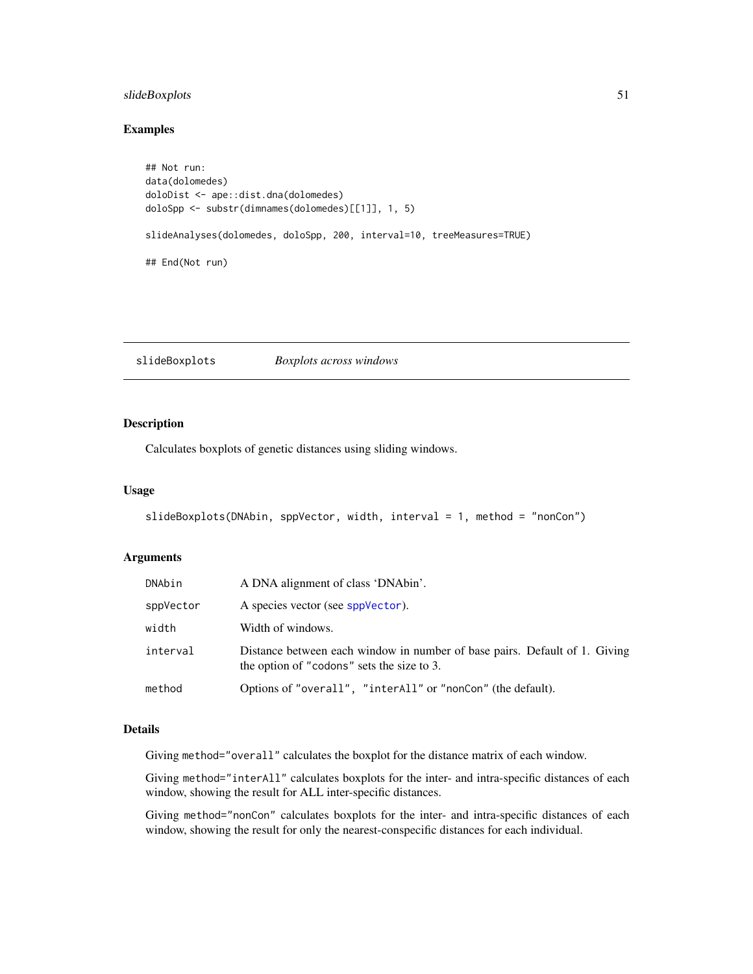# <span id="page-50-0"></span>slideBoxplots 51

# Examples

```
## Not run:
data(dolomedes)
doloDist <- ape::dist.dna(dolomedes)
doloSpp <- substr(dimnames(dolomedes)[[1]], 1, 5)
slideAnalyses(dolomedes, doloSpp, 200, interval=10, treeMeasures=TRUE)
## End(Not run)
```
<span id="page-50-1"></span>slideBoxplots *Boxplots across windows*

# Description

Calculates boxplots of genetic distances using sliding windows.

#### Usage

```
slideBoxplots(DNAbin, sppVector, width, interval = 1, method = "nonCon")
```
# Arguments

| DNAbin    | A DNA alignment of class 'DNAbin'.                                                                                       |
|-----------|--------------------------------------------------------------------------------------------------------------------------|
| sppVector | A species vector (see sppVector).                                                                                        |
| width     | Width of windows.                                                                                                        |
| interval  | Distance between each window in number of base pairs. Default of 1. Giving<br>the option of "codons" sets the size to 3. |
| method    | Options of "overall", "interAll" or "nonCon" (the default).                                                              |

# Details

Giving method="overall" calculates the boxplot for the distance matrix of each window.

Giving method="interAll" calculates boxplots for the inter- and intra-specific distances of each window, showing the result for ALL inter-specific distances.

Giving method="nonCon" calculates boxplots for the inter- and intra-specific distances of each window, showing the result for only the nearest-conspecific distances for each individual.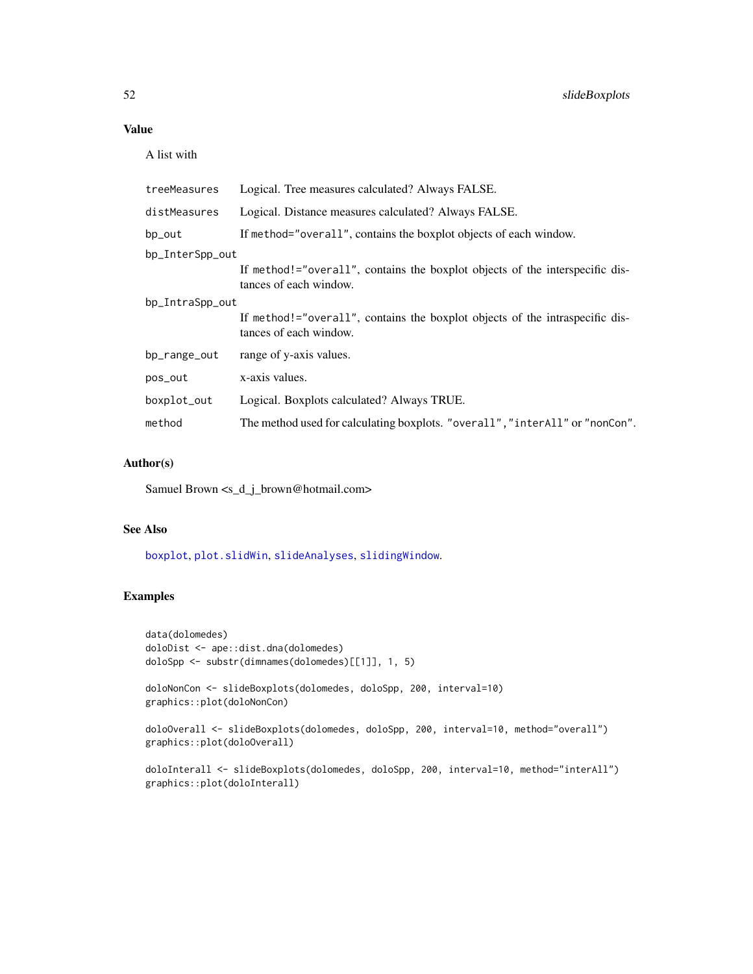# <span id="page-51-0"></span>Value

A list with

| treeMeasures    | Logical. Tree measures calculated? Always FALSE.                                                       |  |
|-----------------|--------------------------------------------------------------------------------------------------------|--|
| distMeasures    | Logical. Distance measures calculated? Always FALSE.                                                   |  |
| bp_out          | If method="overall", contains the boxplot objects of each window.                                      |  |
| bp_InterSpp_out |                                                                                                        |  |
|                 | If method!="overall", contains the boxplot objects of the interspecific dis-<br>tances of each window. |  |
| bp_IntraSpp_out |                                                                                                        |  |
|                 | If method!="overall", contains the boxplot objects of the intraspecific dis-<br>tances of each window. |  |
| bp_range_out    | range of y-axis values.                                                                                |  |
| pos_out         | x-axis values.                                                                                         |  |
| boxplot_out     | Logical. Boxplots calculated? Always TRUE.                                                             |  |
| method          | The method used for calculating boxplots. "overall", "interAll" or "nonCon".                           |  |
|                 |                                                                                                        |  |

# Author(s)

Samuel Brown <s\_d\_j\_brown@hotmail.com>

# See Also

[boxplot](#page-0-0), [plot.slidWin](#page-32-1), [slideAnalyses](#page-48-1), [slidingWindow](#page-53-1).

# Examples

```
data(dolomedes)
doloDist <- ape::dist.dna(dolomedes)
doloSpp <- substr(dimnames(dolomedes)[[1]], 1, 5)
```

```
doloNonCon <- slideBoxplots(dolomedes, doloSpp, 200, interval=10)
graphics::plot(doloNonCon)
```

```
doloOverall <- slideBoxplots(dolomedes, doloSpp, 200, interval=10, method="overall")
graphics::plot(doloOverall)
```

```
doloInterall <- slideBoxplots(dolomedes, doloSpp, 200, interval=10, method="interAll")
graphics::plot(doloInterall)
```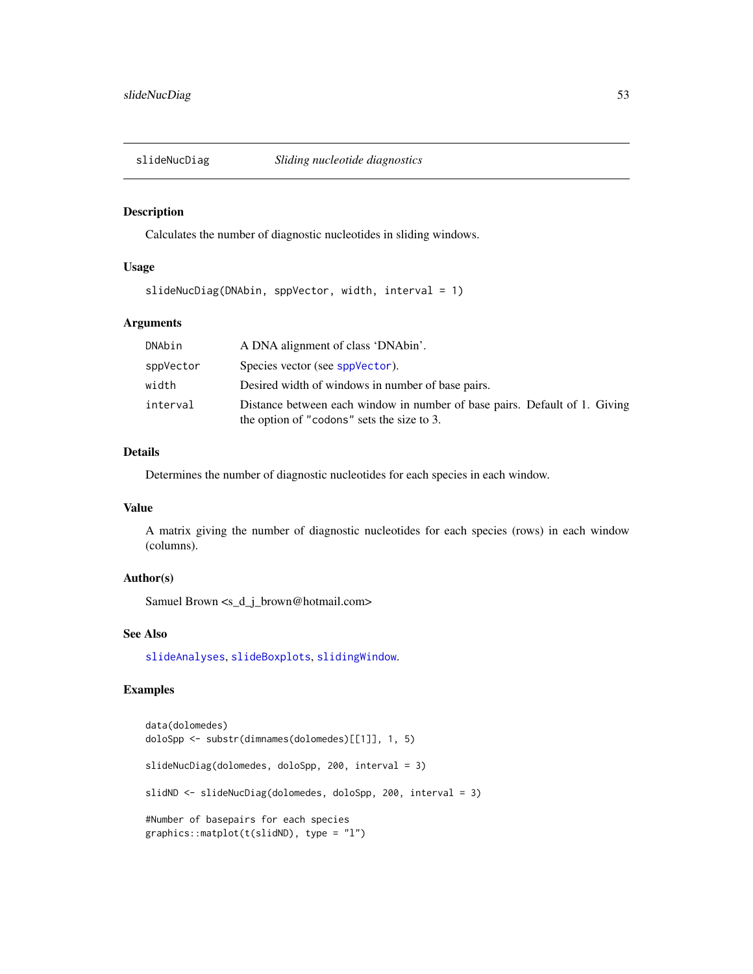<span id="page-52-1"></span><span id="page-52-0"></span>

Calculates the number of diagnostic nucleotides in sliding windows.

# Usage

```
slideNucDiag(DNAbin, sppVector, width, interval = 1)
```
# Arguments

| DNAbin    | A DNA alignment of class 'DNAbin'.                                                                                       |
|-----------|--------------------------------------------------------------------------------------------------------------------------|
| sppVector | Species vector (see sppVector).                                                                                          |
| width     | Desired width of windows in number of base pairs.                                                                        |
| interval  | Distance between each window in number of base pairs. Default of 1. Giving<br>the option of "codons" sets the size to 3. |

# Details

Determines the number of diagnostic nucleotides for each species in each window.

# Value

A matrix giving the number of diagnostic nucleotides for each species (rows) in each window (columns).

# Author(s)

Samuel Brown <s\_d\_j\_brown@hotmail.com>

# See Also

[slideAnalyses](#page-48-1), [slideBoxplots](#page-50-1), [slidingWindow](#page-53-1).

# Examples

```
data(dolomedes)
doloSpp <- substr(dimnames(dolomedes)[[1]], 1, 5)
slideNucDiag(dolomedes, doloSpp, 200, interval = 3)
slidND <- slideNucDiag(dolomedes, doloSpp, 200, interval = 3)
#Number of basepairs for each species
graphics::matplot(t(slidND), type = "l")
```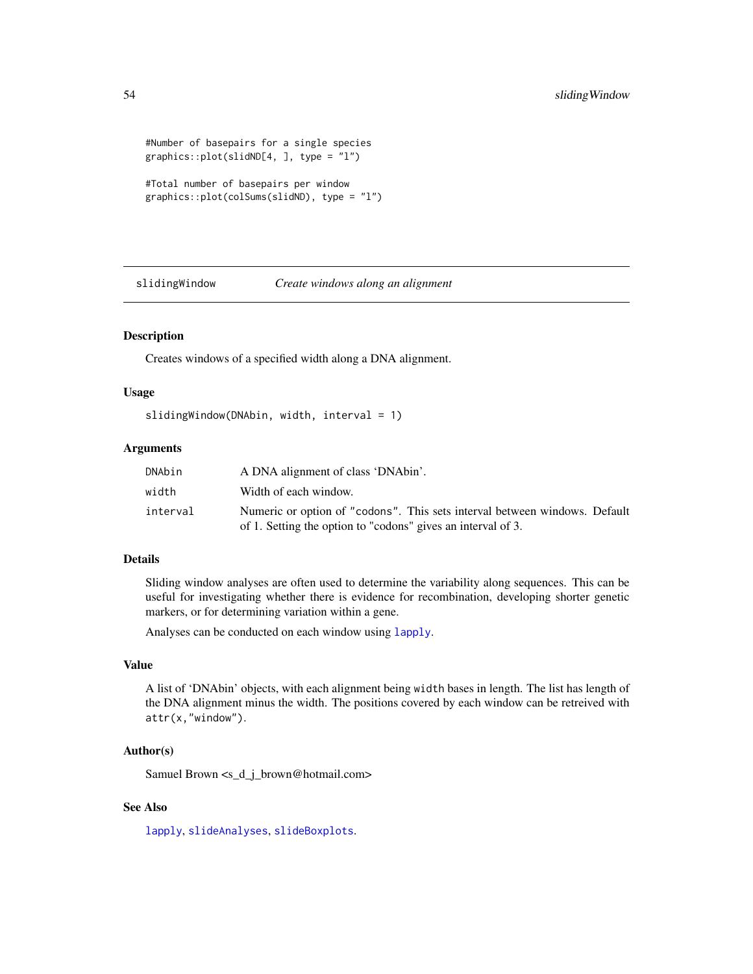```
#Number of basepairs for a single species
graphics::plot(slidND[4, ], type = "l")
```

```
#Total number of basepairs per window
graphics::plot(colSums(slidND), type = "l")
```
<span id="page-53-1"></span>slidingWindow *Create windows along an alignment*

# Description

Creates windows of a specified width along a DNA alignment.

# Usage

```
slidingWindow(DNAbin, width, interval = 1)
```
# Arguments

| DNAbin   | A DNA alignment of class 'DNAbin'.                                                                                                         |
|----------|--------------------------------------------------------------------------------------------------------------------------------------------|
| width    | Width of each window.                                                                                                                      |
| interval | Numeric or option of "codons". This sets interval between windows. Default<br>of 1. Setting the option to "codons" gives an interval of 3. |

#### Details

Sliding window analyses are often used to determine the variability along sequences. This can be useful for investigating whether there is evidence for recombination, developing shorter genetic markers, or for determining variation within a gene.

Analyses can be conducted on each window using [lapply](#page-0-0).

#### Value

A list of 'DNAbin' objects, with each alignment being width bases in length. The list has length of the DNA alignment minus the width. The positions covered by each window can be retreived with attr(x,"window").

# Author(s)

Samuel Brown <s\_d\_j\_brown@hotmail.com>

# See Also

[lapply](#page-0-0), [slideAnalyses](#page-48-1), [slideBoxplots](#page-50-1).

<span id="page-53-0"></span>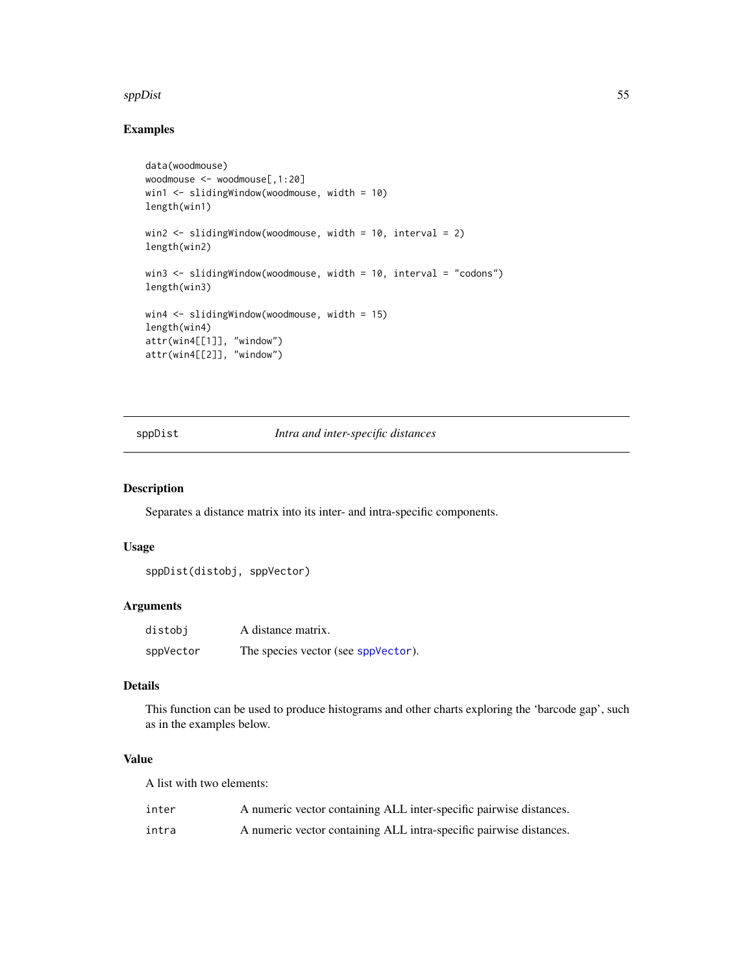#### <span id="page-54-0"></span>sppDist 55

# Examples

```
data(woodmouse)
woodmouse <- woodmouse[,1:20]
win1 <- slidingWindow(woodmouse, width = 10)
length(win1)
win2 <- slidingWindow(woodmouse, width = 10, interval = 2)
length(win2)
win3 \le slidingWindow(woodmouse, width = 10, interval = "codons")
length(win3)
win4 <- slidingWindow(woodmouse, width = 15)
length(win4)
attr(win4[[1]], "window")
attr(win4[[2]], "window")
```
<span id="page-54-1"></span>sppDist *Intra and inter-specific distances*

# Description

Separates a distance matrix into its inter- and intra-specific components.

# Usage

sppDist(distobj, sppVector)

#### Arguments

| distobi   | A distance matrix.                  |
|-----------|-------------------------------------|
| sppVector | The species vector (see sppVector). |

# Details

This function can be used to produce histograms and other charts exploring the 'barcode gap', such as in the examples below.

# Value

A list with two elements:

| inter | A numeric vector containing ALL inter-specific pairwise distances. |
|-------|--------------------------------------------------------------------|
| intra | A numeric vector containing ALL intra-specific pairwise distances. |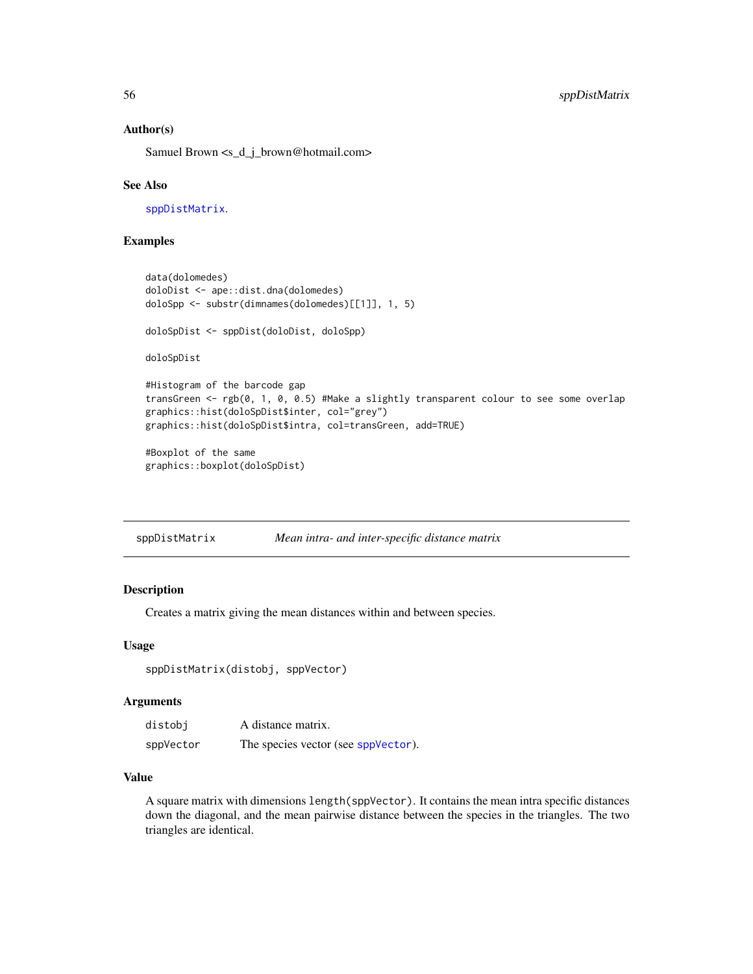# Author(s)

Samuel Brown <s\_d\_j\_brown@hotmail.com>

#### See Also

[sppDistMatrix](#page-55-1).

# Examples

```
data(dolomedes)
doloDist <- ape::dist.dna(dolomedes)
doloSpp <- substr(dimnames(dolomedes)[[1]], 1, 5)
doloSpDist <- sppDist(doloDist, doloSpp)
doloSpDist
#Histogram of the barcode gap
transGreen <- rgb(0, 1, 0, 0.5) #Make a slightly transparent colour to see some overlap
graphics::hist(doloSpDist$inter, col="grey")
graphics::hist(doloSpDist$intra, col=transGreen, add=TRUE)
#Boxplot of the same
graphics::boxplot(doloSpDist)
```
<span id="page-55-1"></span>

| sppDistMatrix | Mean intra- and inter-specific distance matrix |  |  |
|---------------|------------------------------------------------|--|--|
|               |                                                |  |  |

#### Description

Creates a matrix giving the mean distances within and between species.

#### Usage

sppDistMatrix(distobj, sppVector)

# Arguments

| distobi   | A distance matrix.                  |
|-----------|-------------------------------------|
| sppVector | The species vector (see sppVector). |

# Value

A square matrix with dimensions length(sppVector). It contains the mean intra specific distances down the diagonal, and the mean pairwise distance between the species in the triangles. The two triangles are identical.

<span id="page-55-0"></span>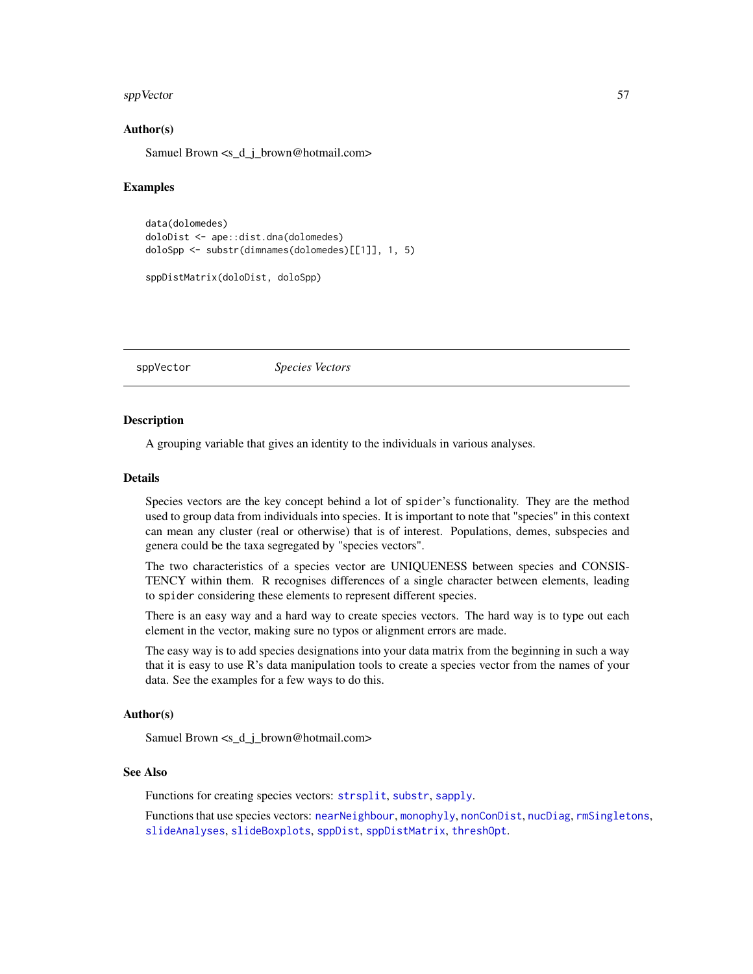#### <span id="page-56-0"></span>sppVector 57

# Author(s)

Samuel Brown <s\_d\_j\_brown@hotmail.com>

#### Examples

```
data(dolomedes)
doloDist <- ape::dist.dna(dolomedes)
doloSpp <- substr(dimnames(dolomedes)[[1]], 1, 5)
sppDistMatrix(doloDist, doloSpp)
```
<span id="page-56-1"></span>sppVector *Species Vectors*

#### **Description**

A grouping variable that gives an identity to the individuals in various analyses.

#### Details

Species vectors are the key concept behind a lot of spider's functionality. They are the method used to group data from individuals into species. It is important to note that "species" in this context can mean any cluster (real or otherwise) that is of interest. Populations, demes, subspecies and genera could be the taxa segregated by "species vectors".

The two characteristics of a species vector are UNIQUENESS between species and CONSIS-TENCY within them. R recognises differences of a single character between elements, leading to spider considering these elements to represent different species.

There is an easy way and a hard way to create species vectors. The hard way is to type out each element in the vector, making sure no typos or alignment errors are made.

The easy way is to add species designations into your data matrix from the beginning in such a way that it is easy to use R's data manipulation tools to create a species vector from the names of your data. See the examples for a few ways to do this.

#### Author(s)

Samuel Brown <s\_d\_j\_brown@hotmail.com>

#### See Also

Functions for creating species vectors: [strsplit](#page-0-0), [substr](#page-0-0), [sapply](#page-0-0).

Functions that use species vectors: [nearNeighbour](#page-21-1), [monophyly](#page-18-1), [nonConDist](#page-23-1), [nucDiag](#page-25-1), [rmSingletons](#page-40-1), [slideAnalyses](#page-48-1), [slideBoxplots](#page-50-1), [sppDist](#page-54-1), [sppDistMatrix](#page-55-1), [threshOpt](#page-63-1).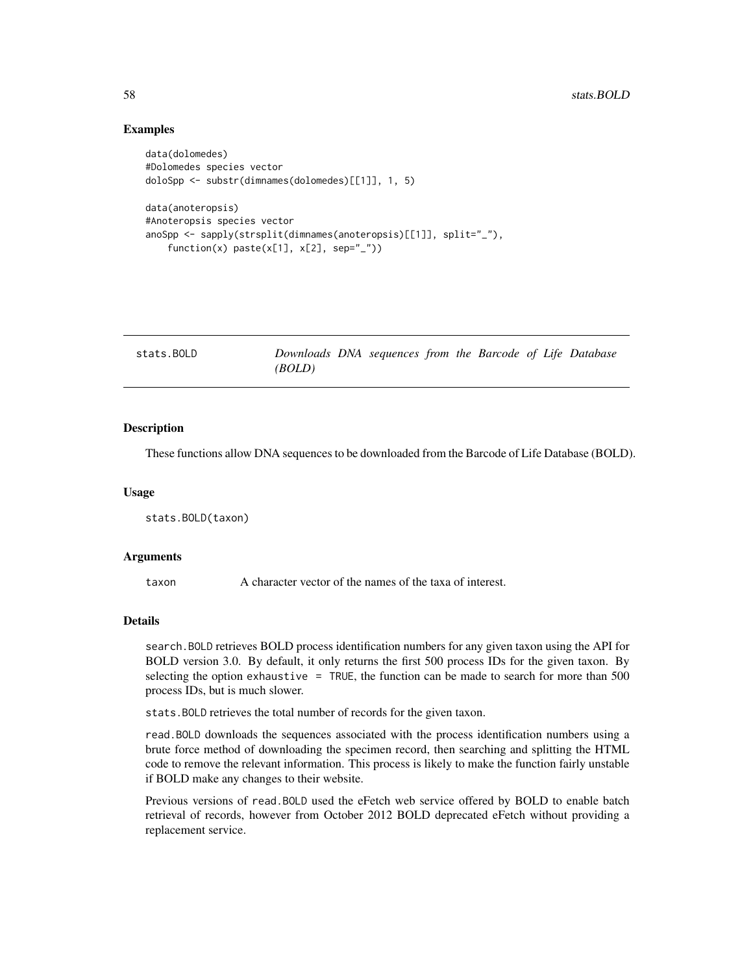# Examples

```
data(dolomedes)
#Dolomedes species vector
doloSpp <- substr(dimnames(dolomedes)[[1]], 1, 5)
data(anoteropsis)
#Anoteropsis species vector
anoSpp <- sapply(strsplit(dimnames(anoteropsis)[[1]], split="_"),
    function(x) past(x[1], x[2], sep='}'')
```
<span id="page-57-1"></span>

| stats.BOLD | Downloads DNA sequences from the Barcode of Life Database |  |  |  |  |
|------------|-----------------------------------------------------------|--|--|--|--|
|            | (BOLD)                                                    |  |  |  |  |

# Description

These functions allow DNA sequences to be downloaded from the Barcode of Life Database (BOLD).

#### Usage

```
stats.BOLD(taxon)
```
#### **Arguments**

taxon A character vector of the names of the taxa of interest.

# Details

search.BOLD retrieves BOLD process identification numbers for any given taxon using the API for BOLD version 3.0. By default, it only returns the first 500 process IDs for the given taxon. By selecting the option exhaustive = TRUE, the function can be made to search for more than  $500$ process IDs, but is much slower.

stats.BOLD retrieves the total number of records for the given taxon.

read.BOLD downloads the sequences associated with the process identification numbers using a brute force method of downloading the specimen record, then searching and splitting the HTML code to remove the relevant information. This process is likely to make the function fairly unstable if BOLD make any changes to their website.

Previous versions of read.BOLD used the eFetch web service offered by BOLD to enable batch retrieval of records, however from October 2012 BOLD deprecated eFetch without providing a replacement service.

<span id="page-57-0"></span>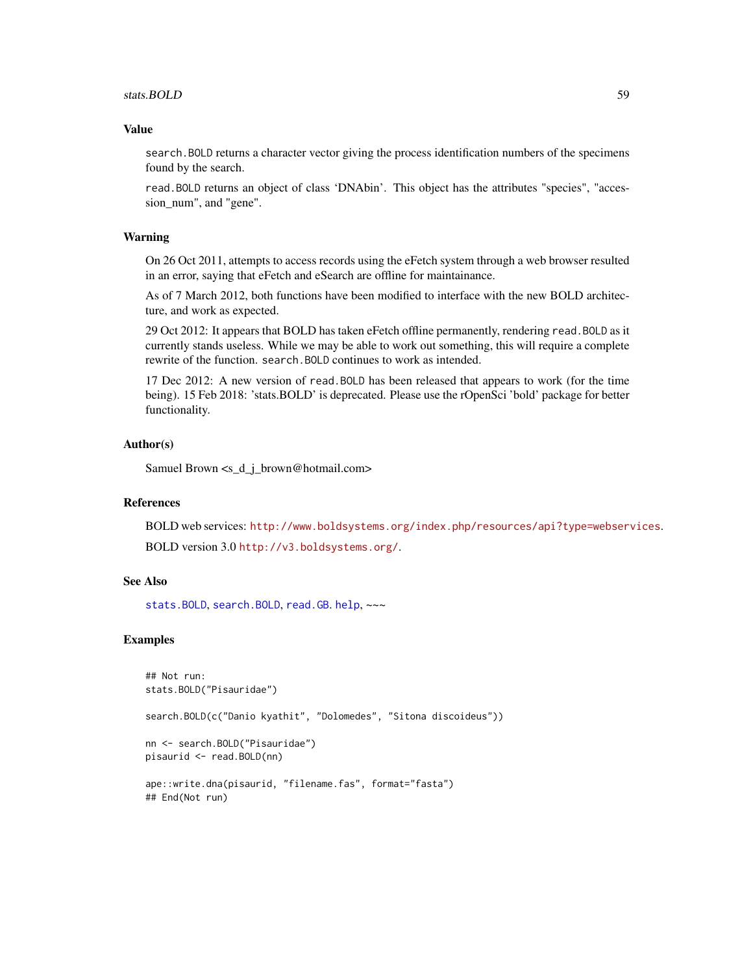#### <span id="page-58-0"></span>stats.BOLD 59

#### Value

search.BOLD returns a character vector giving the process identification numbers of the specimens found by the search.

read.BOLD returns an object of class 'DNAbin'. This object has the attributes "species", "accession\_num", and "gene".

# Warning

On 26 Oct 2011, attempts to access records using the eFetch system through a web browser resulted in an error, saying that eFetch and eSearch are offline for maintainance.

As of 7 March 2012, both functions have been modified to interface with the new BOLD architecture, and work as expected.

29 Oct 2012: It appears that BOLD has taken eFetch offline permanently, rendering read.BOLD as it currently stands useless. While we may be able to work out something, this will require a complete rewrite of the function. search.BOLD continues to work as intended.

17 Dec 2012: A new version of read.BOLD has been released that appears to work (for the time being). 15 Feb 2018: 'stats.BOLD' is deprecated. Please use the rOpenSci 'bold' package for better functionality.

# Author(s)

Samuel Brown <s d\_j\_brown@hotmail.com>

#### References

BOLD web services: <http://www.boldsystems.org/index.php/resources/api?type=webservices>. BOLD version 3.0 <http://v3.boldsystems.org/>.

# See Also

[stats.BOLD](#page-57-1), [search.BOLD](#page-45-1), [read.GB](#page-38-1). [help](#page-0-0), ~~~

#### Examples

```
## Not run:
stats.BOLD("Pisauridae")
search.BOLD(c("Danio kyathit", "Dolomedes", "Sitona discoideus"))
nn <- search.BOLD("Pisauridae")
pisaurid <- read.BOLD(nn)
ape::write.dna(pisaurid, "filename.fas", format="fasta")
## End(Not run)
```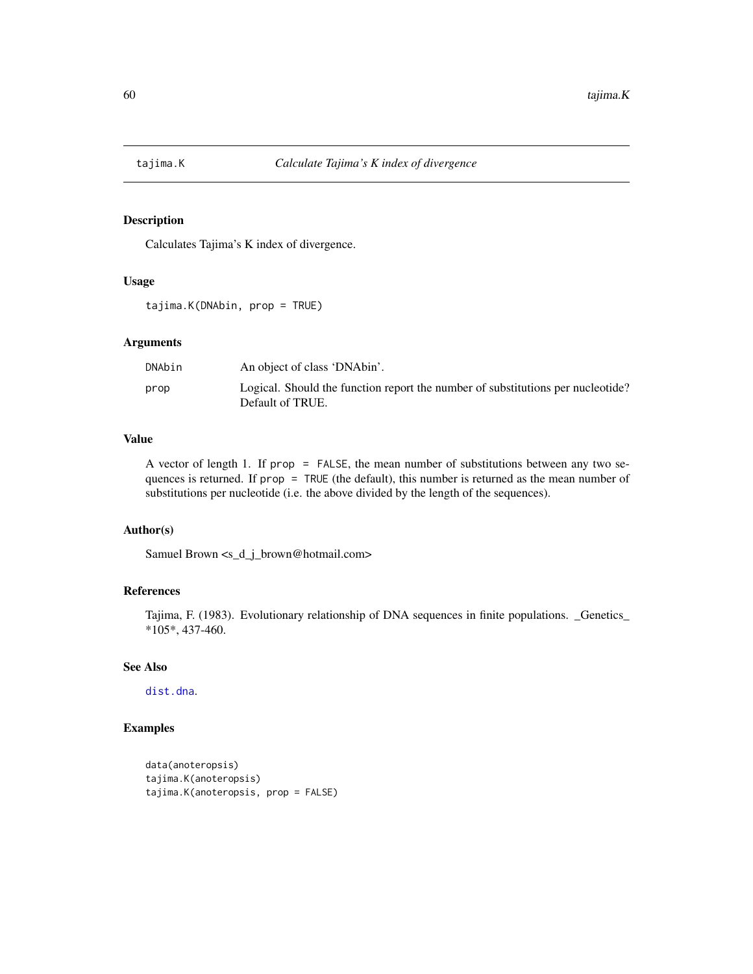<span id="page-59-0"></span>

Calculates Tajima's K index of divergence.

# Usage

tajima.K(DNAbin, prop = TRUE)

#### Arguments

| DNAbin | An object of class 'DNAbin'.                                                                        |
|--------|-----------------------------------------------------------------------------------------------------|
| prop   | Logical. Should the function report the number of substitutions per nucleotide?<br>Default of TRUE. |

# Value

A vector of length 1. If prop = FALSE, the mean number of substitutions between any two sequences is returned. If prop = TRUE (the default), this number is returned as the mean number of substitutions per nucleotide (i.e. the above divided by the length of the sequences).

# Author(s)

Samuel Brown <s\_d\_j\_brown@hotmail.com>

#### References

Tajima, F. (1983). Evolutionary relationship of DNA sequences in finite populations. \_Genetics\_ \*105\*, 437-460.

# See Also

[dist.dna](#page-0-0).

# Examples

```
data(anoteropsis)
tajima.K(anoteropsis)
tajima.K(anoteropsis, prop = FALSE)
```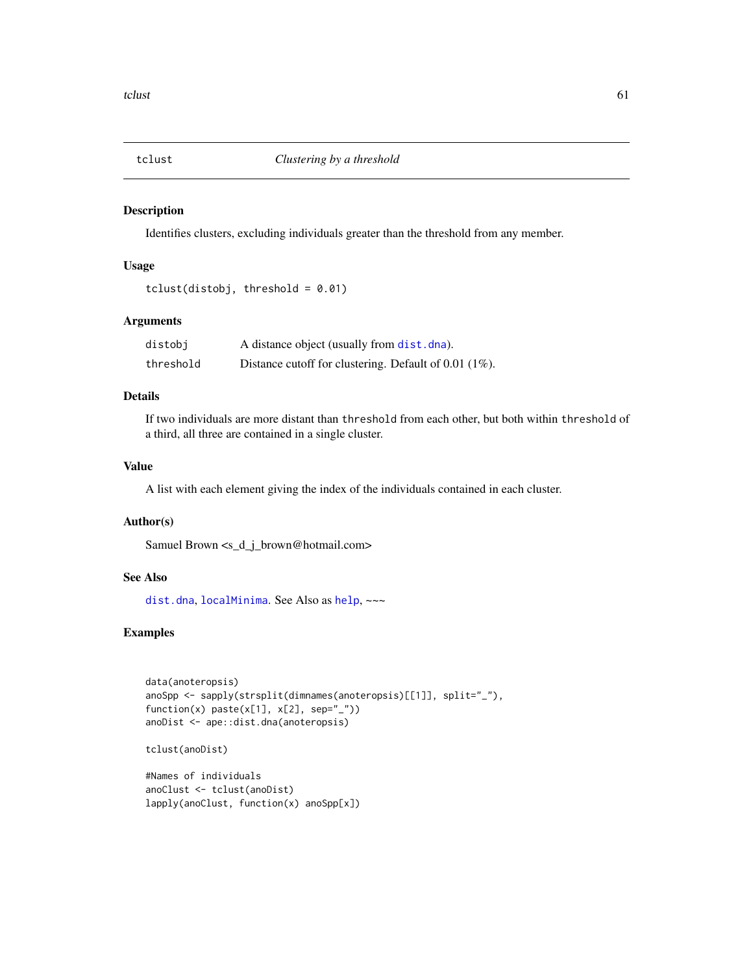<span id="page-60-0"></span>

Identifies clusters, excluding individuals greater than the threshold from any member.

# Usage

```
tclust(distobj, threshold = 0.01)
```
# Arguments

| distobj   | A distance object (usually from dist. dna).             |
|-----------|---------------------------------------------------------|
| threshold | Distance cutoff for clustering. Default of $0.01$ (1%). |

#### Details

If two individuals are more distant than threshold from each other, but both within threshold of a third, all three are contained in a single cluster.

# Value

A list with each element giving the index of the individuals contained in each cluster.

# Author(s)

Samuel Brown <s\_d\_j\_brown@hotmail.com>

# See Also

[dist.dna](#page-0-0), [localMinima](#page-14-1). See Also as [help](#page-0-0), ~~~

# Examples

```
data(anoteropsis)
anoSpp <- sapply(strsplit(dimnames(anoteropsis)[[1]], split="_"),
function(x) paste(x[1], x[2], sep="_"))
anoDist <- ape::dist.dna(anoteropsis)
```
tclust(anoDist)

#Names of individuals anoClust <- tclust(anoDist) lapply(anoClust, function(x) anoSpp[x])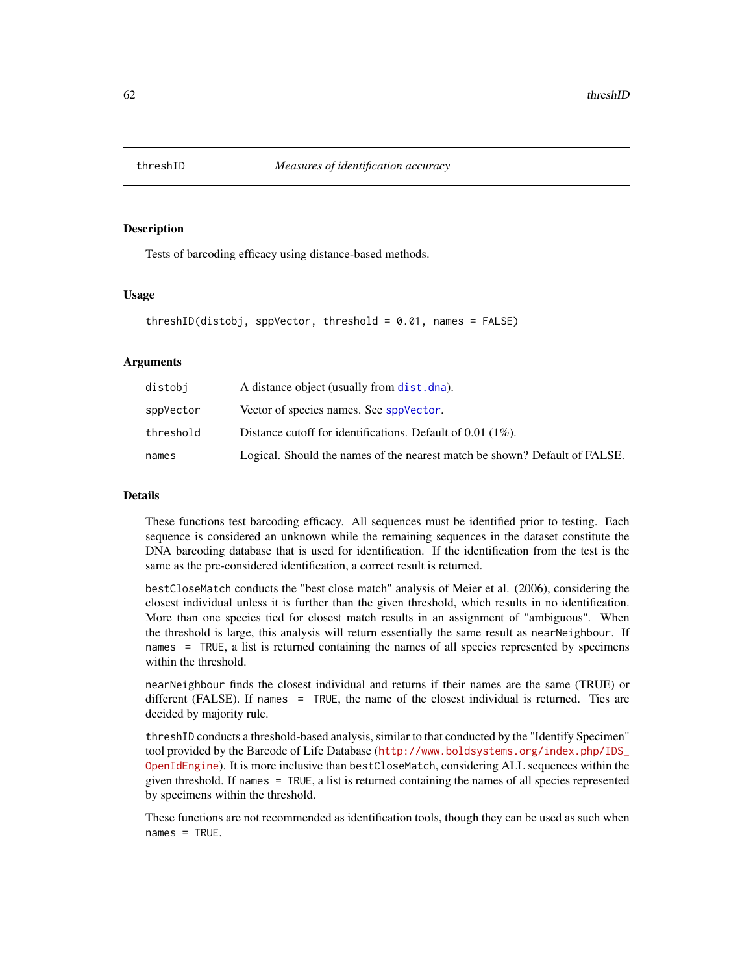<span id="page-61-1"></span><span id="page-61-0"></span>

Tests of barcoding efficacy using distance-based methods.

#### Usage

```
threshold = 0.01, names = FALSE)
```
#### **Arguments**

| distobi   | A distance object (usually from dist. dna).                                |
|-----------|----------------------------------------------------------------------------|
| sppVector | Vector of species names. See sppVector.                                    |
| threshold | Distance cutoff for identifications. Default of $0.01$ (1%).               |
| names     | Logical. Should the names of the nearest match be shown? Default of FALSE. |

#### Details

These functions test barcoding efficacy. All sequences must be identified prior to testing. Each sequence is considered an unknown while the remaining sequences in the dataset constitute the DNA barcoding database that is used for identification. If the identification from the test is the same as the pre-considered identification, a correct result is returned.

bestCloseMatch conducts the "best close match" analysis of Meier et al. (2006), considering the closest individual unless it is further than the given threshold, which results in no identification. More than one species tied for closest match results in an assignment of "ambiguous". When the threshold is large, this analysis will return essentially the same result as nearNeighbour. If names = TRUE, a list is returned containing the names of all species represented by specimens within the threshold.

nearNeighbour finds the closest individual and returns if their names are the same (TRUE) or different (FALSE). If names = TRUE, the name of the closest individual is returned. Ties are decided by majority rule.

threshID conducts a threshold-based analysis, similar to that conducted by the "Identify Specimen" tool provided by the Barcode of Life Database ([http://www.boldsystems.org/index.php/IDS\\_](http://www.boldsystems.org/index.php/IDS_OpenIdEngine) [OpenIdEngine](http://www.boldsystems.org/index.php/IDS_OpenIdEngine)). It is more inclusive than bestCloseMatch, considering ALL sequences within the given threshold. If names = TRUE, a list is returned containing the names of all species represented by specimens within the threshold.

These functions are not recommended as identification tools, though they can be used as such when names = TRUE.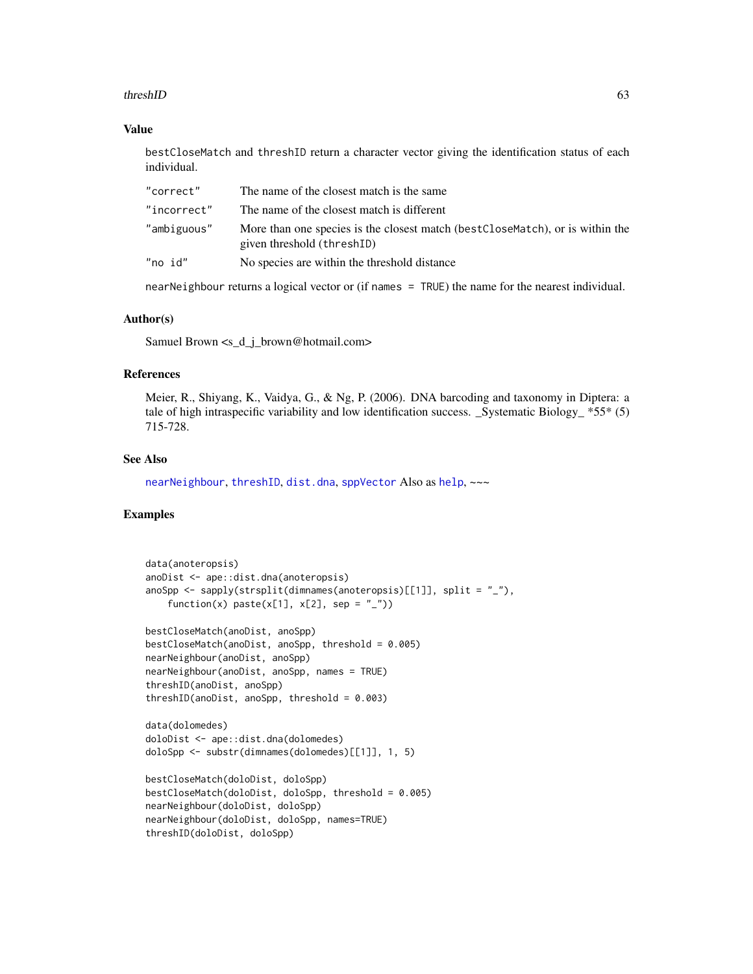#### <span id="page-62-0"></span>threshID 63

#### Value

bestCloseMatch and threshID return a character vector giving the identification status of each individual.

| "correct"   | The name of the closest match is the same                                                                    |
|-------------|--------------------------------------------------------------------------------------------------------------|
| "incorrect" | The name of the closest match is different                                                                   |
| "ambiguous" | More than one species is the closest match (best CloseMatch), or is within the<br>given threshold (threshID) |
| "no id"     | No species are within the threshold distance                                                                 |
|             |                                                                                                              |

nearNeighbour returns a logical vector or (if names = TRUE) the name for the nearest individual.

# Author(s)

Samuel Brown <s\_d\_j\_brown@hotmail.com>

# References

Meier, R., Shiyang, K., Vaidya, G., & Ng, P. (2006). DNA barcoding and taxonomy in Diptera: a tale of high intraspecific variability and low identification success. \_Systematic Biology\_  $*55*$  (5) 715-728.

# See Also

[nearNeighbour](#page-21-1), [threshID](#page-61-1), [dist.dna](#page-0-0), [sppVector](#page-56-1) Also as [help](#page-0-0), ~~~

# Examples

```
data(anoteropsis)
anoDist <- ape::dist.dna(anoteropsis)
anoSpp \leq sapply(strsplit(dimnames(anoteropsis)[[1]], split = "_"),
    function(x) paste(x[1], x[2], sep = "_"))
bestCloseMatch(anoDist, anoSpp)
bestCloseMatch(anoDist, anoSpp, threshold = 0.005)
nearNeighbour(anoDist, anoSpp)
nearNeighbour(anoDist, anoSpp, names = TRUE)
threshID(anoDist, anoSpp)
threshID(anoDist, anoSpp, threshold = 0.003)
data(dolomedes)
doloDist <- ape::dist.dna(dolomedes)
doloSpp <- substr(dimnames(dolomedes)[[1]], 1, 5)
bestCloseMatch(doloDist, doloSpp)
bestCloseMatch(doloDist, doloSpp, threshold = 0.005)
```

```
nearNeighbour(doloDist, doloSpp)
nearNeighbour(doloDist, doloSpp, names=TRUE)
threshID(doloDist, doloSpp)
```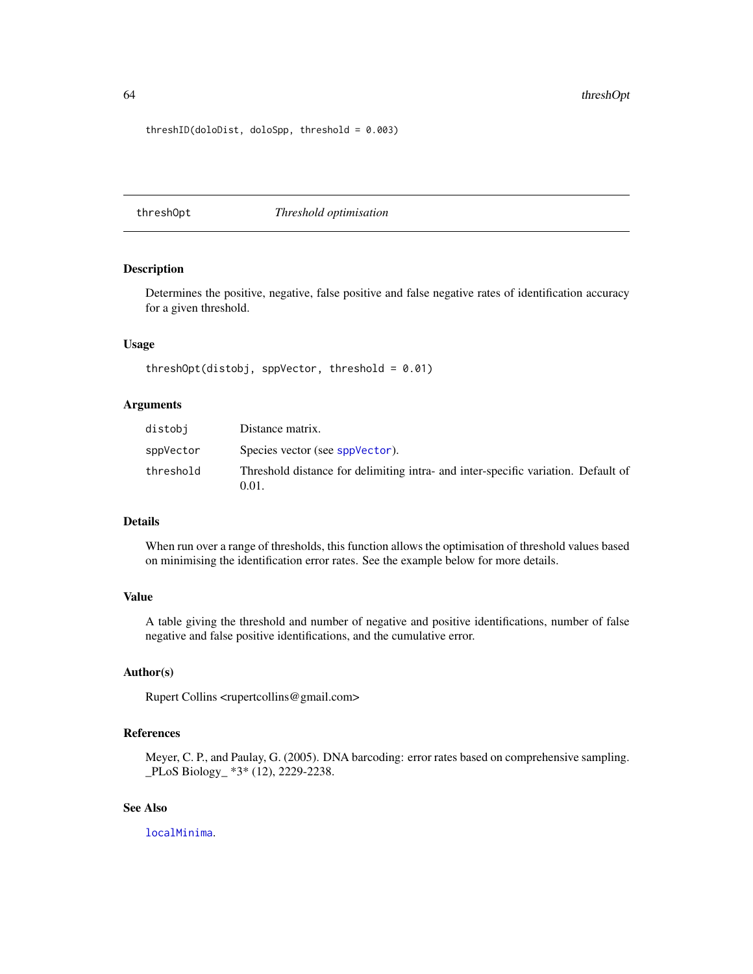<span id="page-63-0"></span>threshID(doloDist, doloSpp, threshold = 0.003)

<span id="page-63-1"></span>threshOpt *Threshold optimisation*

#### Description

Determines the positive, negative, false positive and false negative rates of identification accuracy for a given threshold.

# Usage

threshOpt(distobj, sppVector, threshold =  $0.01$ )

# Arguments

| distobi   | Distance matrix.                                                                           |
|-----------|--------------------------------------------------------------------------------------------|
| sppVector | Species vector (see sppVector).                                                            |
| threshold | Threshold distance for delimiting intra- and inter-specific variation. Default of<br>0.01. |

# Details

When run over a range of thresholds, this function allows the optimisation of threshold values based on minimising the identification error rates. See the example below for more details.

#### Value

A table giving the threshold and number of negative and positive identifications, number of false negative and false positive identifications, and the cumulative error.

#### Author(s)

Rupert Collins <rupertcollins@gmail.com>

# References

Meyer, C. P., and Paulay, G. (2005). DNA barcoding: error rates based on comprehensive sampling. \_PLoS Biology\_ \*3\* (12), 2229-2238.

# See Also

[localMinima](#page-14-1).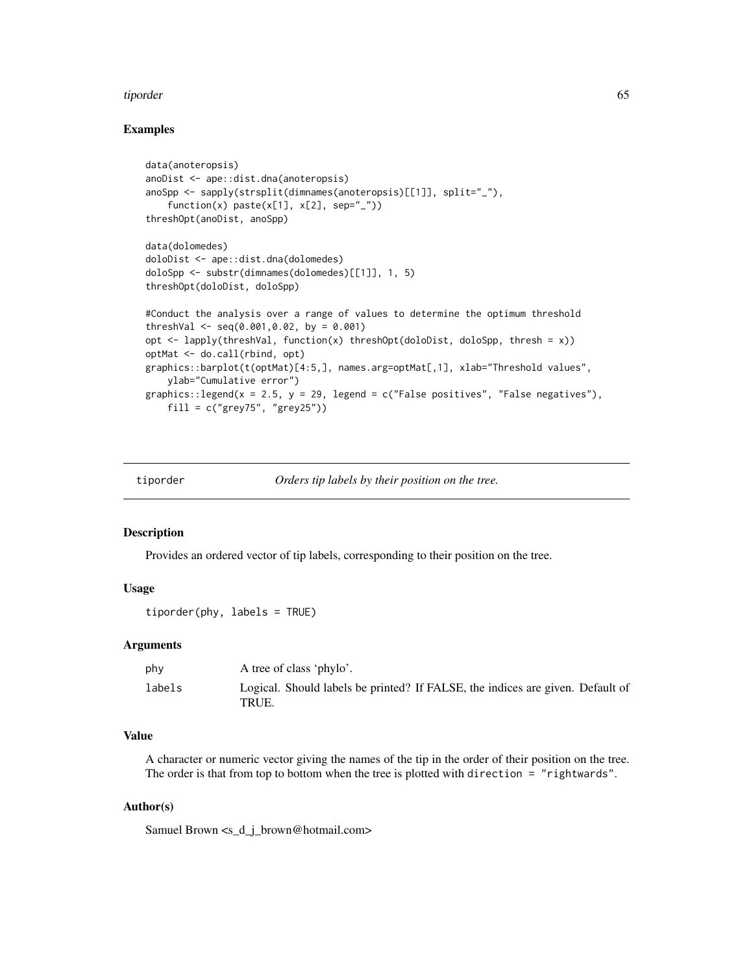#### <span id="page-64-0"></span>tiporder 65

# Examples

```
data(anoteropsis)
anoDist <- ape::dist.dna(anoteropsis)
anoSpp <- sapply(strsplit(dimnames(anoteropsis)[[1]], split="_"),
    function(x) past(x[1], x[2], sep='}'')threshOpt(anoDist, anoSpp)
data(dolomedes)
doloDist <- ape::dist.dna(dolomedes)
doloSpp <- substr(dimnames(dolomedes)[[1]], 1, 5)
threshOpt(doloDist, doloSpp)
#Conduct the analysis over a range of values to determine the optimum threshold
threshVal \leq seq(0.001,0.02, by = 0.001)
opt \le - lapply(threshVal, function(x) threshOpt(doloDist, doloSpp, thresh = x))
optMat <- do.call(rbind, opt)
graphics::barplot(t(optMat)[4:5,], names.arg=optMat[,1], xlab="Threshold values",
    ylab="Cumulative error")
graphics::legend(x = 2.5, y = 29, legend = c("False positives", "False negatives"),
    fill = c("grey75", "grey25")
```
tiporder *Orders tip labels by their position on the tree.*

#### Description

Provides an ordered vector of tip labels, corresponding to their position on the tree.

# Usage

```
tiporder(phy, labels = TRUE)
```
#### Arguments

| phy    | A tree of class 'phylo'.                                                                |
|--------|-----------------------------------------------------------------------------------------|
| labels | Logical. Should labels be printed? If FALSE, the indices are given. Default of<br>TRUE. |

# Value

A character or numeric vector giving the names of the tip in the order of their position on the tree. The order is that from top to bottom when the tree is plotted with direction = "rightwards".

#### Author(s)

Samuel Brown <s\_d\_j\_brown@hotmail.com>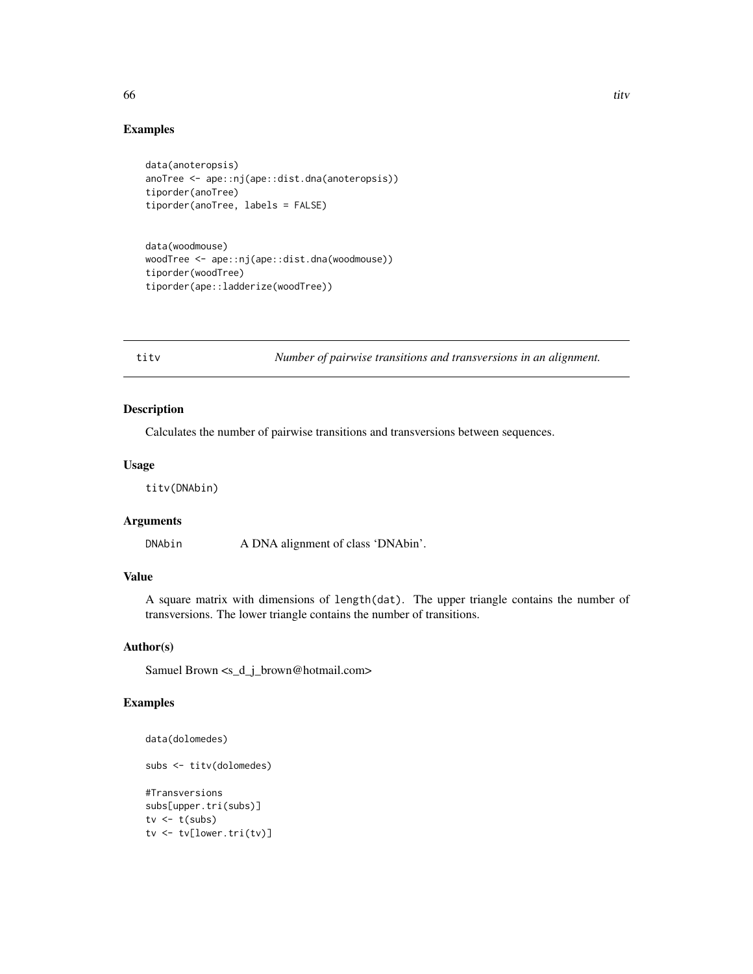#### Examples

```
data(anoteropsis)
anoTree <- ape::nj(ape::dist.dna(anoteropsis))
tiporder(anoTree)
tiporder(anoTree, labels = FALSE)
```
data(woodmouse) woodTree <- ape::nj(ape::dist.dna(woodmouse)) tiporder(woodTree) tiporder(ape::ladderize(woodTree))

titv *Number of pairwise transitions and transversions in an alignment.*

#### Description

Calculates the number of pairwise transitions and transversions between sequences.

# Usage

titv(DNAbin)

# Arguments

DNAbin A DNA alignment of class 'DNAbin'.

# Value

A square matrix with dimensions of length(dat). The upper triangle contains the number of transversions. The lower triangle contains the number of transitions.

# Author(s)

Samuel Brown <s\_d\_j\_brown@hotmail.com>

# Examples

```
data(dolomedes)
```

```
subs <- titv(dolomedes)
#Transversions
subs[upper.tri(subs)]
tv \leftarrow t(subs)tv <- tv[lower.tri(tv)]
```
<span id="page-65-0"></span> $\frac{1}{2}$  titude to the contract of the contract of the contract of the contract of the contract of the contract of the contract of the contract of the contract of the contract of the contract of the contract of the contr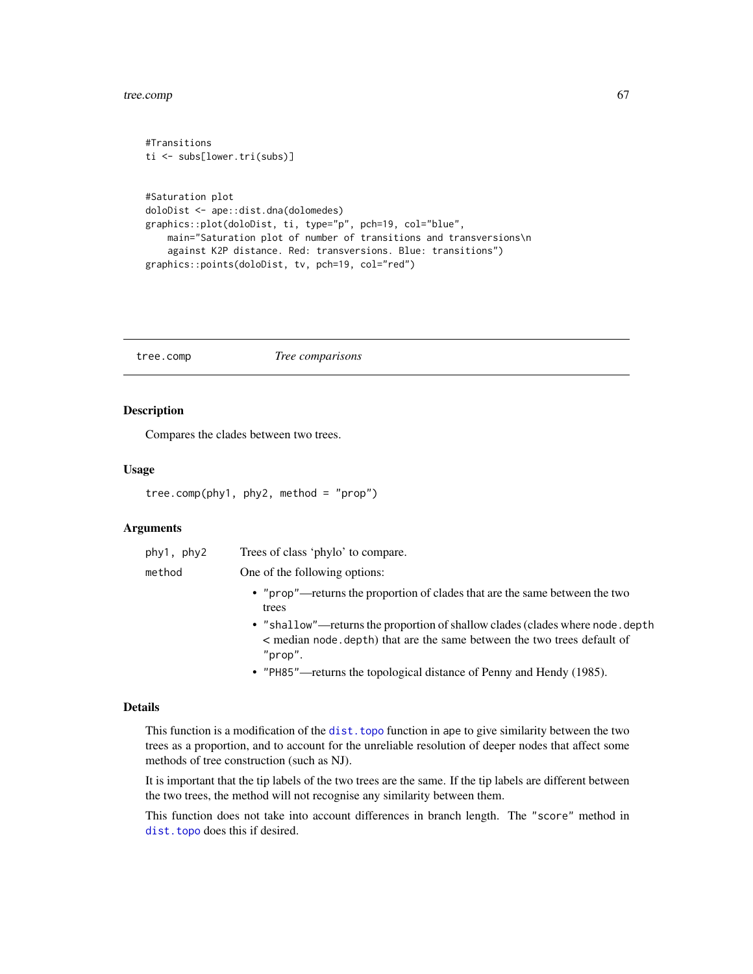#### <span id="page-66-0"></span>tree.comp 67

#Transitions

```
ti <- subs[lower.tri(subs)]
#Saturation plot
doloDist <- ape::dist.dna(dolomedes)
graphics::plot(doloDist, ti, type="p", pch=19, col="blue",
   main="Saturation plot of number of transitions and transversions\n
    against K2P distance. Red: transversions. Blue: transitions")
graphics::points(doloDist, tv, pch=19, col="red")
```
tree.comp *Tree comparisons*

#### Description

Compares the clades between two trees.

#### Usage

```
tree.comp(phy1, phy2, method = "prop")
```
# Arguments

| phy1, phy2 | Trees of class 'phylo' to compare.                                                                                                                                   |
|------------|----------------------------------------------------------------------------------------------------------------------------------------------------------------------|
| method     | One of the following options:                                                                                                                                        |
|            | • "prop"—returns the proportion of clades that are the same between the two<br>trees                                                                                 |
|            | • "shallow"—returns the proportion of shallow clades (clades where node, depth<br>< median node depth) that are the same between the two trees default of<br>"prop". |
|            | • "PH85"—returns the topological distance of Penny and Hendy (1985).                                                                                                 |

#### Details

This function is a modification of the [dist.topo](#page-0-0) function in ape to give similarity between the two trees as a proportion, and to account for the unreliable resolution of deeper nodes that affect some methods of tree construction (such as NJ).

It is important that the tip labels of the two trees are the same. If the tip labels are different between the two trees, the method will not recognise any similarity between them.

This function does not take into account differences in branch length. The "score" method in [dist.topo](#page-0-0) does this if desired.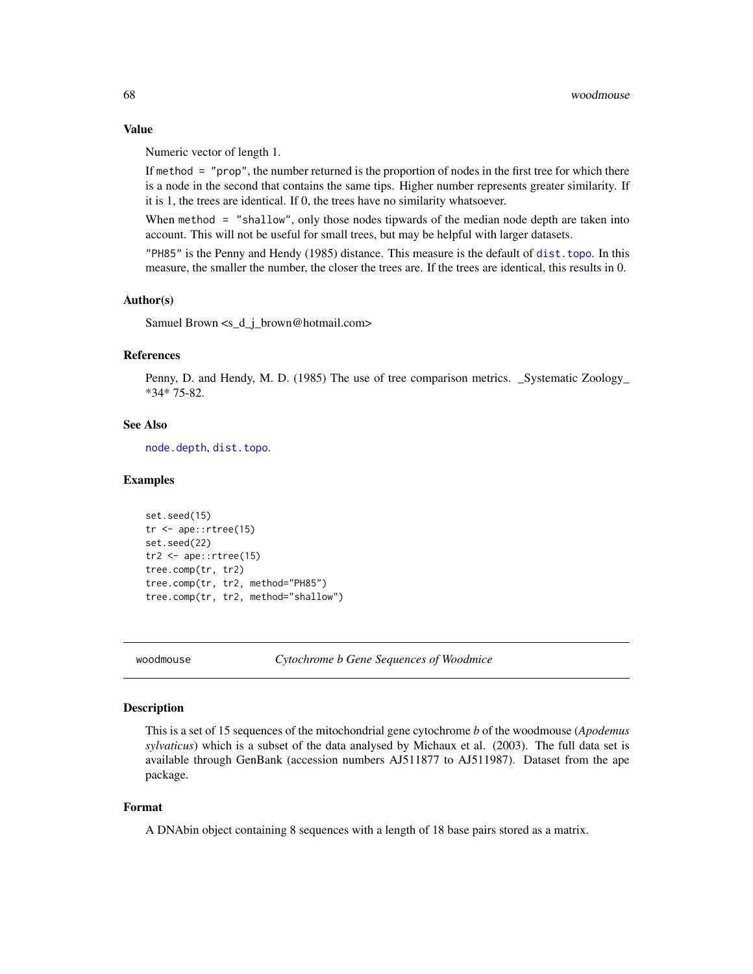Numeric vector of length 1.

If method = "prop", the number returned is the proportion of nodes in the first tree for which there is a node in the second that contains the same tips. Higher number represents greater similarity. If it is 1, the trees are identical. If 0, the trees have no similarity whatsoever.

When method = "shallow", only those nodes tipwards of the median node depth are taken into account. This will not be useful for small trees, but may be helpful with larger datasets.

"PH85" is the Penny and Hendy (1985) distance. This measure is the default of [dist.topo](#page-0-0). In this measure, the smaller the number, the closer the trees are. If the trees are identical, this results in 0.

# Author(s)

Samuel Brown <s\_d\_j\_brown@hotmail.com>

# References

Penny, D. and Hendy, M. D. (1985) The use of tree comparison metrics. \_Systematic Zoology\_ \*34\* 75-82.

# See Also

[node.depth](#page-0-0), [dist.topo](#page-0-0).

#### Examples

```
set.seed(15)
tr <- ape::rtree(15)
set.seed(22)
tr2 <- ape::rtree(15)
tree.comp(tr, tr2)
tree.comp(tr, tr2, method="PH85")
tree.comp(tr, tr2, method="shallow")
```
woodmouse *Cytochrome b Gene Sequences of Woodmice*

# Description

This is a set of 15 sequences of the mitochondrial gene cytochrome *b* of the woodmouse (*Apodemus sylvaticus*) which is a subset of the data analysed by Michaux et al. (2003). The full data set is available through GenBank (accession numbers AJ511877 to AJ511987). Dataset from the ape package.

# Format

A DNAbin object containing 8 sequences with a length of 18 base pairs stored as a matrix.

<span id="page-67-0"></span>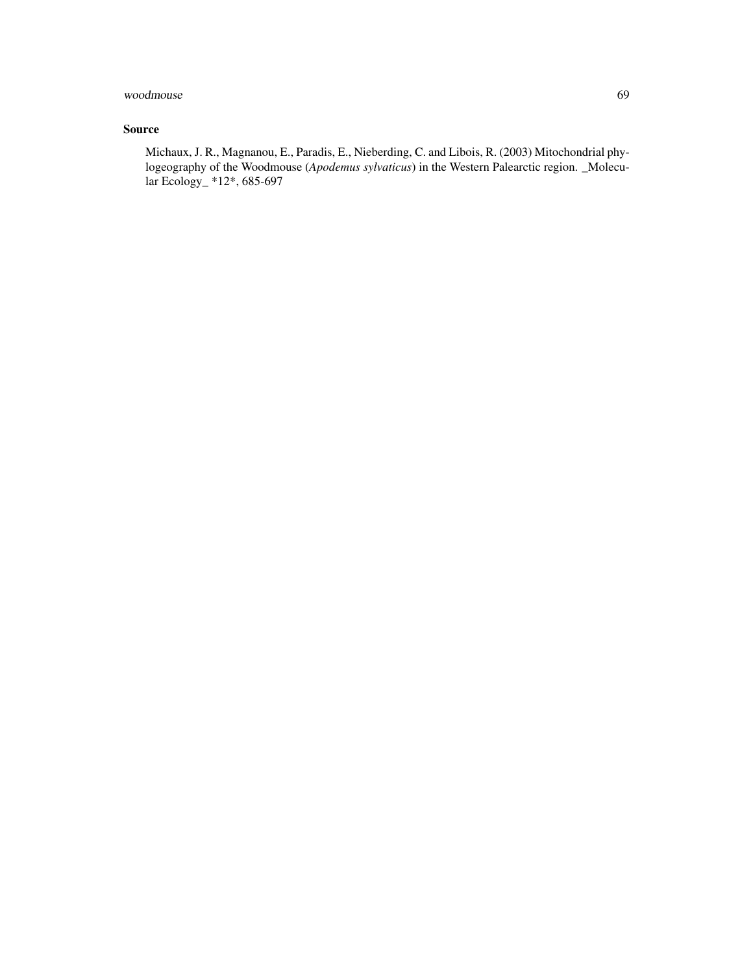woodmouse 69

# Source

Michaux, J. R., Magnanou, E., Paradis, E., Nieberding, C. and Libois, R. (2003) Mitochondrial phylogeography of the Woodmouse (*Apodemus sylvaticus*) in the Western Palearctic region. \_Molecular Ecology\_ \*12\*, 685-697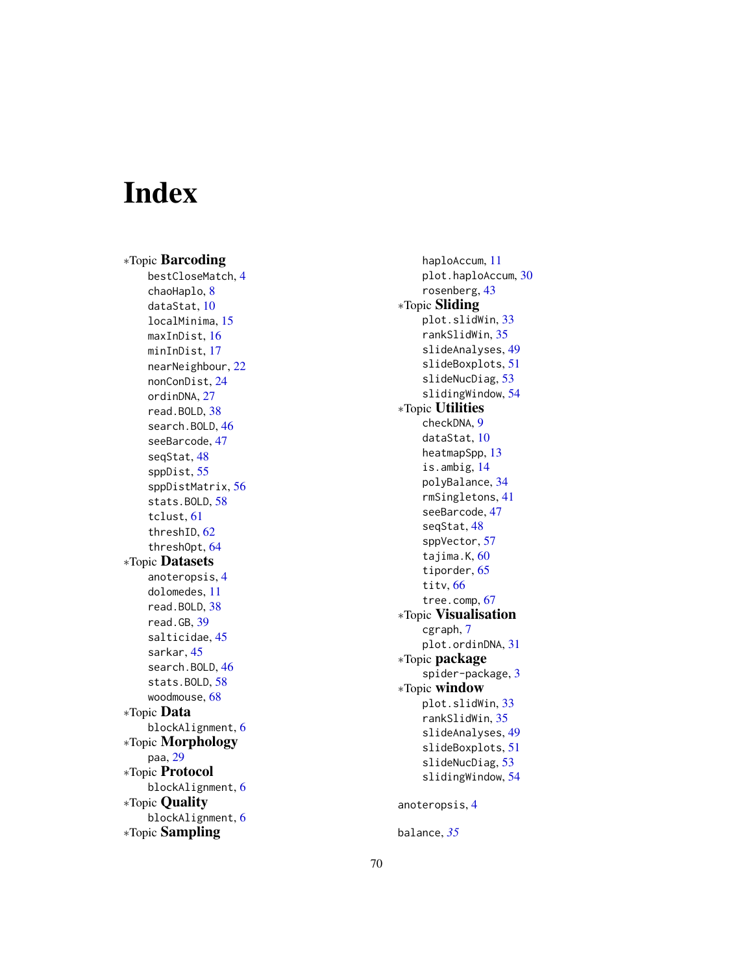# <span id="page-69-0"></span>Index

∗Topic Barcoding bestCloseMatch , [4](#page-3-0) chaoHaplo, [8](#page-7-0) dataStat , [10](#page-9-0) localMinima , [15](#page-14-0) maxInDist , [16](#page-15-0) minInDist , [17](#page-16-0) nearNeighbour , [22](#page-21-0) nonConDist , [24](#page-23-0) ordinDNA , [27](#page-26-0) read.BOLD , [38](#page-37-0) search. BOLD, [46](#page-45-0) seeBarcode , [47](#page-46-0) seqStat , [48](#page-47-0) sppDist , [55](#page-54-0) sppDistMatrix , [56](#page-55-0) stats.BOLD, [58](#page-57-0) tclust , [61](#page-60-0) threshID , [62](#page-61-0) threshOpt , [64](#page-63-0) ∗Topic Datasets anoteropsis , [4](#page-3-0) dolomedes , [11](#page-10-0) read.BOLD , [38](#page-37-0) read.GB , [39](#page-38-0) salticidae , [45](#page-44-0) sarkar , [45](#page-44-0) search. BOLD, [46](#page-45-0) stats.BOLD, [58](#page-57-0) woodmouse , [68](#page-67-0) ∗Topic Data blockAlignment, [6](#page-5-0) ∗Topic Morphology paa , [29](#page-28-0) ∗Topic Protocol blockAlignment, [6](#page-5-0) ∗Topic Quality blockAlignment, [6](#page-5-0) ∗Topic Sampling

haploAccum , [11](#page-10-0) plot.haploAccum , [30](#page-29-0) rosenberg , [43](#page-42-0) ∗Topic Sliding plot.slidWin , [33](#page-32-0) rankSlidWin , [35](#page-34-0) slideAnalyses , [49](#page-48-0) slideBoxplots , [51](#page-50-0) slideNucDiag , [53](#page-52-0) slidingWindow , [54](#page-53-0) ∗Topic Utilities checkDNA , [9](#page-8-0) dataStat , [10](#page-9-0) heatmapSpp , [13](#page-12-0) is.ambig , [14](#page-13-0) polyBalance , [34](#page-33-0) rmSingletons , [41](#page-40-0) seeBarcode , [47](#page-46-0) seqStat , [48](#page-47-0) sppVector , [57](#page-56-0) tajima.K, [60](#page-59-0) tiporder , [65](#page-64-0) titv , [66](#page-65-0) tree.comp , [67](#page-66-0) ∗Topic Visualisation cgraph , [7](#page-6-0) plot.ordinDNA, [31](#page-30-0) ∗Topic package spider-package , [3](#page-2-0) ∗Topic window plot.slidWin , [33](#page-32-0) rankSlidWin , [35](#page-34-0) slideAnalyses , [49](#page-48-0) slideBoxplots , [51](#page-50-0) slideNucDiag, [53](#page-52-0) slidingWindow, [54](#page-53-0) anoteropsis , [4](#page-3-0) balance , *[35](#page-34-0)*